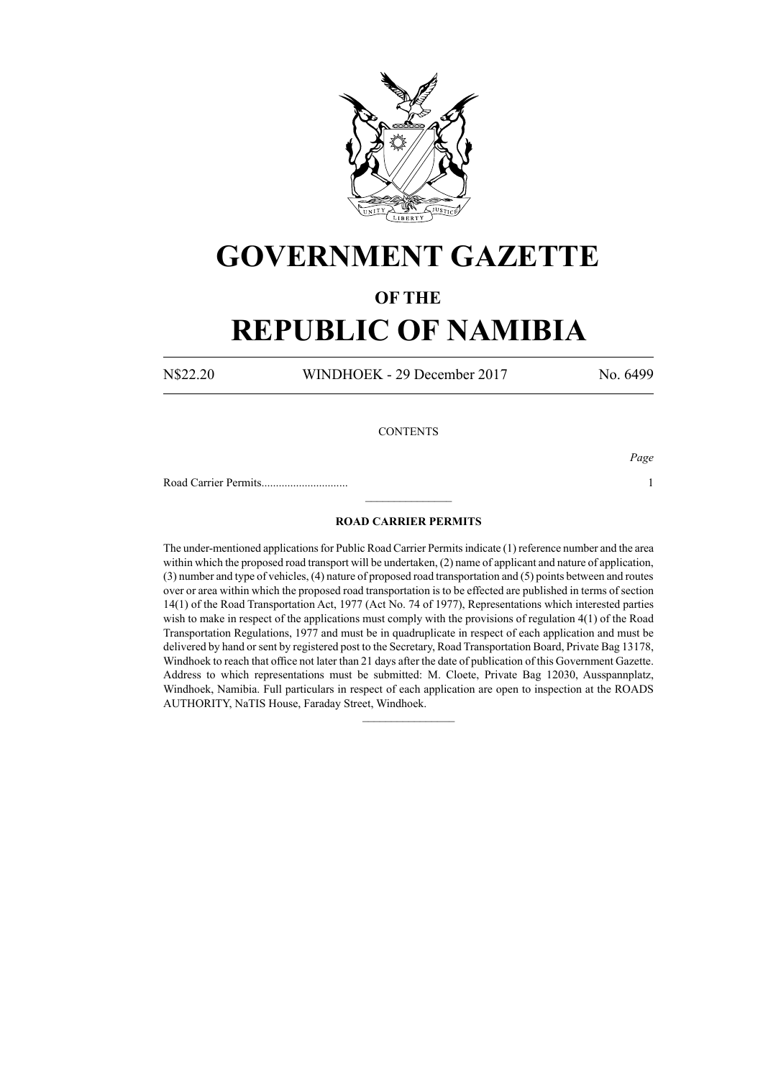

## **GOVERNMENT GAZETTE**

### **OF THE**

# **REPUBLIC OF NAMIBIA**

N\$22.20 WINDHOEK - 29 December 2017 No. 6499

#### **CONTENTS**

*Page*

Road Carrier Permits.............................. 1

### **ROAD CARRIER PERMITS**

 $\frac{1}{2}$ 

The under-mentioned applications for Public Road Carrier Permits indicate (1) reference number and the area within which the proposed road transport will be undertaken, (2) name of applicant and nature of application, (3) number and type of vehicles, (4) nature of proposed road transportation and (5) points between and routes over or area within which the proposed road transportation is to be effected are published in terms of section 14(1) of the Road Transportation Act, 1977 (Act No. 74 of 1977), Representations which interested parties wish to make in respect of the applications must comply with the provisions of regulation 4(1) of the Road Transportation Regulations, 1977 and must be in quadruplicate in respect of each application and must be delivered by hand or sent by registered post to the Secretary, Road Transportation Board, Private Bag 13178, Windhoek to reach that office not later than 21 days after the date of publication of this Government Gazette. Address to which representations must be submitted: M. Cloete, Private Bag 12030, Ausspannplatz, Windhoek, Namibia. Full particulars in respect of each application are open to inspection at the ROADS AUTHORITY, NaTIS House, Faraday Street, Windhoek.

 $\frac{1}{2}$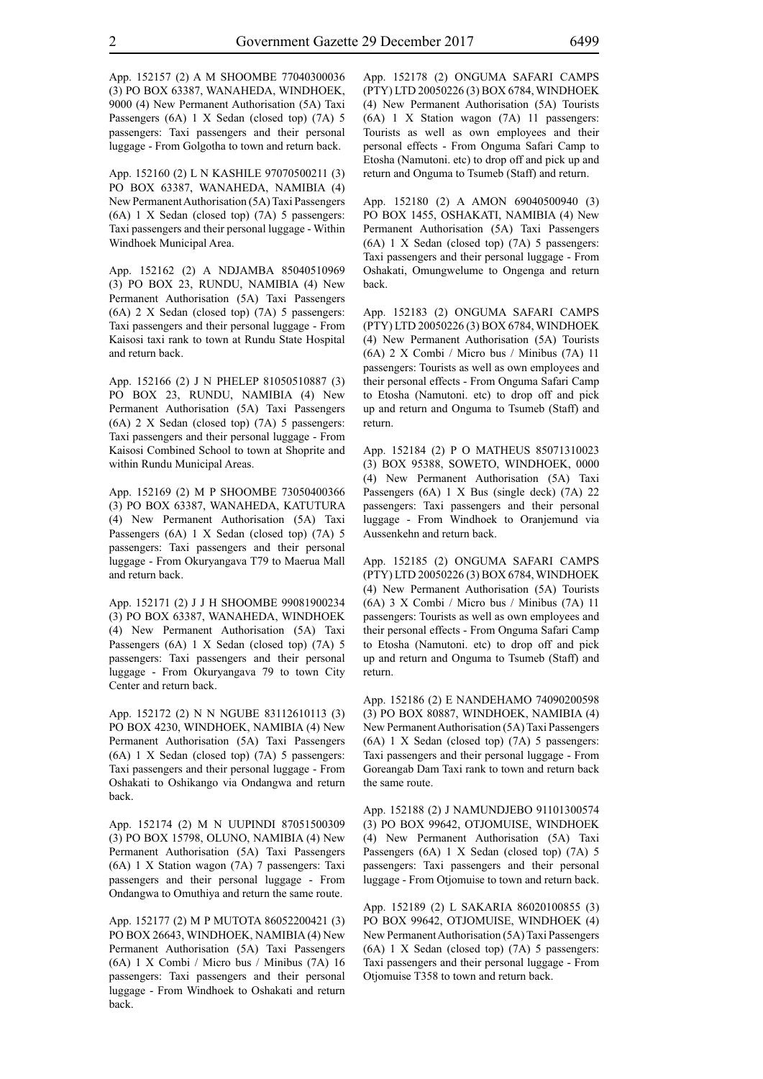App. 152157 (2) A M SHOOMBE 77040300036 (3) PO BOX 63387, WANAHEDA, WINDHOEK, 9000 (4) New Permanent Authorisation (5A) Taxi Passengers (6A) 1 X Sedan (closed top) (7A) 5 passengers: Taxi passengers and their personal luggage - From Golgotha to town and return back.

App. 152160 (2) L N KASHILE 97070500211 (3) PO BOX 63387, WANAHEDA, NAMIBIA (4) New Permanent Authorisation (5A) Taxi Passengers (6A) 1 X Sedan (closed top) (7A) 5 passengers: Taxi passengers and their personal luggage - Within Windhoek Municipal Area.

App. 152162 (2) A NDJAMBA 85040510969 (3) PO BOX 23, RUNDU, NAMIBIA (4) New Permanent Authorisation (5A) Taxi Passengers (6A) 2 X Sedan (closed top) (7A) 5 passengers: Taxi passengers and their personal luggage - From Kaisosi taxi rank to town at Rundu State Hospital and return back.

App. 152166 (2) J N PHELEP 81050510887 (3) PO BOX 23, RUNDU, NAMIBIA (4) New Permanent Authorisation (5A) Taxi Passengers (6A) 2 X Sedan (closed top) (7A) 5 passengers: Taxi passengers and their personal luggage - From Kaisosi Combined School to town at Shoprite and within Rundu Municipal Areas.

App. 152169 (2) M P SHOOMBE 73050400366 (3) PO BOX 63387, WANAHEDA, KATUTURA (4) New Permanent Authorisation (5A) Taxi Passengers (6A) 1 X Sedan (closed top) (7A) 5 passengers: Taxi passengers and their personal luggage - From Okuryangava T79 to Maerua Mall and return back.

App. 152171 (2) J J H SHOOMBE 99081900234 (3) PO BOX 63387, WANAHEDA, WINDHOEK (4) New Permanent Authorisation (5A) Taxi Passengers (6A) 1 X Sedan (closed top) (7A) 5 passengers: Taxi passengers and their personal luggage - From Okuryangava 79 to town City Center and return back.

App. 152172 (2) N N NGUBE 83112610113 (3) PO BOX 4230, WINDHOEK, NAMIBIA (4) New Permanent Authorisation (5A) Taxi Passengers (6A) 1 X Sedan (closed top) (7A) 5 passengers: Taxi passengers and their personal luggage - From Oshakati to Oshikango via Ondangwa and return back.

App. 152174 (2) M N UUPINDI 87051500309 (3) PO BOX 15798, OLUNO, NAMIBIA (4) New Permanent Authorisation (5A) Taxi Passengers (6A) 1 X Station wagon (7A) 7 passengers: Taxi passengers and their personal luggage - From Ondangwa to Omuthiya and return the same route.

App. 152177 (2) M P MUTOTA 86052200421 (3) PO BOX 26643, WINDHOEK, NAMIBIA (4) New Permanent Authorisation (5A) Taxi Passengers (6A) 1 X Combi / Micro bus / Minibus (7A) 16 passengers: Taxi passengers and their personal luggage - From Windhoek to Oshakati and return back.

App. 152178 (2) ONGUMA SAFARI CAMPS (PTY) LTD 20050226 (3) BOX 6784, WINDHOEK (4) New Permanent Authorisation (5A) Tourists (6A) 1 X Station wagon (7A) 11 passengers: Tourists as well as own employees and their personal effects - From Onguma Safari Camp to Etosha (Namutoni. etc) to drop off and pick up and return and Onguma to Tsumeb (Staff) and return.

App. 152180 (2) A AMON 69040500940 (3) PO BOX 1455, OSHAKATI, NAMIBIA (4) New Permanent Authorisation (5A) Taxi Passengers (6A) 1 X Sedan (closed top) (7A) 5 passengers: Taxi passengers and their personal luggage - From Oshakati, Omungwelume to Ongenga and return back.

App. 152183 (2) ONGUMA SAFARI CAMPS (PTY) LTD 20050226 (3) BOX 6784, WINDHOEK (4) New Permanent Authorisation (5A) Tourists (6A) 2 X Combi / Micro bus / Minibus (7A) 11 passengers: Tourists as well as own employees and their personal effects - From Onguma Safari Camp to Etosha (Namutoni. etc) to drop off and pick up and return and Onguma to Tsumeb (Staff) and return.

App. 152184 (2) P O MATHEUS 85071310023 (3) BOX 95388, SOWETO, WINDHOEK, 0000 (4) New Permanent Authorisation (5A) Taxi Passengers (6A) 1 X Bus (single deck) (7A) 22 passengers: Taxi passengers and their personal luggage - From Windhoek to Oranjemund via Aussenkehn and return back.

App. 152185 (2) ONGUMA SAFARI CAMPS (PTY) LTD 20050226 (3) BOX 6784, WINDHOEK (4) New Permanent Authorisation (5A) Tourists (6A) 3 X Combi / Micro bus / Minibus (7A) 11 passengers: Tourists as well as own employees and their personal effects - From Onguma Safari Camp to Etosha (Namutoni. etc) to drop off and pick up and return and Onguma to Tsumeb (Staff) and return.

App. 152186 (2) E NANDEHAMO 74090200598 (3) PO BOX 80887, WINDHOEK, NAMIBIA (4) New Permanent Authorisation (5A) Taxi Passengers (6A) 1 X Sedan (closed top) (7A) 5 passengers: Taxi passengers and their personal luggage - From Goreangab Dam Taxi rank to town and return back the same route.

App. 152188 (2) J NAMUNDJEBO 91101300574 (3) PO BOX 99642, OTJOMUISE, WINDHOEK (4) New Permanent Authorisation (5A) Taxi Passengers (6A) 1 X Sedan (closed top) (7A) 5 passengers: Taxi passengers and their personal luggage - From Otjomuise to town and return back.

App. 152189 (2) L SAKARIA 86020100855 (3) PO BOX 99642, OTJOMUISE, WINDHOEK (4) New Permanent Authorisation (5A) Taxi Passengers (6A) 1 X Sedan (closed top) (7A) 5 passengers: Taxi passengers and their personal luggage - From Otjomuise T358 to town and return back.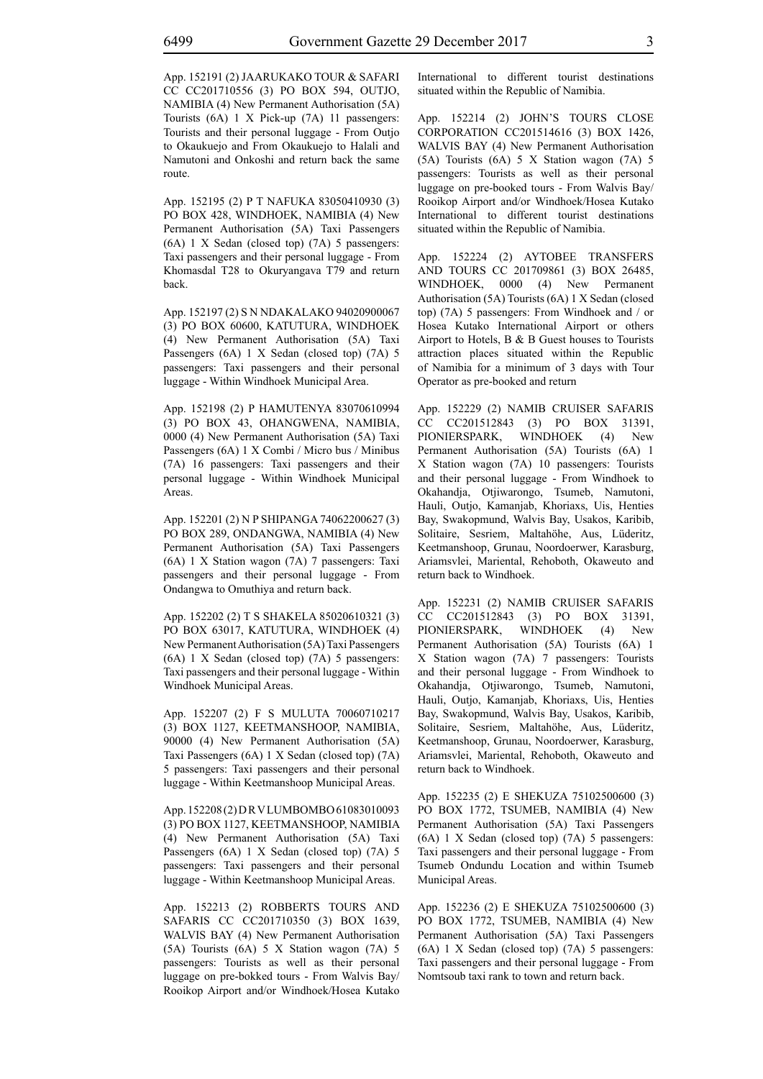App. 152191 (2) JAARUKAKO TOUR & SAFARI CC CC201710556 (3) PO BOX 594, OUTJO, NAMIBIA (4) New Permanent Authorisation (5A) Tourists (6A) 1 X Pick-up (7A) 11 passengers: Tourists and their personal luggage - From Outjo to Okaukuejo and From Okaukuejo to Halali and Namutoni and Onkoshi and return back the same route.

App. 152195 (2) P T NAFUKA 83050410930 (3) PO BOX 428, WINDHOEK, NAMIBIA (4) New Permanent Authorisation (5A) Taxi Passengers (6A) 1 X Sedan (closed top) (7A) 5 passengers: Taxi passengers and their personal luggage - From Khomasdal T28 to Okuryangava T79 and return back.

App. 152197 (2) S N NDAKALAKO 94020900067 (3) PO BOX 60600, KATUTURA, WINDHOEK (4) New Permanent Authorisation (5A) Taxi Passengers (6A) 1 X Sedan (closed top) (7A) 5 passengers: Taxi passengers and their personal luggage - Within Windhoek Municipal Area.

App. 152198 (2) P HAMUTENYA 83070610994 (3) PO BOX 43, OHANGWENA, NAMIBIA, 0000 (4) New Permanent Authorisation (5A) Taxi Passengers (6A) 1 X Combi / Micro bus / Minibus (7A) 16 passengers: Taxi passengers and their personal luggage - Within Windhoek Municipal Areas.

App. 152201 (2) N P SHIPANGA 74062200627 (3) PO BOX 289, ONDANGWA, NAMIBIA (4) New Permanent Authorisation (5A) Taxi Passengers (6A) 1 X Station wagon (7A) 7 passengers: Taxi passengers and their personal luggage - From Ondangwa to Omuthiya and return back.

App. 152202 (2) T S SHAKELA 85020610321 (3) PO BOX 63017, KATUTURA, WINDHOEK (4) New Permanent Authorisation (5A) Taxi Passengers (6A) 1 X Sedan (closed top) (7A) 5 passengers: Taxi passengers and their personal luggage - Within Windhoek Municipal Areas.

App. 152207 (2) F S MULUTA 70060710217 (3) BOX 1127, KEETMANSHOOP, NAMIBIA, 90000 (4) New Permanent Authorisation (5A) Taxi Passengers (6A) 1 X Sedan (closed top) (7A) 5 passengers: Taxi passengers and their personal luggage - Within Keetmanshoop Municipal Areas.

App. 152208 (2) D R V LUMBOMBO 61083010093 (3) PO BOX 1127, KEETMANSHOOP, NAMIBIA (4) New Permanent Authorisation (5A) Taxi Passengers (6A) 1 X Sedan (closed top) (7A) 5 passengers: Taxi passengers and their personal luggage - Within Keetmanshoop Municipal Areas.

App. 152213 (2) ROBBERTS TOURS AND SAFARIS CC CC201710350 (3) BOX 1639, WALVIS BAY (4) New Permanent Authorisation (5A) Tourists (6A) 5 X Station wagon (7A) 5 passengers: Tourists as well as their personal luggage on pre-bokked tours - From Walvis Bay/ Rooikop Airport and/or Windhoek/Hosea Kutako International to different tourist destinations situated within the Republic of Namibia.

App. 152214 (2) JOHN'S TOURS CLOSE CORPORATION CC201514616 (3) BOX 1426, WALVIS BAY (4) New Permanent Authorisation (5A) Tourists (6A) 5 X Station wagon (7A) 5 passengers: Tourists as well as their personal luggage on pre-booked tours - From Walvis Bay/ Rooikop Airport and/or Windhoek/Hosea Kutako International to different tourist destinations situated within the Republic of Namibia.

App. 152224 (2) AYTOBEE TRANSFERS AND TOURS CC 201709861 (3) BOX 26485, WINDHOEK, 0000 (4) New Permanent Authorisation (5A) Tourists (6A) 1 X Sedan (closed top) (7A) 5 passengers: From Windhoek and / or Hosea Kutako International Airport or others Airport to Hotels, B & B Guest houses to Tourists attraction places situated within the Republic of Namibia for a minimum of 3 days with Tour Operator as pre-booked and return

App. 152229 (2) NAMIB CRUISER SAFARIS CC CC201512843 (3) PO BOX 31391, PIONIERSPARK, WINDHOEK (4) New Permanent Authorisation (5A) Tourists (6A) 1 X Station wagon (7A) 10 passengers: Tourists and their personal luggage - From Windhoek to Okahandja, Otjiwarongo, Tsumeb, Namutoni, Hauli, Outjo, Kamanjab, Khoriaxs, Uis, Henties Bay, Swakopmund, Walvis Bay, Usakos, Karibib, Solitaire, Sesriem, Maltahöhe, Aus, Lüderitz, Keetmanshoop, Grunau, Noordoerwer, Karasburg, Ariamsvlei, Mariental, Rehoboth, Okaweuto and return back to Windhoek.

App. 152231 (2) NAMIB CRUISER SAFARIS CC CC201512843 (3) PO BOX 31391, PIONIERSPARK, WINDHOEK (4) New Permanent Authorisation (5A) Tourists (6A) 1 X Station wagon (7A) 7 passengers: Tourists and their personal luggage - From Windhoek to Okahandja, Otjiwarongo, Tsumeb, Namutoni, Hauli, Outjo, Kamanjab, Khoriaxs, Uis, Henties Bay, Swakopmund, Walvis Bay, Usakos, Karibib, Solitaire, Sesriem, Maltahöhe, Aus, Lüderitz, Keetmanshoop, Grunau, Noordoerwer, Karasburg, Ariamsvlei, Mariental, Rehoboth, Okaweuto and return back to Windhoek.

App. 152235 (2) E SHEKUZA 75102500600 (3) PO BOX 1772, TSUMEB, NAMIBIA (4) New Permanent Authorisation (5A) Taxi Passengers (6A) 1 X Sedan (closed top) (7A) 5 passengers: Taxi passengers and their personal luggage - From Tsumeb Ondundu Location and within Tsumeb Municipal Areas.

App. 152236 (2) E SHEKUZA 75102500600 (3) PO BOX 1772, TSUMEB, NAMIBIA (4) New Permanent Authorisation (5A) Taxi Passengers (6A) 1 X Sedan (closed top) (7A) 5 passengers: Taxi passengers and their personal luggage - From Nomtsoub taxi rank to town and return back.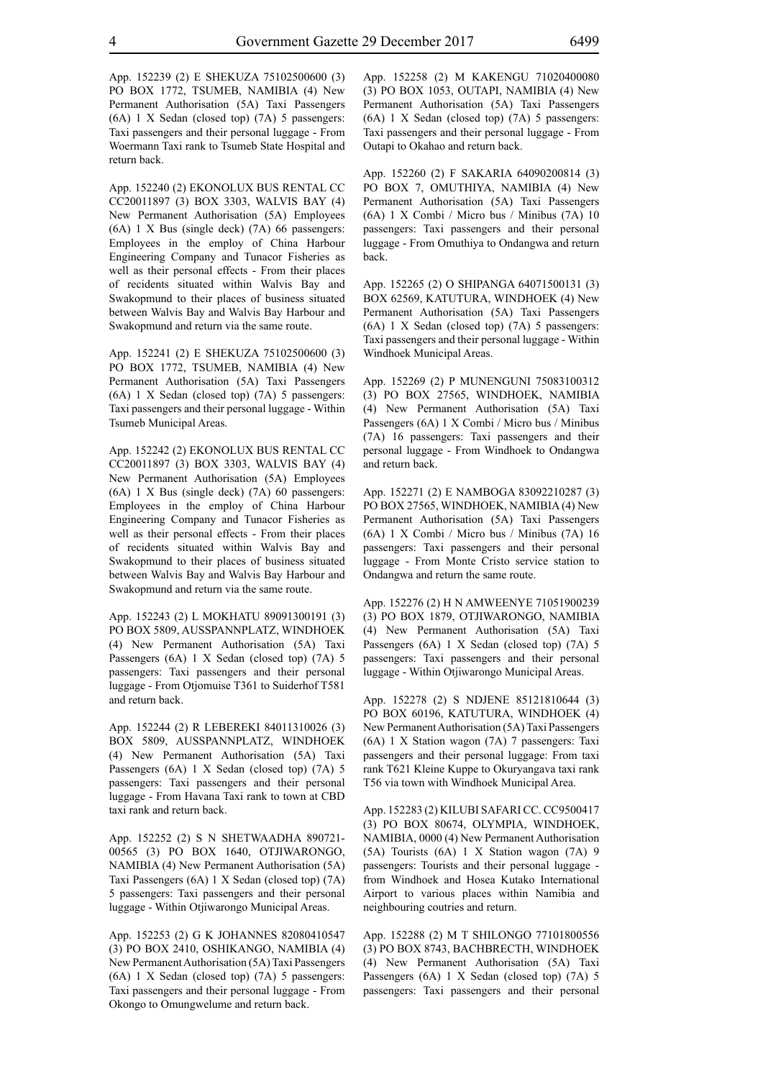App. 152239 (2) E SHEKUZA 75102500600 (3) PO BOX 1772, TSUMEB, NAMIBIA (4) New Permanent Authorisation (5A) Taxi Passengers (6A) 1 X Sedan (closed top) (7A) 5 passengers: Taxi passengers and their personal luggage - From Woermann Taxi rank to Tsumeb State Hospital and return back.

App. 152240 (2) EKONOLUX BUS RENTAL CC CC20011897 (3) BOX 3303, WALVIS BAY (4) New Permanent Authorisation (5A) Employees (6A) 1 X Bus (single deck) (7A) 66 passengers: Employees in the employ of China Harbour Engineering Company and Tunacor Fisheries as well as their personal effects - From their places of recidents situated within Walvis Bay and Swakopmund to their places of business situated between Walvis Bay and Walvis Bay Harbour and Swakopmund and return via the same route.

App. 152241 (2) E SHEKUZA 75102500600 (3) PO BOX 1772, TSUMEB, NAMIBIA (4) New Permanent Authorisation (5A) Taxi Passengers (6A) 1 X Sedan (closed top) (7A) 5 passengers: Taxi passengers and their personal luggage - Within Tsumeb Municipal Areas.

App. 152242 (2) EKONOLUX BUS RENTAL CC CC20011897 (3) BOX 3303, WALVIS BAY (4) New Permanent Authorisation (5A) Employees (6A) 1 X Bus (single deck) (7A) 60 passengers: Employees in the employ of China Harbour Engineering Company and Tunacor Fisheries as well as their personal effects - From their places of recidents situated within Walvis Bay and Swakopmund to their places of business situated between Walvis Bay and Walvis Bay Harbour and Swakopmund and return via the same route.

App. 152243 (2) L MOKHATU 89091300191 (3) PO BOX 5809, AUSSPANNPLATZ, WINDHOEK (4) New Permanent Authorisation (5A) Taxi Passengers (6A) 1 X Sedan (closed top) (7A) 5 passengers: Taxi passengers and their personal luggage - From Otjomuise T361 to Suiderhof T581 and return back.

App. 152244 (2) R LEBEREKI 84011310026 (3) BOX 5809, AUSSPANNPLATZ, WINDHOEK (4) New Permanent Authorisation (5A) Taxi Passengers (6A) 1 X Sedan (closed top) (7A) 5 passengers: Taxi passengers and their personal luggage - From Havana Taxi rank to town at CBD taxi rank and return back.

App. 152252 (2) S N SHETWAADHA 890721- 00565 (3) PO BOX 1640, OTJIWARONGO, NAMIBIA (4) New Permanent Authorisation (5A) Taxi Passengers (6A) 1 X Sedan (closed top) (7A) 5 passengers: Taxi passengers and their personal luggage - Within Otjiwarongo Municipal Areas.

App. 152253 (2) G K JOHANNES 82080410547 (3) PO BOX 2410, OSHIKANGO, NAMIBIA (4) New Permanent Authorisation (5A) Taxi Passengers (6A) 1 X Sedan (closed top) (7A) 5 passengers: Taxi passengers and their personal luggage - From Okongo to Omungwelume and return back.

App. 152258 (2) M KAKENGU 71020400080 (3) PO BOX 1053, OUTAPI, NAMIBIA (4) New Permanent Authorisation (5A) Taxi Passengers (6A) 1 X Sedan (closed top) (7A) 5 passengers: Taxi passengers and their personal luggage - From Outapi to Okahao and return back.

App. 152260 (2) F SAKARIA 64090200814 (3) PO BOX 7, OMUTHIYA, NAMIBIA (4) New Permanent Authorisation (5A) Taxi Passengers (6A) 1 X Combi / Micro bus / Minibus (7A) 10 passengers: Taxi passengers and their personal luggage - From Omuthiya to Ondangwa and return back.

App. 152265 (2) O SHIPANGA 64071500131 (3) BOX 62569, KATUTURA, WINDHOEK (4) New Permanent Authorisation (5A) Taxi Passengers (6A) 1 X Sedan (closed top) (7A) 5 passengers: Taxi passengers and their personal luggage - Within Windhoek Municipal Areas.

App. 152269 (2) P MUNENGUNI 75083100312 (3) PO BOX 27565, WINDHOEK, NAMIBIA (4) New Permanent Authorisation (5A) Taxi Passengers (6A) 1 X Combi / Micro bus / Minibus (7A) 16 passengers: Taxi passengers and their personal luggage - From Windhoek to Ondangwa and return back.

App. 152271 (2) E NAMBOGA 83092210287 (3) PO BOX 27565, WINDHOEK, NAMIBIA (4) New Permanent Authorisation (5A) Taxi Passengers (6A) 1 X Combi / Micro bus / Minibus (7A) 16 passengers: Taxi passengers and their personal luggage - From Monte Cristo service station to Ondangwa and return the same route.

App. 152276 (2) H N AMWEENYE 71051900239 (3) PO BOX 1879, OTJIWARONGO, NAMIBIA (4) New Permanent Authorisation (5A) Taxi Passengers (6A) 1 X Sedan (closed top) (7A) 5 passengers: Taxi passengers and their personal luggage - Within Otjiwarongo Municipal Areas.

App. 152278 (2) S NDJENE 85121810644 (3) PO BOX 60196, KATUTURA, WINDHOEK (4) New Permanent Authorisation (5A) Taxi Passengers (6A) 1 X Station wagon (7A) 7 passengers: Taxi passengers and their personal luggage: From taxi rank T621 Kleine Kuppe to Okuryangava taxi rank T56 via town with Windhoek Municipal Area.

App. 152283 (2) KILUBI SAFARI CC. CC9500417 (3) PO BOX 80674, OLYMPIA, WINDHOEK, NAMIBIA, 0000 (4) New Permanent Authorisation (5A) Tourists (6A) 1 X Station wagon (7A) 9 passengers: Tourists and their personal luggage from Windhoek and Hosea Kutako International Airport to various places within Namibia and neighbouring coutries and return.

App. 152288 (2) M T SHILONGO 77101800556 (3) PO BOX 8743, BACHBRECTH, WINDHOEK (4) New Permanent Authorisation (5A) Taxi Passengers (6A) 1 X Sedan (closed top) (7A) 5 passengers: Taxi passengers and their personal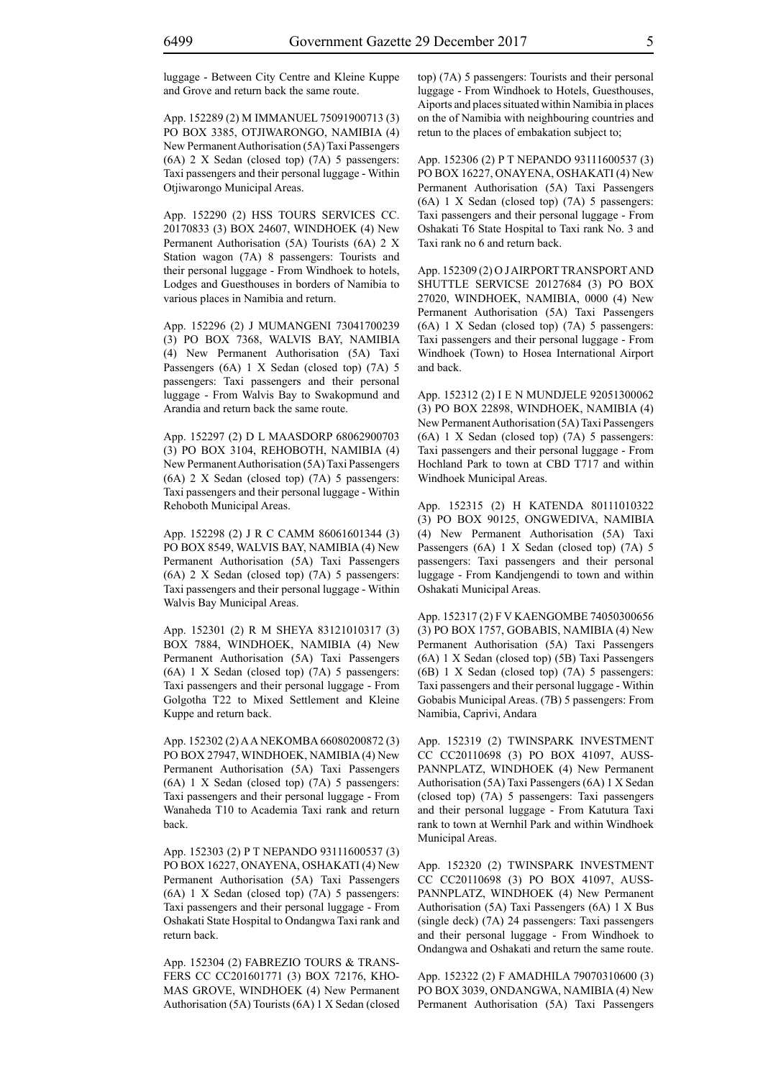luggage - Between City Centre and Kleine Kuppe and Grove and return back the same route.

App. 152289 (2) M IMMANUEL 75091900713 (3) PO BOX 3385, OTJIWARONGO, NAMIBIA (4) New Permanent Authorisation (5A) Taxi Passengers (6A) 2 X Sedan (closed top) (7A) 5 passengers: Taxi passengers and their personal luggage - Within Otjiwarongo Municipal Areas.

App. 152290 (2) HSS TOURS SERVICES CC. 20170833 (3) BOX 24607, WINDHOEK (4) New Permanent Authorisation (5A) Tourists (6A) 2 X Station wagon (7A) 8 passengers: Tourists and their personal luggage - From Windhoek to hotels, Lodges and Guesthouses in borders of Namibia to various places in Namibia and return.

App. 152296 (2) J MUMANGENI 73041700239 (3) PO BOX 7368, WALVIS BAY, NAMIBIA (4) New Permanent Authorisation (5A) Taxi Passengers (6A) 1 X Sedan (closed top) (7A) 5 passengers: Taxi passengers and their personal luggage - From Walvis Bay to Swakopmund and Arandia and return back the same route.

App. 152297 (2) D L MAASDORP 68062900703 (3) PO BOX 3104, REHOBOTH, NAMIBIA (4) New Permanent Authorisation (5A) Taxi Passengers (6A) 2 X Sedan (closed top) (7A) 5 passengers: Taxi passengers and their personal luggage - Within Rehoboth Municipal Areas.

App. 152298 (2) J R C CAMM 86061601344 (3) PO BOX 8549, WALVIS BAY, NAMIBIA (4) New Permanent Authorisation (5A) Taxi Passengers (6A) 2 X Sedan (closed top) (7A) 5 passengers: Taxi passengers and their personal luggage - Within Walvis Bay Municipal Areas.

App. 152301 (2) R M SHEYA 83121010317 (3) BOX 7884, WINDHOEK, NAMIBIA (4) New Permanent Authorisation (5A) Taxi Passengers (6A) 1 X Sedan (closed top) (7A) 5 passengers: Taxi passengers and their personal luggage - From Golgotha T22 to Mixed Settlement and Kleine Kuppe and return back.

App. 152302 (2) A A NEKOMBA 66080200872 (3) PO BOX 27947, WINDHOEK, NAMIBIA (4) New Permanent Authorisation (5A) Taxi Passengers (6A) 1 X Sedan (closed top) (7A) 5 passengers: Taxi passengers and their personal luggage - From Wanaheda T10 to Academia Taxi rank and return back.

App. 152303 (2) P T NEPANDO 93111600537 (3) PO BOX 16227, ONAYENA, OSHAKATI (4) New Permanent Authorisation (5A) Taxi Passengers (6A) 1 X Sedan (closed top) (7A) 5 passengers: Taxi passengers and their personal luggage - From Oshakati State Hospital to Ondangwa Taxi rank and return back.

App. 152304 (2) FABREZIO TOURS & TRANS-FERS CC CC201601771 (3) BOX 72176, KHO-MAS GROVE, WINDHOEK (4) New Permanent Authorisation (5A) Tourists (6A) 1 X Sedan (closed top) (7A) 5 passengers: Tourists and their personal luggage - From Windhoek to Hotels, Guesthouses, Aiports and places situated within Namibia in places on the of Namibia with neighbouring countries and retun to the places of embakation subject to;

App. 152306 (2) P T NEPANDO 93111600537 (3) PO BOX 16227, ONAYENA, OSHAKATI (4) New Permanent Authorisation (5A) Taxi Passengers (6A) 1 X Sedan (closed top) (7A) 5 passengers: Taxi passengers and their personal luggage - From Oshakati T6 State Hospital to Taxi rank No. 3 and Taxi rank no 6 and return back.

App. 152309 (2) O J AIRPORT TRANSPORT AND SHUTTLE SERVICSE 20127684 (3) PO BOX 27020, WINDHOEK, NAMIBIA, 0000 (4) New Permanent Authorisation (5A) Taxi Passengers (6A) 1 X Sedan (closed top) (7A) 5 passengers: Taxi passengers and their personal luggage - From Windhoek (Town) to Hosea International Airport and back.

App. 152312 (2) I E N MUNDJELE 92051300062 (3) PO BOX 22898, WINDHOEK, NAMIBIA (4) New Permanent Authorisation (5A) Taxi Passengers (6A) 1 X Sedan (closed top) (7A) 5 passengers: Taxi passengers and their personal luggage - From Hochland Park to town at CBD T717 and within Windhoek Municipal Areas.

App. 152315 (2) H KATENDA 80111010322 (3) PO BOX 90125, ONGWEDIVA, NAMIBIA (4) New Permanent Authorisation (5A) Taxi Passengers (6A) 1 X Sedan (closed top) (7A) 5 passengers: Taxi passengers and their personal luggage - From Kandjengendi to town and within Oshakati Municipal Areas.

App. 152317 (2) F V KAENGOMBE 74050300656 (3) PO BOX 1757, GOBABIS, NAMIBIA (4) New Permanent Authorisation (5A) Taxi Passengers (6A) 1 X Sedan (closed top) (5B) Taxi Passengers (6B) 1 X Sedan (closed top) (7A) 5 passengers: Taxi passengers and their personal luggage - Within Gobabis Municipal Areas. (7B) 5 passengers: From Namibia, Caprivi, Andara

App. 152319 (2) TWINSPARK INVESTMENT CC CC20110698 (3) PO BOX 41097, AUSS-PANNPLATZ, WINDHOEK (4) New Permanent Authorisation (5A) Taxi Passengers (6A) 1 X Sedan (closed top) (7A) 5 passengers: Taxi passengers and their personal luggage - From Katutura Taxi rank to town at Wernhil Park and within Windhoek Municipal Areas.

App. 152320 (2) TWINSPARK INVESTMENT CC CC20110698 (3) PO BOX 41097, AUSS-PANNPLATZ, WINDHOEK (4) New Permanent Authorisation (5A) Taxi Passengers (6A) 1 X Bus (single deck) (7A) 24 passengers: Taxi passengers and their personal luggage - From Windhoek to Ondangwa and Oshakati and return the same route.

App. 152322 (2) F AMADHILA 79070310600 (3) PO BOX 3039, ONDANGWA, NAMIBIA (4) New Permanent Authorisation (5A) Taxi Passengers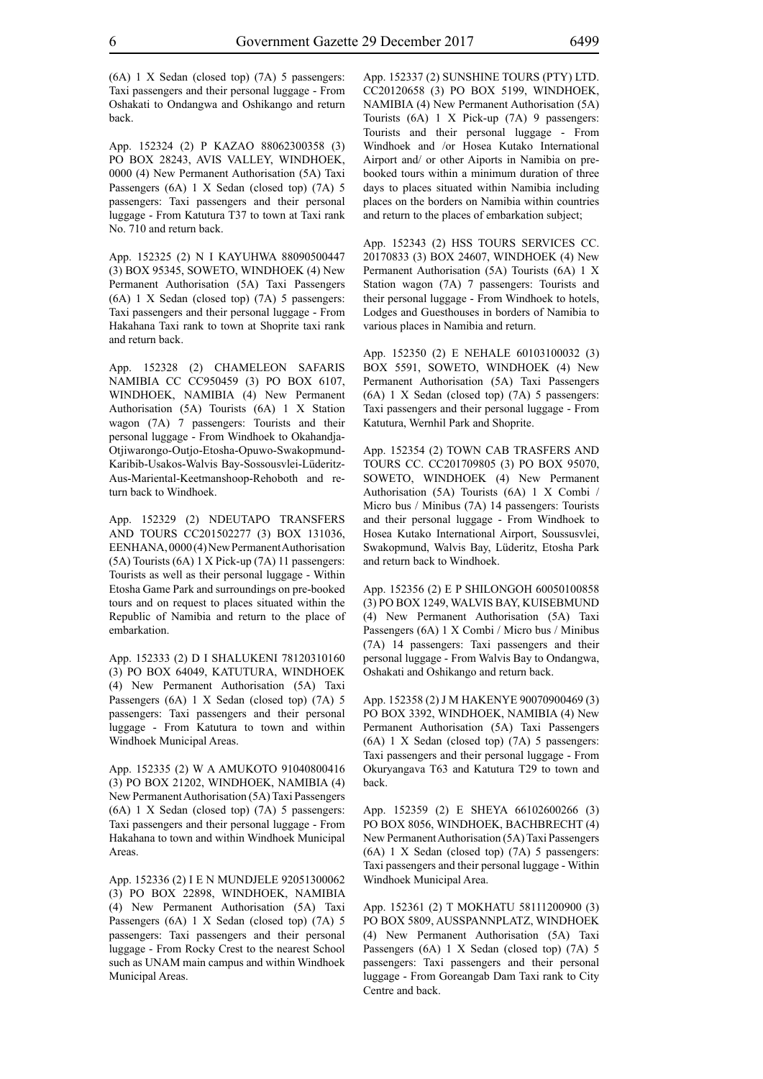(6A) 1 X Sedan (closed top) (7A) 5 passengers: Taxi passengers and their personal luggage - From Oshakati to Ondangwa and Oshikango and return

App. 152324 (2) P KAZAO 88062300358 (3) PO BOX 28243, AViS VALLeY, WINDHOEK, 0000 (4) New Permanent Authorisation (5A) Taxi Passengers (6A) 1 X Sedan (closed top) (7A) 5 passengers: Taxi passengers and their personal luggage - From Katutura T37 to town at Taxi rank No. 710 and return back.

App. 152325 (2) N I KAYUHWA 88090500447 (3) BOX 95345, SOWETO, WINDHOEK (4) New Permanent Authorisation (5A) Taxi Passengers (6A) 1 X Sedan (closed top) (7A) 5 passengers: Taxi passengers and their personal luggage - From Hakahana Taxi rank to town at Shoprite taxi rank and return back.

App. 152328 (2) CHAMELEON SAFARIS NAMIBIA CC CC950459 (3) PO BOX 6107, WINDHOEK, NAMIBIA (4) New Permanent Authorisation (5A) Tourists (6A) 1 X Station wagon (7A) 7 passengers: Tourists and their personal luggage - From Windhoek to Okahandja-Otjiwarongo-Outjo-Etosha-Opuwo-Swakopmund-Karibib-Usakos-Walvis Bay-Sossousvlei-Lüderitz-Aus-Mariental-Keetmanshoop-Rehoboth and return back to Windhoek.

App. 152329 (2) NDEUTAPO TRANSFERS AND TOURS CC201502277 (3) BOX 131036, EENHANA, 0000 (4) New Permanent Authorisation (5A) Tourists (6A) 1 X Pick-up (7A) 11 passengers: Tourists as well as their personal luggage - Within Etosha Game Park and surroundings on pre-booked tours and on request to places situated within the Republic of Namibia and return to the place of embarkation.

App. 152333 (2) D I SHALUKENI 78120310160 (3) PO BOX 64049, KATUTURA, WINDHOEK (4) New Permanent Authorisation (5A) Taxi Passengers (6A) 1 X Sedan (closed top) (7A) 5 passengers: Taxi passengers and their personal luggage - From Katutura to town and within Windhoek Municipal Areas.

App. 152335 (2) W A AMUKOTO 91040800416 (3) PO BOX 21202, WINDHOEK, NAMIBIA (4) New Permanent Authorisation (5A) Taxi Passengers (6A) 1 X Sedan (closed top) (7A) 5 passengers: Taxi passengers and their personal luggage - From Hakahana to town and within Windhoek Municipal **Areas**.

App. 152336 (2) I E N MUNDJELE 92051300062 (3) PO BOX 22898, WINDHOEK, NAMIBIA (4) New Permanent Authorisation (5A) Taxi Passengers (6A) 1 X Sedan (closed top) (7A) 5 passengers: Taxi passengers and their personal luggage - From Rocky Crest to the nearest School such as UNAM main campus and within Windhoek Municipal Areas.

App. 152337 (2) SUNSHINE TOURS (PTY) LTD. CC20120658 (3) PO BOX 5199, WINDHOEK, NAMIBIA (4) New Permanent Authorisation (5A) Tourists (6A) 1 X Pick-up (7A) 9 passengers: Tourists and their personal luggage - From Windhoek and /or Hosea Kutako International Airport and/ or other Aiports in Namibia on prebooked tours within a minimum duration of three days to places situated within Namibia including places on the borders on Namibia within countries and return to the places of embarkation subject;

App. 152343 (2) HSS TOURS SERVICES CC. 20170833 (3) BOX 24607, WINDHOEK (4) New Permanent Authorisation (5A) Tourists (6A) 1 X Station wagon (7A) 7 passengers: Tourists and their personal luggage - From Windhoek to hotels, Lodges and Guesthouses in borders of Namibia to various places in Namibia and return.

App. 152350 (2) E NEHALE 60103100032 (3) BOX 5591, SOWETO, WINDHOEK (4) New Permanent Authorisation (5A) Taxi Passengers (6A) 1 X Sedan (closed top) (7A) 5 passengers: Taxi passengers and their personal luggage - From Katutura, Wernhil Park and Shoprite.

App. 152354 (2) TOWN CAB TRASFERS AND TOURS CC. CC201709805 (3) PO BOX 95070, SOWETO, WINDHOEK (4) New Permanent Authorisation (5A) Tourists (6A) 1 X Combi / Micro bus / Minibus (7A) 14 passengers: Tourists and their personal luggage - From Windhoek to Hosea Kutako International Airport, Soussusvlei, Swakopmund, Walvis Bay, Lüderitz, Etosha Park and return back to Windhoek.

App. 152356 (2) E P SHILONGOH 60050100858 (3) PO BOX 1249, WALVIS BAY, KUISEBMUND (4) New Permanent Authorisation (5A) Taxi Passengers (6A) 1 X Combi / Micro bus / Minibus (7A) 14 passengers: Taxi passengers and their personal luggage - From Walvis Bay to Ondangwa, Oshakati and Oshikango and return back.

App. 152358 (2) J M HAKENYE 90070900469 (3) PO BOX 3392, WINDHOEK, NAMIBIA (4) New Permanent Authorisation (5A) Taxi Passengers (6A) 1 X Sedan (closed top) (7A) 5 passengers: Taxi passengers and their personal luggage - From Okuryangava T63 and Katutura T29 to town and back.

App. 152359 (2) E SHEYA 66102600266 (3) PO BOX 8056, WINDHOEK, BACHBRECHT (4) New Permanent Authorisation (5A) Taxi Passengers (6A) 1 X Sedan (closed top) (7A) 5 passengers: Taxi passengers and their personal luggage - Within Windhoek Municipal Area.

App. 152361 (2) T MOKHATU 58111200900 (3) PO BOX 5809, AUSSPANNPLATZ, WINDHOEK (4) New Permanent Authorisation (5A) Taxi Passengers (6A) 1 X Sedan (closed top) (7A) 5 passengers: Taxi passengers and their personal luggage - From Goreangab Dam Taxi rank to City Centre and back.

back.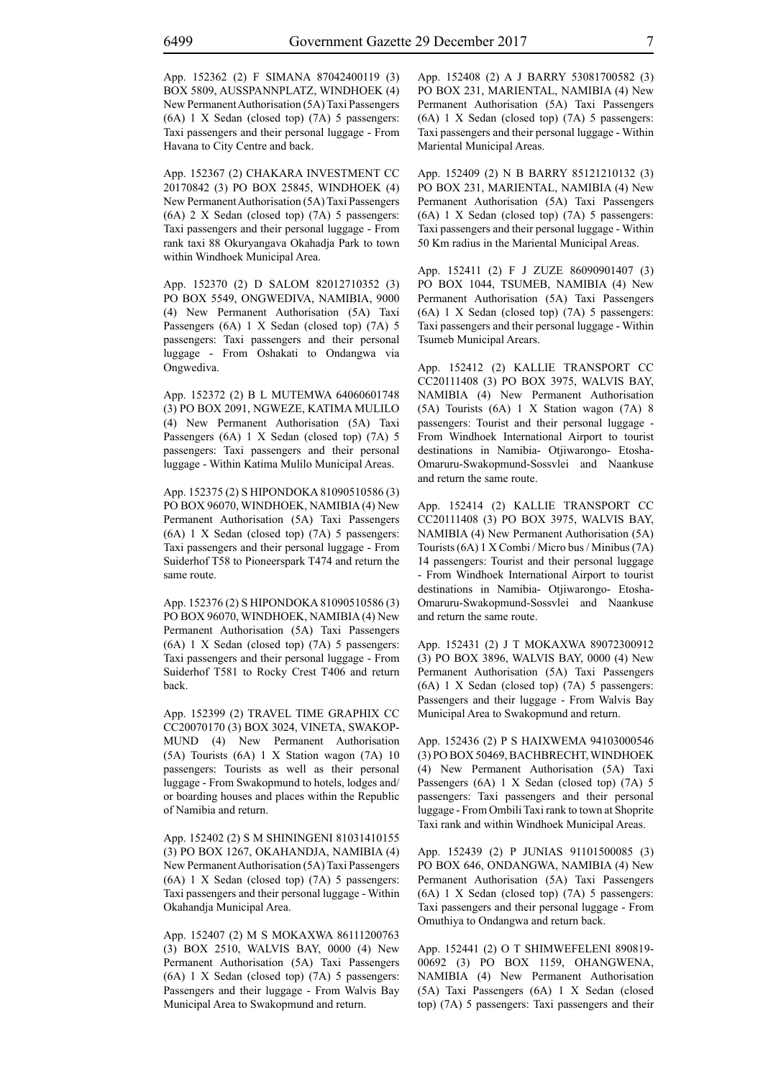App. 152362 (2) F SIMANA 87042400119 (3) BOX 5809, AUSSPANNPLATZ, WINDHOEK (4) New Permanent Authorisation (5A) Taxi Passengers (6A) 1 X Sedan (closed top) (7A) 5 passengers: Taxi passengers and their personal luggage - From Havana to City Centre and back.

App. 152367 (2) CHAKARA INVESTMENT CC 20170842 (3) PO BOX 25845, WINDHOEK (4) New Permanent Authorisation (5A) Taxi Passengers (6A) 2 X Sedan (closed top) (7A) 5 passengers: Taxi passengers and their personal luggage - From rank taxi 88 Okuryangava Okahadja Park to town within Windhoek Municipal Area.

App. 152370 (2) D SALOM 82012710352 (3) PO BOX 5549, ONGWEDIVA, NAMIBIA, 9000 (4) New Permanent Authorisation (5A) Taxi Passengers (6A) 1 X Sedan (closed top) (7A) 5 passengers: Taxi passengers and their personal luggage - From Oshakati to Ondangwa via Ongwediva.

App. 152372 (2) B L MUTEMWA 64060601748 (3) PO BOX 2091, NGWEZE, KATIMA MULILO (4) New Permanent Authorisation (5A) Taxi Passengers (6A) 1 X Sedan (closed top) (7A) 5 passengers: Taxi passengers and their personal luggage - Within Katima Mulilo Municipal Areas.

App. 152375 (2) S HIPONDOKA 81090510586 (3) PO BOX 96070, WINDHOEK, NAMIBIA (4) New Permanent Authorisation (5A) Taxi Passengers (6A) 1 X Sedan (closed top) (7A) 5 passengers: Taxi passengers and their personal luggage - From Suiderhof T58 to Pioneerspark T474 and return the same route.

App. 152376 (2) S HIPONDOKA 81090510586 (3) PO BOX 96070, WINDHOEK, NAMIBIA (4) New Permanent Authorisation (5A) Taxi Passengers (6A) 1 X Sedan (closed top) (7A) 5 passengers: Taxi passengers and their personal luggage - From Suiderhof T581 to Rocky Crest T406 and return back.

App. 152399 (2) TRAVEL TIME GRAPHIX CC CC20070170 (3) BOX 3024, VINETA, SWAKOP-MUND (4) New Permanent Authorisation (5A) Tourists (6A) 1 X Station wagon (7A) 10 passengers: Tourists as well as their personal luggage - From Swakopmund to hotels, lodges and/ or boarding houses and places within the Republic of Namibia and return.

App. 152402 (2) S M SHININGENI 81031410155 (3) PO BOX 1267, OKAHANDJA, NAMIBIA (4) New Permanent Authorisation (5A) Taxi Passengers (6A) 1 X Sedan (closed top) (7A) 5 passengers: Taxi passengers and their personal luggage - Within Okahandja Municipal Area.

App. 152407 (2) M S MOKAXWA 86111200763 (3) BOX 2510, WALVIS BAY, 0000 (4) New Permanent Authorisation (5A) Taxi Passengers (6A) 1 X Sedan (closed top) (7A) 5 passengers: Passengers and their luggage - From Walvis Bay Municipal Area to Swakopmund and return.

App. 152408 (2) A J BARRY 53081700582 (3) PO BOX 231, MARIENTAL, NAMIBIA (4) New Permanent Authorisation (5A) Taxi Passengers (6A) 1 X Sedan (closed top) (7A) 5 passengers: Taxi passengers and their personal luggage - Within Mariental Municipal Areas.

App. 152409 (2) N B BARRY 85121210132 (3) PO BOX 231, MARIENTAL, NAMIBIA (4) New Permanent Authorisation (5A) Taxi Passengers (6A) 1 X Sedan (closed top) (7A) 5 passengers: Taxi passengers and their personal luggage - Within 50 Km radius in the Mariental Municipal Areas.

App. 152411 (2) F J ZUZE 86090901407 (3) PO BOX 1044, TSUMEB, NAMIBIA (4) New Permanent Authorisation (5A) Taxi Passengers (6A) 1 X Sedan (closed top) (7A) 5 passengers: Taxi passengers and their personal luggage - Within Tsumeb Municipal Arears.

App. 152412 (2) KALLIE TRANSPORT CC CC20111408 (3) PO BOX 3975, WALVIS BAY, NAMIBIA (4) New Permanent Authorisation (5A) Tourists (6A) 1 X Station wagon (7A) 8 passengers: Tourist and their personal luggage - From Windhoek International Airport to tourist destinations in Namibia- Otjiwarongo- Etosha-Omaruru-Swakopmund-Sossvlei and Naankuse and return the same route.

App. 152414 (2) KALLIE TRANSPORT CC CC20111408 (3) PO BOX 3975, WALVIS BAY, NAMIBIA (4) New Permanent Authorisation (5A) Tourists (6A) 1 X Combi / Micro bus / Minibus (7A) 14 passengers: Tourist and their personal luggage - From Windhoek International Airport to tourist destinations in Namibia- Otjiwarongo- Etosha-Omaruru-Swakopmund-Sossvlei and Naankuse and return the same route.

App. 152431 (2) J T MOKAXWA 89072300912 (3) PO BOX 3896, WALVIS BAY, 0000 (4) New Permanent Authorisation (5A) Taxi Passengers (6A) 1 X Sedan (closed top) (7A) 5 passengers: Passengers and their luggage - From Walvis Bay Municipal Area to Swakopmund and return.

App. 152436 (2) P S HAIXWEMA 94103000546 (3) PO BOX 50469, BACHBRECHT, WINDHOEK (4) New Permanent Authorisation (5A) Taxi Passengers (6A) 1 X Sedan (closed top) (7A) 5 passengers: Taxi passengers and their personal luggage - From Ombili Taxi rank to town at Shoprite Taxi rank and within Windhoek Municipal Areas.

App. 152439 (2) P JUNIAS 91101500085 (3) PO BOX 646, ONDANGWA, NAMIBIA (4) New Permanent Authorisation (5A) Taxi Passengers (6A) 1 X Sedan (closed top) (7A) 5 passengers: Taxi passengers and their personal luggage - From Omuthiya to Ondangwa and return back.

App. 152441 (2) O T SHIMWEFELENI 890819- 00692 (3) PO BOX 1159, OHANGWENA, NAMIBIA (4) New Permanent Authorisation (5A) Taxi Passengers (6A) 1 X Sedan (closed top) (7A) 5 passengers: Taxi passengers and their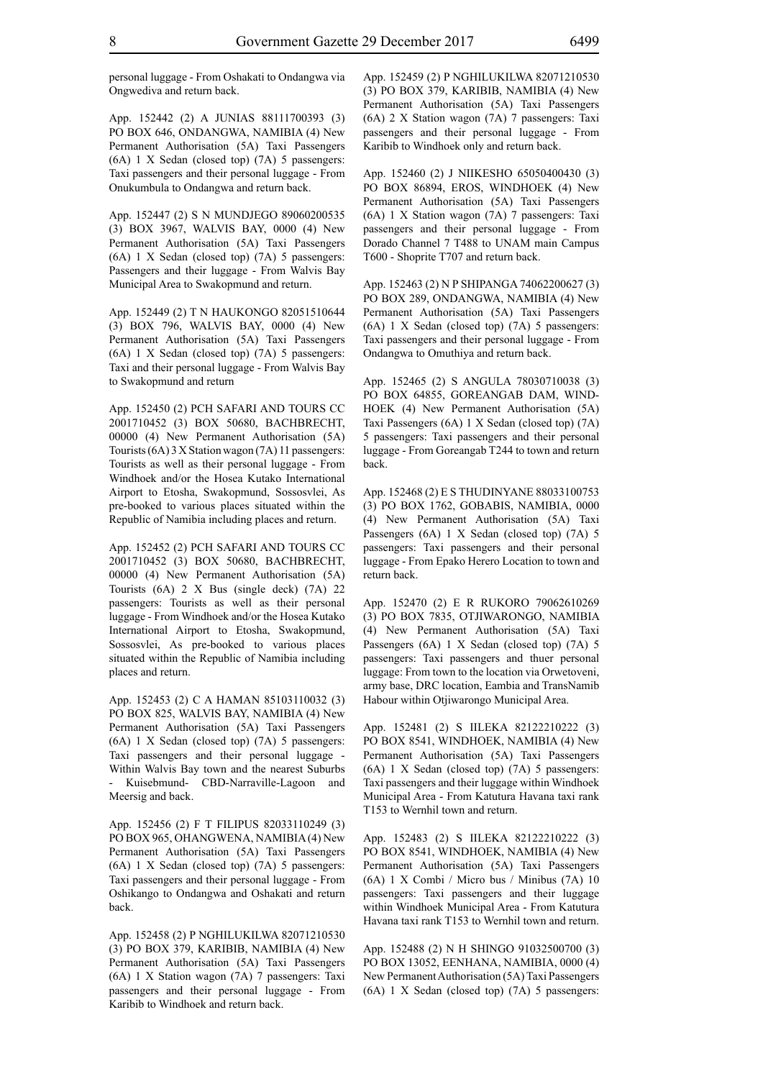personal luggage - From Oshakati to Ondangwa via Ongwediva and return back.

App. 152442 (2) A JUNIAS 88111700393 (3) PO BOX 646, ONDANGWA, NAMIBIA (4) New Permanent Authorisation (5A) Taxi Passengers (6A) 1 X Sedan (closed top) (7A) 5 passengers: Taxi passengers and their personal luggage - From Onukumbula to Ondangwa and return back.

App. 152447 (2) S N MUNDJEGO 89060200535 (3) BOX 3967, WALVIS BAY, 0000 (4) New Permanent Authorisation (5A) Taxi Passengers (6A) 1 X Sedan (closed top) (7A) 5 passengers: Passengers and their luggage - From Walvis Bay Municipal Area to Swakopmund and return.

App. 152449 (2) T N HAUKONGO 82051510644 (3) BOX 796, WALVIS BAY, 0000 (4) New Permanent Authorisation (5A) Taxi Passengers (6A) 1 X Sedan (closed top) (7A) 5 passengers: Taxi and their personal luggage - From Walvis Bay to Swakopmund and return

App. 152450 (2) PCH SAFARI AND TOURS CC 2001710452 (3) BOX 50680, BACHBRECHT, 00000 (4) New Permanent Authorisation (5A) Tourists (6A) 3 X Station wagon (7A) 11 passengers: Tourists as well as their personal luggage - From Windhoek and/or the Hosea Kutako International Airport to Etosha, Swakopmund, Sossosvlei, As pre-booked to various places situated within the Republic of Namibia including places and return.

App. 152452 (2) PCH SAFARI AND TOURS CC 2001710452 (3) BOX 50680, BACHBRECHT, 00000 (4) New Permanent Authorisation (5A) Tourists (6A) 2 X Bus (single deck) (7A) 22 passengers: Tourists as well as their personal luggage - From Windhoek and/or the Hosea Kutako International Airport to Etosha, Swakopmund, Sossosvlei, As pre-booked to various places situated within the Republic of Namibia including places and return.

App. 152453 (2) C A HAMAN 85103110032 (3) PO BOX 825, WALVIS BAY, NAMIBIA (4) New Permanent Authorisation (5A) Taxi Passengers (6A) 1 X Sedan (closed top) (7A) 5 passengers: Taxi passengers and their personal luggage - Within Walvis Bay town and the nearest Suburbs Kuisebmund- CBD-Narraville-Lagoon and Meersig and back.

App. 152456 (2) F T FILIPUS 82033110249 (3) PO BOX 965, OHANGWENA, NAMIBIA (4) New Permanent Authorisation (5A) Taxi Passengers (6A) 1 X Sedan (closed top) (7A) 5 passengers: Taxi passengers and their personal luggage - From Oshikango to Ondangwa and Oshakati and return back.

App. 152458 (2) P NGHILUKILWA 82071210530 (3) PO BOX 379, KARIBIB, NAMIBIA (4) New Permanent Authorisation (5A) Taxi Passengers (6A) 1 X Station wagon (7A) 7 passengers: Taxi passengers and their personal luggage - From Karibib to Windhoek and return back.

App. 152459 (2) P NGHILUKILWA 82071210530 (3) PO BOX 379, KARIBIB, NAMIBIA (4) New Permanent Authorisation (5A) Taxi Passengers (6A) 2 X Station wagon (7A) 7 passengers: Taxi passengers and their personal luggage - From Karibib to Windhoek only and return back.

App. 152460 (2) J NIIKESHO 65050400430 (3) PO BOX 86894, EROS, WINDHOEK (4) New Permanent Authorisation (5A) Taxi Passengers (6A) 1 X Station wagon (7A) 7 passengers: Taxi passengers and their personal luggage - From Dorado Channel 7 T488 to UNAM main Campus T600 - Shoprite T707 and return back.

App. 152463 (2) N P SHIPANGA 74062200627 (3) PO BOX 289, ONDANGWA, NAMIBIA (4) New Permanent Authorisation (5A) Taxi Passengers (6A) 1 X Sedan (closed top) (7A) 5 passengers: Taxi passengers and their personal luggage - From Ondangwa to Omuthiya and return back.

App. 152465 (2) S ANGULA 78030710038 (3) PO BOX 64855, GOREANGAB DAM, WIND-HOEK (4) New Permanent Authorisation (5A) Taxi Passengers (6A) 1 X Sedan (closed top) (7A) 5 passengers: Taxi passengers and their personal luggage - From Goreangab T244 to town and return back.

App. 152468 (2) E S THUDINYANE 88033100753 (3) PO BOX 1762, GOBABIS, NAMIBIA, 0000 (4) New Permanent Authorisation (5A) Taxi Passengers (6A) 1 X Sedan (closed top) (7A) 5 passengers: Taxi passengers and their personal luggage - From Epako Herero Location to town and return back.

App. 152470 (2) E R RUKORO 79062610269 (3) PO BOX 7835, OTJIWARONGO, NAMIBIA (4) New Permanent Authorisation (5A) Taxi Passengers (6A) 1 X Sedan (closed top) (7A) 5 passengers: Taxi passengers and thuer personal luggage: From town to the location via Orwetoveni, army base, DRC location, Eambia and TransNamib Habour within Otjiwarongo Municipal Area.

App. 152481 (2) S IILEKA 82122210222 (3) PO BOX 8541, WINDHOEK, NAMIBIA (4) New Permanent Authorisation (5A) Taxi Passengers (6A) 1 X Sedan (closed top) (7A) 5 passengers: Taxi passengers and their luggage within Windhoek Municipal Area - From Katutura Havana taxi rank T153 to Wernhil town and return.

App. 152483 (2) S IILEKA 82122210222 (3) PO BOX 8541, WINDHOEK, NAMIBIA (4) New Permanent Authorisation (5A) Taxi Passengers (6A) 1 X Combi / Micro bus / Minibus (7A) 10 passengers: Taxi passengers and their luggage within Windhoek Municipal Area - From Katutura Havana taxi rank T153 to Wernhil town and return.

App. 152488 (2) N H SHINGO 91032500700 (3) PO BOX 13052, EENHANA, NAMIBIA, 0000 (4) New Permanent Authorisation (5A) Taxi Passengers (6A) 1 X Sedan (closed top) (7A) 5 passengers: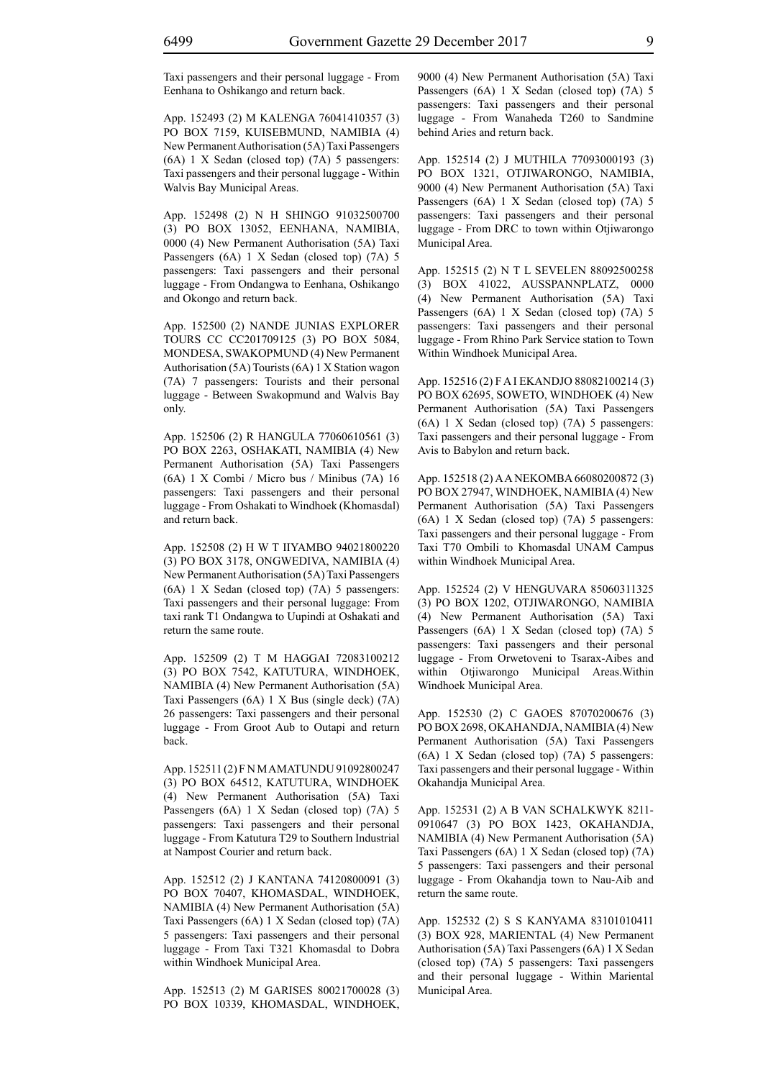Taxi passengers and their personal luggage - From Eenhana to Oshikango and return back.

App. 152493 (2) M KALENGA 76041410357 (3) PO BOX 7159, KUISEBMUND, NAMIBIA (4) New Permanent Authorisation (5A) Taxi Passengers (6A) 1 X Sedan (closed top) (7A) 5 passengers: Taxi passengers and their personal luggage - Within Walvis Bay Municipal Areas.

App. 152498 (2) N H SHINGO 91032500700 (3) PO BOX 13052, EENHANA, NAMIBIA, 0000 (4) New Permanent Authorisation (5A) Taxi Passengers (6A) 1 X Sedan (closed top) (7A) 5 passengers: Taxi passengers and their personal luggage - From Ondangwa to Eenhana, Oshikango and Okongo and return back.

App. 152500 (2) NANDE JUNIAS EXPLORER TOURS CC CC201709125 (3) PO BOX 5084, MONDESA, SWAKOPMUND (4) New Permanent Authorisation (5A) Tourists (6A) 1 X Station wagon (7A) 7 passengers: Tourists and their personal luggage - Between Swakopmund and Walvis Bay only.

App. 152506 (2) R HANGULA 77060610561 (3) PO BOX 2263, OSHAKATI, NAMIBIA (4) New Permanent Authorisation (5A) Taxi Passengers (6A) 1 X Combi / Micro bus / Minibus (7A) 16 passengers: Taxi passengers and their personal luggage - From Oshakati to Windhoek (Khomasdal) and return back.

App. 152508 (2) H W T IIYAMBO 94021800220 (3) PO BOX 3178, ONGWEDIVA, NAMIBIA (4) New Permanent Authorisation (5A) Taxi Passengers (6A) 1 X Sedan (closed top) (7A) 5 passengers: Taxi passengers and their personal luggage: From taxi rank T1 Ondangwa to Uupindi at Oshakati and return the same route.

App. 152509 (2) T M HAGGAI 72083100212 (3) PO BOX 7542, KATUTURA, WINDHOEK, NAMIBIA (4) New Permanent Authorisation (5A) Taxi Passengers (6A) 1 X Bus (single deck) (7A) 26 passengers: Taxi passengers and their personal luggage - From Groot Aub to Outapi and return back.

App. 152511 (2) F N M AMATUNDU 91092800247 (3) PO BOX 64512, KATUTURA, WINDHOEK (4) New Permanent Authorisation (5A) Taxi Passengers (6A) 1 X Sedan (closed top) (7A) 5 passengers: Taxi passengers and their personal luggage - From Katutura T29 to Southern Industrial at Nampost Courier and return back.

App. 152512 (2) J KANTANA 74120800091 (3) PO BOX 70407, KHOMASDAL, WINDHOEK, NAMIBIA (4) New Permanent Authorisation (5A) Taxi Passengers (6A) 1 X Sedan (closed top) (7A) 5 passengers: Taxi passengers and their personal luggage - From Taxi T321 Khomasdal to Dobra within Windhoek Municipal Area.

App. 152513 (2) M GARISES 80021700028 (3) PO BOX 10339, KHOMASDAL, WINDHOEK, 9000 (4) New Permanent Authorisation (5A) Taxi Passengers (6A) 1 X Sedan (closed top) (7A) 5 passengers: Taxi passengers and their personal luggage - From Wanaheda T260 to Sandmine behind Aries and return back.

App. 152514 (2) J MUTHILA 77093000193 (3) PO BOX 1321, OTJIWARONGO, NAMIBIA, 9000 (4) New Permanent Authorisation (5A) Taxi Passengers (6A) 1 X Sedan (closed top) (7A) 5 passengers: Taxi passengers and their personal luggage - From DRC to town within Otjiwarongo Municipal Area.

App. 152515 (2) N T L SEVELEN 88092500258 (3) BOX 41022, AUSSPANNPLATZ, 0000 (4) New Permanent Authorisation (5A) Taxi Passengers (6A) 1 X Sedan (closed top) (7A) 5 passengers: Taxi passengers and their personal luggage - From Rhino Park Service station to Town Within Windhoek Municipal Area.

App. 152516 (2) F A I EKANDJO 88082100214 (3) PO BOX 62695, SOWETO, WINDHOEK (4) New Permanent Authorisation (5A) Taxi Passengers (6A) 1 X Sedan (closed top) (7A) 5 passengers: Taxi passengers and their personal luggage - From Avis to Babylon and return back.

App. 152518 (2) A A NEKOMBA 66080200872 (3) PO BOX 27947, WINDHOEK, NAMIBIA (4) New Permanent Authorisation (5A) Taxi Passengers (6A) 1 X Sedan (closed top) (7A) 5 passengers: Taxi passengers and their personal luggage - From Taxi T70 Ombili to Khomasdal UNAM Campus within Windhoek Municipal Area.

App. 152524 (2) V HENGUVARA 85060311325 (3) PO BOX 1202, OTJIWARONGO, NAMIBIA (4) New Permanent Authorisation (5A) Taxi Passengers (6A) 1 X Sedan (closed top) (7A) 5 passengers: Taxi passengers and their personal luggage - From Orwetoveni to Tsarax-Aibes and within Otjiwarongo Municipal Areas.Within Windhoek Municipal Area.

App. 152530 (2) C GAOES 87070200676 (3) PO BOX 2698, OKAHANDJA, NAMIBIA (4) New Permanent Authorisation (5A) Taxi Passengers (6A) 1 X Sedan (closed top) (7A) 5 passengers: Taxi passengers and their personal luggage - Within Okahandja Municipal Area.

App. 152531 (2) A B VAN SCHALKWYK 8211- 0910647 (3) PO BOX 1423, OKAHANDJA, NAMIBIA (4) New Permanent Authorisation (5A) Taxi Passengers (6A) 1 X Sedan (closed top) (7A) 5 passengers: Taxi passengers and their personal luggage - From Okahandja town to Nau-Aib and return the same route.

App. 152532 (2) S S KANYAMA 83101010411 (3) BOX 928, MARIENTAL (4) New Permanent Authorisation (5A) Taxi Passengers (6A) 1 X Sedan (closed top) (7A) 5 passengers: Taxi passengers and their personal luggage - Within Mariental Municipal Area.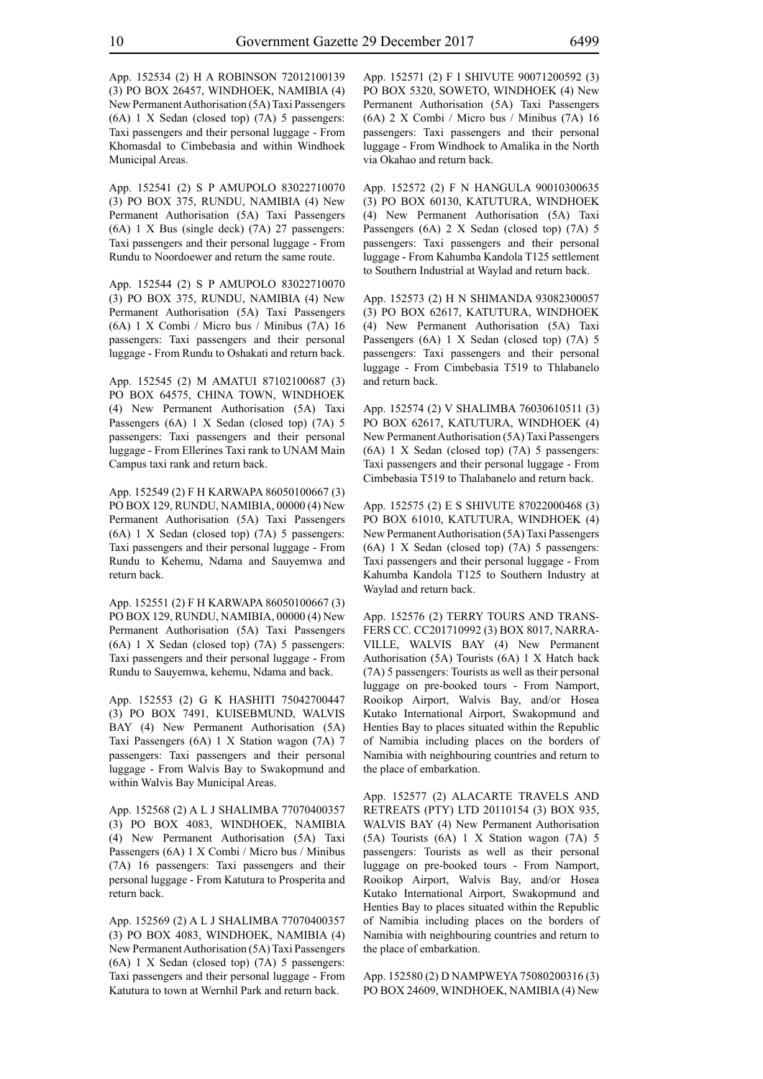App. 152534 (2) H A ROBINSON 72012100139 (3) PO BOX 26457, WINDHOEK, NAMIBIA (4) New Permanent Authorisation (5A) Taxi Passengers (6A) 1 X Sedan (closed top) (7A) 5 passengers: Taxi passengers and their personal luggage - From Khomasdal to Cimbebasia and within Windhoek Municipal Areas.

App. 152541 (2) S P AMUPOLO 83022710070 (3) PO BOX 375, RUNDU, NAMIBIA (4) New Permanent Authorisation (5A) Taxi Passengers (6A) 1 X Bus (single deck) (7A) 27 passengers: Taxi passengers and their personal luggage - From Rundu to Noordoewer and return the same route.

App. 152544 (2) S P AMUPOLO 83022710070 (3) PO BOX 375, RUNDU, NAMIBIA (4) New Permanent Authorisation (5A) Taxi Passengers (6A) 1 X Combi / Micro bus / Minibus (7A) 16 passengers: Taxi passengers and their personal luggage - From Rundu to Oshakati and return back.

App. 152545 (2) M AMATUI 87102100687 (3) PO BOX 64575, CHINA TOWN, WINDHOEK (4) New Permanent Authorisation (5A) Taxi Passengers (6A) 1 X Sedan (closed top) (7A) 5 passengers: Taxi passengers and their personal luggage - From Ellerines Taxi rank to UNAM Main Campus taxi rank and return back.

App. 152549 (2) F H KARWAPA 86050100667 (3) PO BOX 129, RUNDU, NAMIBIA, 00000 (4) New Permanent Authorisation (5A) Taxi Passengers (6A) 1 X Sedan (closed top) (7A) 5 passengers: Taxi passengers and their personal luggage - From Rundu to Kehemu, Ndama and Sauyemwa and return back.

App. 152551 (2) F H KARWAPA 86050100667 (3) PO BOX 129, RUNDU, NAMIBIA, 00000 (4) New Permanent Authorisation (5A) Taxi Passengers (6A) 1 X Sedan (closed top) (7A) 5 passengers: Taxi passengers and their personal luggage - From Rundu to Sauyemwa, kehemu, Ndama and back.

App. 152553 (2) G K HASHITI 75042700447 (3) PO BOX 7491, KUISEBMUND, WALVIS BAY (4) New Permanent Authorisation (5A) Taxi Passengers (6A) 1 X Station wagon (7A) 7 passengers: Taxi passengers and their personal luggage - From Walvis Bay to Swakopmund and within Walvis Bay Municipal Areas.

App. 152568 (2) A L J SHALIMBA 77070400357 (3) PO BOX 4083, WINDHOEK, NAMIBIA (4) New Permanent Authorisation (5A) Taxi Passengers (6A) 1 X Combi / Micro bus / Minibus (7A) 16 passengers: Taxi passengers and their personal luggage - From Katutura to Prosperita and return back.

App. 152569 (2) A L J SHALIMBA 77070400357 (3) PO BOX 4083, WINDHOEK, NAMIBIA (4) New Permanent Authorisation (5A) Taxi Passengers (6A) 1 X Sedan (closed top) (7A) 5 passengers: Taxi passengers and their personal luggage - From Katutura to town at Wernhil Park and return back.

App. 152571 (2) F I SHIVUTE 90071200592 (3) PO BOX 5320, SOWETO, WINDHOEK (4) New Permanent Authorisation (5A) Taxi Passengers (6A) 2 X Combi / Micro bus / Minibus (7A) 16 passengers: Taxi passengers and their personal luggage - From Windhoek to Amalika in the North via Okahao and return back.

App. 152572 (2) F N HANGULA 90010300635 (3) PO BOX 60130, KATUTURA, WINDHOEK (4) New Permanent Authorisation (5A) Taxi Passengers (6A) 2 X Sedan (closed top) (7A) 5 passengers: Taxi passengers and their personal luggage - From Kahumba Kandola T125 settlement to Southern Industrial at Waylad and return back.

App. 152573 (2) H N SHIMANDA 93082300057 (3) PO BOX 62617, KATUTURA, WINDHOEK (4) New Permanent Authorisation (5A) Taxi Passengers (6A) 1 X Sedan (closed top) (7A) 5 passengers: Taxi passengers and their personal luggage - From Cimbebasia T519 to Thlabanelo and return back.

App. 152574 (2) V SHALIMBA 76030610511 (3) PO BOX 62617, KATUTURA, WINDHOEK (4) New Permanent Authorisation (5A) Taxi Passengers (6A) 1 X Sedan (closed top) (7A) 5 passengers: Taxi passengers and their personal luggage - From Cimbebasia T519 to Thalabanelo and return back.

App. 152575 (2) E S SHIVUTE 87022000468 (3) PO BOX 61010, KATUTURA, WINDHOEK (4) New Permanent Authorisation (5A) Taxi Passengers (6A) 1 X Sedan (closed top) (7A) 5 passengers: Taxi passengers and their personal luggage - From Kahumba Kandola T125 to Southern Industry at Waylad and return back.

App. 152576 (2) TERRY TOURS AND TRANS-FERS CC. CC201710992 (3) BOX 8017, NARRA-VILLE, WALVIS BAY (4) New Permanent Authorisation (5A) Tourists (6A) 1 X Hatch back (7A) 5 passengers: Tourists as well as their personal luggage on pre-booked tours - From Namport, Rooikop Airport, Walvis Bay, and/or Hosea Kutako International Airport, Swakopmund and Henties Bay to places situated within the Republic of Namibia including places on the borders of Namibia with neighbouring countries and return to the place of embarkation.

App. 152577 (2) ALACARTE TRAVELS AND RETREATS (PTY) LTD 20110154 (3) BOX 935, WALVIS BAY (4) New Permanent Authorisation (5A) Tourists (6A) 1 X Station wagon (7A) 5 passengers: Tourists as well as their personal luggage on pre-booked tours - From Namport, Rooikop Airport, Walvis Bay, and/or Hosea Kutako International Airport, Swakopmund and Henties Bay to places situated within the Republic of Namibia including places on the borders of Namibia with neighbouring countries and return to the place of embarkation.

App. 152580 (2) D NAMPWEYA 75080200316 (3) PO BOX 24609, WINDHOEK, NAMIBIA (4) New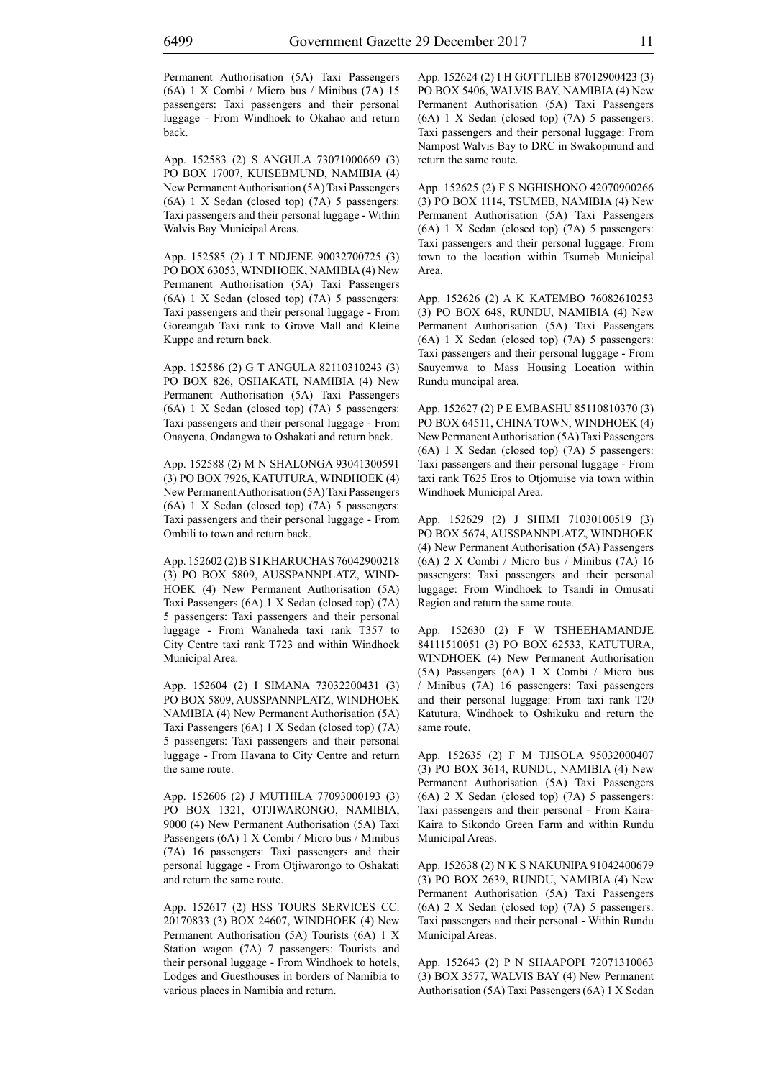Permanent Authorisation (5A) Taxi Passengers (6A) 1 X Combi / Micro bus / Minibus (7A) 15 passengers: Taxi passengers and their personal

App. 152583 (2) S ANGULA 73071000669 (3) PO BOX 17007, KUISEBMUND, NAMIBIA (4) New Permanent Authorisation (5A) Taxi Passengers (6A) 1 X Sedan (closed top) (7A) 5 passengers: Taxi passengers and their personal luggage - Within Walvis Bay Municipal Areas.

luggage - From Windhoek to Okahao and return

App. 152585 (2) J T NDJENE 90032700725 (3) PO BOX 63053, WINDHOEK, NAMIBIA (4) New Permanent Authorisation (5A) Taxi Passengers (6A) 1 X Sedan (closed top) (7A) 5 passengers: Taxi passengers and their personal luggage - From Goreangab Taxi rank to Grove Mall and Kleine Kuppe and return back.

App. 152586 (2) G T ANGULA 82110310243 (3) PO BOX 826, OSHAKATI, NAMIBIA (4) New Permanent Authorisation (5A) Taxi Passengers (6A) 1 X Sedan (closed top) (7A) 5 passengers: Taxi passengers and their personal luggage - From Onayena, Ondangwa to Oshakati and return back.

App. 152588 (2) M N SHALONGA 93041300591 (3) PO BOX 7926, KATUTURA, WINDHOEK (4) New Permanent Authorisation (5A) Taxi Passengers (6A) 1 X Sedan (closed top) (7A) 5 passengers: Taxi passengers and their personal luggage - From Ombili to town and return back.

App. 152602 (2) B S I KHARUCHAS 76042900218 (3) PO BOX 5809, AUSSPANNPLATZ, WIND-HOEK (4) New Permanent Authorisation (5A) Taxi Passengers (6A) 1 X Sedan (closed top) (7A) 5 passengers: Taxi passengers and their personal luggage - From Wanaheda taxi rank T357 to City Centre taxi rank T723 and within Windhoek Municipal Area.

App. 152604 (2) I SIMANA 73032200431 (3) PO BOX 5809, AUSSPANNPLATZ, WINDHOEK NAMIBIA (4) New Permanent Authorisation (5A) Taxi Passengers (6A) 1 X Sedan (closed top) (7A) 5 passengers: Taxi passengers and their personal luggage - From Havana to City Centre and return the same route.

App. 152606 (2) J MUTHILA 77093000193 (3) PO BOX 1321, OTJIWARONGO, NAMIBIA, 9000 (4) New Permanent Authorisation (5A) Taxi Passengers (6A) 1 X Combi / Micro bus / Minibus (7A) 16 passengers: Taxi passengers and their personal luggage - From Otjiwarongo to Oshakati and return the same route.

App. 152617 (2) HSS TOURS SERVICES CC. 20170833 (3) BOX 24607, WINDHOEK (4) New Permanent Authorisation (5A) Tourists (6A) 1 X Station wagon (7A) 7 passengers: Tourists and their personal luggage - From Windhoek to hotels, Lodges and Guesthouses in borders of Namibia to various places in Namibia and return.

App. 152624 (2) I H GOTTLIEB 87012900423 (3) PO BOX 5406, WALVIS BAY, NAMIBIA (4) New Permanent Authorisation (5A) Taxi Passengers (6A) 1 X Sedan (closed top) (7A) 5 passengers: Taxi passengers and their personal luggage: From Nampost Walvis Bay to DRC in Swakopmund and return the same route.

App. 152625 (2) F S NGHISHONO 42070900266 (3) PO BOX 1114, TSUMEB, NAMIBIA (4) New Permanent Authorisation (5A) Taxi Passengers (6A) 1 X Sedan (closed top) (7A) 5 passengers: Taxi passengers and their personal luggage: From town to the location within Tsumeb Municipal Area.

App. 152626 (2) A K KATEMBO 76082610253 (3) PO BOX 648, RUNDU, NAMIBIA (4) New Permanent Authorisation (5A) Taxi Passengers (6A) 1 X Sedan (closed top) (7A) 5 passengers: Taxi passengers and their personal luggage - From Sauyemwa to Mass Housing Location within Rundu muncipal area.

App. 152627 (2) P E EMBASHU 85110810370 (3) PO BOX 64511, CHINA TOWN, WINDHOEK (4) New Permanent Authorisation (5A) Taxi Passengers (6A) 1 X Sedan (closed top) (7A) 5 passengers: Taxi passengers and their personal luggage - From taxi rank T625 Eros to Otjomuise via town within Windhoek Municipal Area.

App. 152629 (2) J SHIMI 71030100519 (3) PO BOX 5674, AUSSPANNPLATZ, WINDHOEK (4) New Permanent Authorisation (5A) Passengers (6A) 2 X Combi / Micro bus / Minibus (7A) 16 passengers: Taxi passengers and their personal luggage: From Windhoek to Tsandi in Omusati Region and return the same route.

App. 152630 (2) F W TSHEEHAMANDJE 84111510051 (3) PO BOX 62533, KATUTURA, WINDHOEK (4) New Permanent Authorisation (5A) Passengers (6A) 1 X Combi / Micro bus / Minibus (7A) 16 passengers: Taxi passengers and their personal luggage: From taxi rank T20 Katutura, Windhoek to Oshikuku and return the same route.

App. 152635 (2) F M TJISOLA 95032000407 (3) PO BOX 3614, RUNDU, NAMIBIA (4) New Permanent Authorisation (5A) Taxi Passengers (6A) 2 X Sedan (closed top) (7A) 5 passengers: Taxi passengers and their personal - From Kaira-Kaira to Sikondo Green Farm and within Rundu Municipal Areas.

App. 152638 (2) N K S NAKUNIPA 91042400679 (3) PO BOX 2639, RUNDU, NAMIBIA (4) New Permanent Authorisation (5A) Taxi Passengers (6A) 2 X Sedan (closed top) (7A) 5 passengers: Taxi passengers and their personal - Within Rundu Municipal Areas.

App. 152643 (2) P N SHAAPOPI 72071310063 (3) BOX 3577, WALVIS BAY (4) New Permanent Authorisation (5A) Taxi Passengers (6A) 1 X Sedan

back.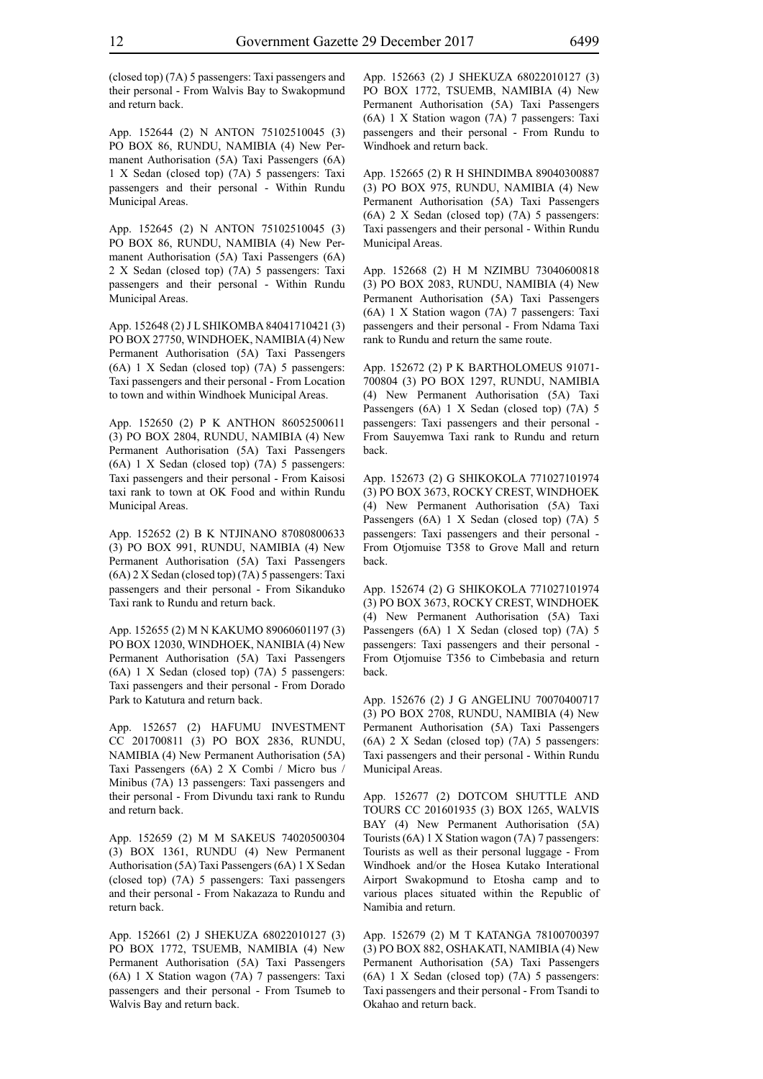(closed top) (7A) 5 passengers: Taxi passengers and their personal - From Walvis Bay to Swakopmund and return back.

App. 152644 (2) N ANTON 75102510045 (3) PO BOX 86, RUNDU, NAMIBIA (4) New Permanent Authorisation (5A) Taxi Passengers (6A) 1 X Sedan (closed top) (7A) 5 passengers: Taxi passengers and their personal - Within Rundu Municipal Areas.

App. 152645 (2) N ANTON 75102510045 (3) PO BOX 86, RUNDU, NAMIBIA (4) New Permanent Authorisation (5A) Taxi Passengers (6A) 2 X Sedan (closed top) (7A) 5 passengers: Taxi passengers and their personal - Within Rundu Municipal Areas.

App. 152648 (2) J L SHIKOMBA 84041710421 (3) PO BOX 27750, WINDHOEK, NAMIBIA (4) New Permanent Authorisation (5A) Taxi Passengers (6A) 1 X Sedan (closed top) (7A) 5 passengers: Taxi passengers and their personal - From Location to town and within Windhoek Municipal Areas.

App. 152650 (2) P K ANTHON 86052500611 (3) PO BOX 2804, RUNDU, NAMIBIA (4) New Permanent Authorisation (5A) Taxi Passengers (6A) 1 X Sedan (closed top) (7A) 5 passengers: Taxi passengers and their personal - From Kaisosi taxi rank to town at OK Food and within Rundu Municipal Areas.

App. 152652 (2) B K NTJINANO 87080800633 (3) PO BOX 991, RUNDU, NAMIBIA (4) New Permanent Authorisation (5A) Taxi Passengers (6A) 2 X Sedan (closed top) (7A) 5 passengers: Taxi passengers and their personal - From Sikanduko Taxi rank to Rundu and return back.

App. 152655 (2) M N KAKUMO 89060601197 (3) PO BOX 12030, WINDHOEK, NANIBIA (4) New Permanent Authorisation (5A) Taxi Passengers (6A) 1 X Sedan (closed top) (7A) 5 passengers: Taxi passengers and their personal - From Dorado Park to Katutura and return back.

App. 152657 (2) HAFUMU INVESTMENT CC 201700811 (3) PO BOX 2836, RUNDU, NAMIBIA (4) New Permanent Authorisation (5A) Taxi Passengers (6A) 2 X Combi / Micro bus / Minibus (7A) 13 passengers: Taxi passengers and their personal - From Divundu taxi rank to Rundu and return back.

App. 152659 (2) M M SAKEUS 74020500304 (3) BOX 1361, RUNDU (4) New Permanent Authorisation (5A) Taxi Passengers (6A) 1 X Sedan (closed top) (7A) 5 passengers: Taxi passengers and their personal - From Nakazaza to Rundu and return back.

App. 152661 (2) J SHEKUZA 68022010127 (3) PO BOX 1772, TSUEMB, NAMIBIA (4) New Permanent Authorisation (5A) Taxi Passengers (6A) 1 X Station wagon (7A) 7 passengers: Taxi passengers and their personal - From Tsumeb to Walvis Bay and return back.

App. 152663 (2) J SHEKUZA 68022010127 (3) PO BOX 1772, TSUEMB, NAMIBIA (4) New Permanent Authorisation (5A) Taxi Passengers (6A) 1 X Station wagon (7A) 7 passengers: Taxi passengers and their personal - From Rundu to Windhoek and return back.

App. 152665 (2) R H SHINDIMBA 89040300887 (3) PO BOX 975, RUNDU, NAMIBIA (4) New Permanent Authorisation (5A) Taxi Passengers (6A) 2 X Sedan (closed top) (7A) 5 passengers: Taxi passengers and their personal - Within Rundu Municipal Areas.

App. 152668 (2) H M NZIMBU 73040600818 (3) PO BOX 2083, RUNDU, NAMIBIA (4) New Permanent Authorisation (5A) Taxi Passengers (6A) 1 X Station wagon (7A) 7 passengers: Taxi passengers and their personal - From Ndama Taxi rank to Rundu and return the same route.

App. 152672 (2) P K BARTHOLOMEUS 91071- 700804 (3) PO BOX 1297, RUNDU, NAMIBIA (4) New Permanent Authorisation (5A) Taxi Passengers (6A) 1 X Sedan (closed top) (7A) 5 passengers: Taxi passengers and their personal - From Sauyemwa Taxi rank to Rundu and return back.

App. 152673 (2) G SHIKOKOLA 771027101974 (3) PO BOX 3673, ROCKY CREST, WINDHOEK (4) New Permanent Authorisation (5A) Taxi Passengers (6A) 1 X Sedan (closed top) (7A) 5 passengers: Taxi passengers and their personal - From Otjomuise T358 to Grove Mall and return back.

App. 152674 (2) G SHIKOKOLA 771027101974 (3) PO BOX 3673, ROCKY CREST, WINDHOEK (4) New Permanent Authorisation (5A) Taxi Passengers (6A) 1 X Sedan (closed top) (7A) 5 passengers: Taxi passengers and their personal - From Otjomuise T356 to Cimbebasia and return back.

App. 152676 (2) J G ANGELINU 70070400717 (3) PO BOX 2708, RUNDU, NAMIBIA (4) New Permanent Authorisation (5A) Taxi Passengers (6A) 2 X Sedan (closed top) (7A) 5 passengers: Taxi passengers and their personal - Within Rundu Municipal Areas.

App. 152677 (2) DOTCOM SHUTTLE AND TOURS CC 201601935 (3) BOX 1265, WALVIS BAY (4) New Permanent Authorisation (5A) Tourists (6A) 1 X Station wagon (7A) 7 passengers: Tourists as well as their personal luggage - From Windhoek and/or the Hosea Kutako Interational Airport Swakopmund to Etosha camp and to various places situated within the Republic of Namibia and return.

App. 152679 (2) M T KATANGA 78100700397 (3) PO BOX 882, OSHAKATI, NAMIBIA (4) New Permanent Authorisation (5A) Taxi Passengers (6A) 1 X Sedan (closed top) (7A) 5 passengers: Taxi passengers and their personal - From Tsandi to Okahao and return back.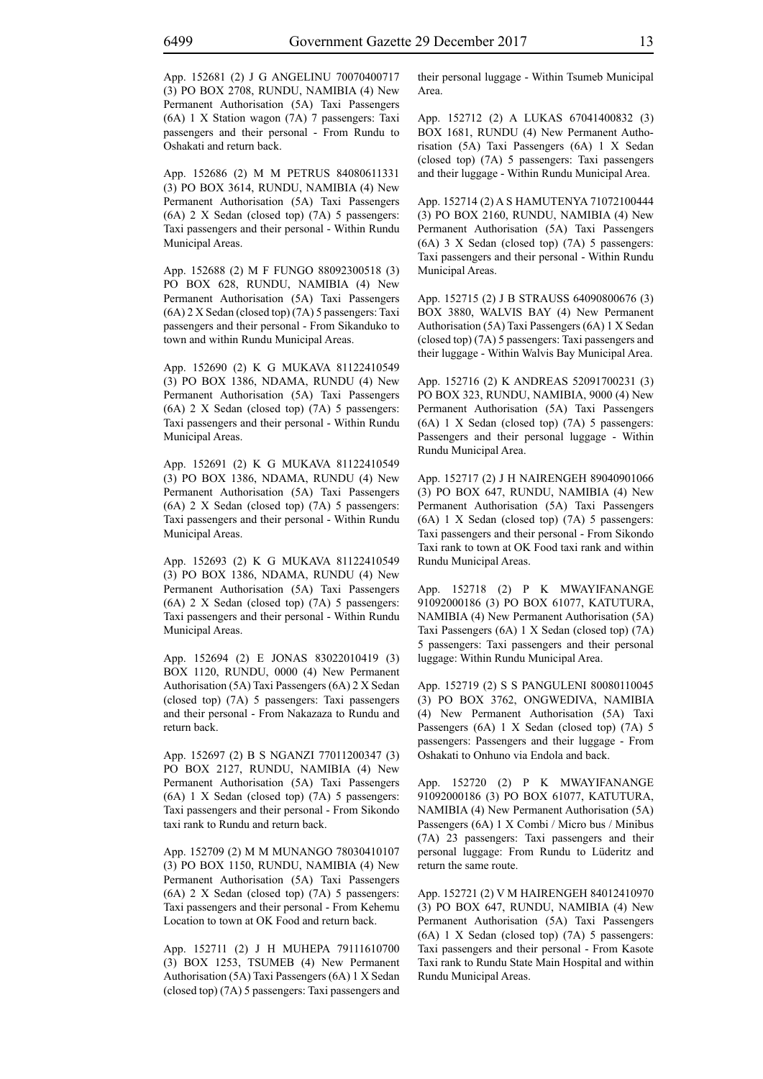App. 152681 (2) J G ANGELINU 70070400717 (3) PO BOX 2708, RUNDU, NAMIBIA (4) New Permanent Authorisation (5A) Taxi Passengers (6A) 1 X Station wagon (7A) 7 passengers: Taxi passengers and their personal - From Rundu to Oshakati and return back.

App. 152686 (2) M M PETRUS 84080611331 (3) PO BOX 3614, RUNDU, NAMIBIA (4) New Permanent Authorisation (5A) Taxi Passengers (6A) 2 X Sedan (closed top) (7A) 5 passengers: Taxi passengers and their personal - Within Rundu Municipal Areas.

App. 152688 (2) M F FUNGO 88092300518 (3) PO BOX 628, RUNDU, NAMIBIA (4) New Permanent Authorisation (5A) Taxi Passengers (6A) 2 X Sedan (closed top) (7A) 5 passengers: Taxi passengers and their personal - From Sikanduko to town and within Rundu Municipal Areas.

App. 152690 (2) K G MUKAVA 81122410549 (3) PO BOX 1386, NDAMA, RUNDU (4) New Permanent Authorisation (5A) Taxi Passengers (6A) 2 X Sedan (closed top) (7A) 5 passengers: Taxi passengers and their personal - Within Rundu Municipal Areas.

App. 152691 (2) K G MUKAVA 81122410549 (3) PO BOX 1386, NDAMA, RUNDU (4) New Permanent Authorisation (5A) Taxi Passengers (6A) 2 X Sedan (closed top) (7A) 5 passengers: Taxi passengers and their personal - Within Rundu Municipal Areas.

App. 152693 (2) K G MUKAVA 81122410549 (3) PO BOX 1386, NDAMA, RUNDU (4) New Permanent Authorisation (5A) Taxi Passengers (6A) 2 X Sedan (closed top) (7A) 5 passengers: Taxi passengers and their personal - Within Rundu Municipal Areas.

App. 152694 (2) E JONAS 83022010419 (3) BOX 1120, RUNDU, 0000 (4) New Permanent Authorisation (5A) Taxi Passengers (6A) 2 X Sedan (closed top) (7A) 5 passengers: Taxi passengers and their personal - From Nakazaza to Rundu and return back.

App. 152697 (2) B S NGANZI 77011200347 (3) PO BOX 2127, RUNDU, NAMIBIA (4) New Permanent Authorisation (5A) Taxi Passengers (6A) 1 X Sedan (closed top) (7A) 5 passengers: Taxi passengers and their personal - From Sikondo taxi rank to Rundu and return back.

App. 152709 (2) M M MUNANGO 78030410107 (3) PO BOX 1150, RUNDU, NAMIBIA (4) New Permanent Authorisation (5A) Taxi Passengers (6A) 2 X Sedan (closed top) (7A) 5 passengers: Taxi passengers and their personal - From Kehemu Location to town at OK Food and return back.

App. 152711 (2) J H MUHEPA 79111610700 (3) BOX 1253, TSUMEB (4) New Permanent Authorisation (5A) Taxi Passengers (6A) 1 X Sedan (closed top) (7A) 5 passengers: Taxi passengers and their personal luggage - Within Tsumeb Municipal Area.

App. 152712 (2) A LUKAS 67041400832 (3) BOX 1681, RUNDU (4) New Permanent Authorisation (5A) Taxi Passengers (6A) 1 X Sedan (closed top) (7A) 5 passengers: Taxi passengers and their luggage - Within Rundu Municipal Area.

App. 152714 (2) A S HAMUTENYA 71072100444 (3) PO BOX 2160, RUNDU, NAMIBIA (4) New Permanent Authorisation (5A) Taxi Passengers (6A) 3 X Sedan (closed top) (7A) 5 passengers: Taxi passengers and their personal - Within Rundu Municipal Areas.

App. 152715 (2) J B STRAUSS 64090800676 (3) BOX 3880, WALVIS BAY (4) New Permanent Authorisation (5A) Taxi Passengers (6A) 1 X Sedan (closed top) (7A) 5 passengers: Taxi passengers and their luggage - Within Walvis Bay Municipal Area.

App. 152716 (2) K ANDREAS 52091700231 (3) PO BOX 323, RUNDU, NAMIBIA, 9000 (4) New Permanent Authorisation (5A) Taxi Passengers (6A) 1 X Sedan (closed top) (7A) 5 passengers: Passengers and their personal luggage - Within Rundu Municipal Area.

App. 152717 (2) J H NAIRENGEH 89040901066 (3) PO BOX 647, RUNDU, NAMIBIA (4) New Permanent Authorisation (5A) Taxi Passengers (6A) 1 X Sedan (closed top) (7A) 5 passengers: Taxi passengers and their personal - From Sikondo Taxi rank to town at OK Food taxi rank and within Rundu Municipal Areas.

App. 152718 (2) P K MWAYIFANANGE 91092000186 (3) PO BOX 61077, KATUTURA, NAMIBIA (4) New Permanent Authorisation (5A) Taxi Passengers (6A) 1 X Sedan (closed top) (7A) 5 passengers: Taxi passengers and their personal luggage: Within Rundu Municipal Area.

App. 152719 (2) S S PANGULENI 80080110045 (3) PO BOX 3762, ONGWEDIVA, NAMIBIA (4) New Permanent Authorisation (5A) Taxi Passengers (6A) 1 X Sedan (closed top) (7A) 5 passengers: Passengers and their luggage - From Oshakati to Onhuno via Endola and back.

App. 152720 (2) P K MWAYIFANANGE 91092000186 (3) PO BOX 61077, KATUTURA, NAMIBIA (4) New Permanent Authorisation (5A) Passengers (6A) 1 X Combi / Micro bus / Minibus (7A) 23 passengers: Taxi passengers and their personal luggage: From Rundu to Lüderitz and return the same route.

App. 152721 (2) V M HAIRENGEH 84012410970 (3) PO BOX 647, RUNDU, NAMIBIA (4) New Permanent Authorisation (5A) Taxi Passengers (6A) 1 X Sedan (closed top) (7A) 5 passengers: Taxi passengers and their personal - From Kasote Taxi rank to Rundu State Main Hospital and within Rundu Municipal Areas.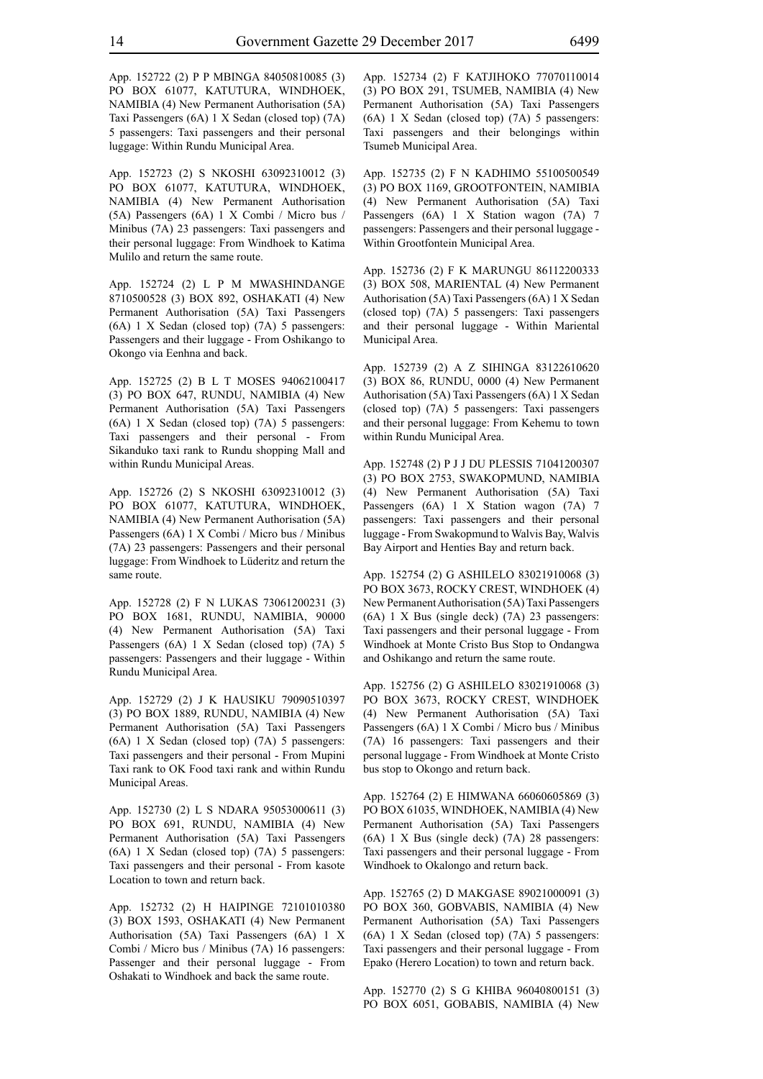App. 152722 (2) P P MBINGA 84050810085 (3) PO BOX 61077, KATUTURA, WINDHOEK, NAMIBIA (4) New Permanent Authorisation (5A) Taxi Passengers (6A) 1 X Sedan (closed top) (7A) 5 passengers: Taxi passengers and their personal luggage: Within Rundu Municipal Area.

App. 152723 (2) S NKOSHI 63092310012 (3) PO BOX 61077, KATUTURA, WINDHOEK, NAMIBIA (4) New Permanent Authorisation (5A) Passengers (6A) 1 X Combi / Micro bus / Minibus (7A) 23 passengers: Taxi passengers and their personal luggage: From Windhoek to Katima Mulilo and return the same route.

App. 152724 (2) L P M MWASHINDANGE 8710500528 (3) BOX 892, OSHAKATI (4) New Permanent Authorisation (5A) Taxi Passengers (6A) 1 X Sedan (closed top) (7A) 5 passengers: Passengers and their luggage - From Oshikango to Okongo via Eenhna and back.

App. 152725 (2) B L T MOSES 94062100417 (3) PO BOX 647, RUNDU, NAMIBIA (4) New Permanent Authorisation (5A) Taxi Passengers (6A) 1 X Sedan (closed top) (7A) 5 passengers: Taxi passengers and their personal - From Sikanduko taxi rank to Rundu shopping Mall and within Rundu Municipal Areas.

App. 152726 (2) S NKOSHI 63092310012 (3) PO BOX 61077, KATUTURA, WINDHOEK, NAMIBIA (4) New Permanent Authorisation (5A) Passengers (6A) 1 X Combi / Micro bus / Minibus (7A) 23 passengers: Passengers and their personal luggage: From Windhoek to Lüderitz and return the same route.

App. 152728 (2) F N LUKAS 73061200231 (3) PO BOX 1681, RUNDU, NAMIBIA, 90000 (4) New Permanent Authorisation (5A) Taxi Passengers (6A) 1 X Sedan (closed top) (7A) 5 passengers: Passengers and their luggage - Within Rundu Municipal Area.

App. 152729 (2) J K HAUSIKU 79090510397 (3) PO BOX 1889, RUNDU, NAMIBIA (4) New Permanent Authorisation (5A) Taxi Passengers (6A) 1 X Sedan (closed top) (7A) 5 passengers: Taxi passengers and their personal - From Mupini Taxi rank to OK Food taxi rank and within Rundu Municipal Areas.

App. 152730 (2) L S NDARA 95053000611 (3) PO BOX 691, RUNDU, NAMIBIA (4) New Permanent Authorisation (5A) Taxi Passengers (6A) 1 X Sedan (closed top) (7A) 5 passengers: Taxi passengers and their personal - From kasote Location to town and return back.

App. 152732 (2) H HAIPINGE 72101010380 (3) BOX 1593, OSHAKATI (4) New Permanent Authorisation (5A) Taxi Passengers (6A) 1 X Combi / Micro bus / Minibus (7A) 16 passengers: Passenger and their personal luggage - From Oshakati to Windhoek and back the same route.

App. 152734 (2) F KATJIHOKO 77070110014 (3) PO BOX 291, TSUMEB, NAMIBIA (4) New Permanent Authorisation (5A) Taxi Passengers (6A) 1 X Sedan (closed top) (7A) 5 passengers: Taxi passengers and their belongings within Tsumeb Municipal Area.

App. 152735 (2) F N KADHIMO 55100500549 (3) PO BOX 1169, GROOTFONTEIN, NAMIBIA (4) New Permanent Authorisation (5A) Taxi Passengers (6A) 1 X Station wagon (7A) 7 passengers: Passengers and their personal luggage - Within Grootfontein Municipal Area.

App. 152736 (2) F K MARUNGU 86112200333 (3) BOX 508, MARIENTAL (4) New Permanent Authorisation (5A) Taxi Passengers (6A) 1 X Sedan (closed top) (7A) 5 passengers: Taxi passengers and their personal luggage - Within Mariental Municipal Area.

App. 152739 (2) A Z SIHINGA 83122610620 (3) BOX 86, RUNDU, 0000 (4) New Permanent Authorisation (5A) Taxi Passengers (6A) 1 X Sedan (closed top) (7A) 5 passengers: Taxi passengers and their personal luggage: From Kehemu to town within Rundu Municipal Area.

App. 152748 (2) P J J DU PLESSIS 71041200307 (3) PO BOX 2753, SWAKOPMUND, NAMIBIA (4) New Permanent Authorisation (5A) Taxi Passengers (6A) 1 X Station wagon (7A) 7 passengers: Taxi passengers and their personal luggage - From Swakopmund to Walvis Bay, Walvis Bay Airport and Henties Bay and return back.

App. 152754 (2) G ASHILELO 83021910068 (3) PO BOX 3673, ROCKY CREST, WINDHOEK (4) New Permanent Authorisation (5A) Taxi Passengers (6A) 1 X Bus (single deck) (7A) 23 passengers: Taxi passengers and their personal luggage - From Windhoek at Monte Cristo Bus Stop to Ondangwa and Oshikango and return the same route.

App. 152756 (2) G ASHILELO 83021910068 (3) PO BOX 3673, ROCKY CREST, WINDHOEK (4) New Permanent Authorisation (5A) Taxi Passengers (6A) 1 X Combi / Micro bus / Minibus (7A) 16 passengers: Taxi passengers and their personal luggage - From Windhoek at Monte Cristo bus stop to Okongo and return back.

App. 152764 (2) E HIMWANA 66060605869 (3) PO BOX 61035, WINDHOEK, NAMIBIA (4) New Permanent Authorisation (5A) Taxi Passengers (6A) 1 X Bus (single deck) (7A) 28 passengers: Taxi passengers and their personal luggage - From Windhoek to Okalongo and return back.

App. 152765 (2) D MAKGASE 89021000091 (3) PO BOX 360, GOBVABIS, NAMIBIA (4) New Permanent Authorisation (5A) Taxi Passengers (6A) 1 X Sedan (closed top) (7A) 5 passengers: Taxi passengers and their personal luggage - From Epako (Herero Location) to town and return back.

App. 152770 (2) S G KHIBA 96040800151 (3) PO BOX 6051, GOBABIS, NAMIBIA (4) New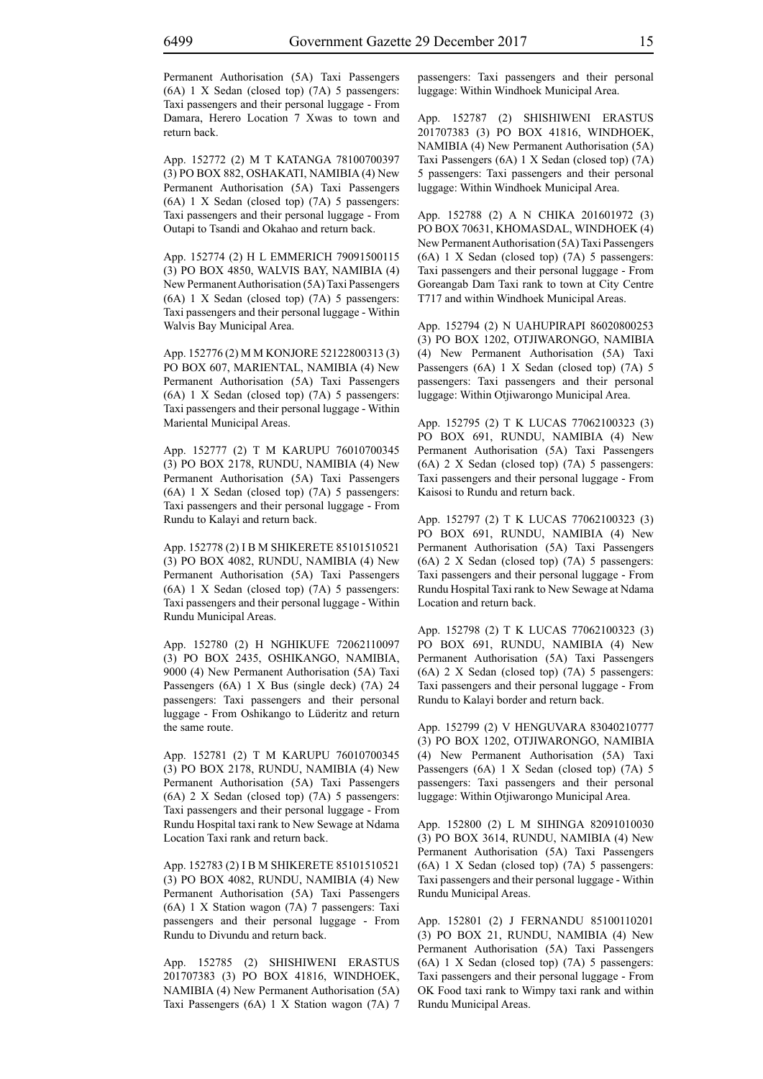Permanent Authorisation (5A) Taxi Passengers (6A) 1 X Sedan (closed top) (7A) 5 passengers: Taxi passengers and their personal luggage - From Damara, Herero Location 7 Xwas to town and return back.

App. 152772 (2) M T KATANGA 78100700397 (3) PO BOX 882, OSHAKATI, NAMIBIA (4) New Permanent Authorisation (5A) Taxi Passengers (6A) 1 X Sedan (closed top) (7A) 5 passengers: Taxi passengers and their personal luggage - From Outapi to Tsandi and Okahao and return back.

App. 152774 (2) H L EMMERICH 79091500115 (3) PO BOX 4850, WALVIS BAY, NAMIBIA (4) New Permanent Authorisation (5A) Taxi Passengers (6A) 1 X Sedan (closed top) (7A) 5 passengers: Taxi passengers and their personal luggage - Within Walvis Bay Municipal Area.

App. 152776 (2) M M KONJORE 52122800313 (3) PO BOX 607, MARIENTAL, NAMIBIA (4) New Permanent Authorisation (5A) Taxi Passengers (6A) 1 X Sedan (closed top) (7A) 5 passengers: Taxi passengers and their personal luggage - Within Mariental Municipal Areas.

App. 152777 (2) T M KARUPU 76010700345 (3) PO BOX 2178, RUNDU, NAMIBIA (4) New Permanent Authorisation (5A) Taxi Passengers (6A) 1 X Sedan (closed top) (7A) 5 passengers: Taxi passengers and their personal luggage - From Rundu to Kalayi and return back.

App. 152778 (2) I B M SHIKERETE 85101510521 (3) PO BOX 4082, RUNDU, NAMIBIA (4) New Permanent Authorisation (5A) Taxi Passengers (6A) 1 X Sedan (closed top) (7A) 5 passengers: Taxi passengers and their personal luggage - Within Rundu Municipal Areas.

App. 152780 (2) H NGHIKUFE 72062110097 (3) PO BOX 2435, OSHIKANGO, NAMIBIA, 9000 (4) New Permanent Authorisation (5A) Taxi Passengers (6A) 1 X Bus (single deck) (7A) 24 passengers: Taxi passengers and their personal luggage - From Oshikango to Lüderitz and return the same route.

App. 152781 (2) T M KARUPU 76010700345 (3) PO BOX 2178, RUNDU, NAMIBIA (4) New Permanent Authorisation (5A) Taxi Passengers (6A) 2 X Sedan (closed top) (7A) 5 passengers: Taxi passengers and their personal luggage - From Rundu Hospital taxi rank to New Sewage at Ndama Location Taxi rank and return back.

App. 152783 (2) I B M SHIKERETE 85101510521 (3) PO BOX 4082, RUNDU, NAMIBIA (4) New Permanent Authorisation (5A) Taxi Passengers (6A) 1 X Station wagon (7A) 7 passengers: Taxi passengers and their personal luggage - From Rundu to Divundu and return back.

App. 152785 (2) SHISHIWENI ERASTUS 201707383 (3) PO BOX 41816, WINDHOEK, NAMIBIA (4) New Permanent Authorisation (5A) Taxi Passengers (6A) 1 X Station wagon (7A) 7 passengers: Taxi passengers and their personal luggage: Within Windhoek Municipal Area.

App. 152787 (2) SHISHIWENI ERASTUS 201707383 (3) PO BOX 41816, WINDHOEK, NAMIBIA (4) New Permanent Authorisation (5A) Taxi Passengers (6A) 1 X Sedan (closed top) (7A) 5 passengers: Taxi passengers and their personal luggage: Within Windhoek Municipal Area.

App. 152788 (2) A N CHIKA 201601972 (3) PO BOX 70631, KHOMASDAL, WINDHOEK (4) New Permanent Authorisation (5A) Taxi Passengers (6A) 1 X Sedan (closed top) (7A) 5 passengers: Taxi passengers and their personal luggage - From Goreangab Dam Taxi rank to town at City Centre T717 and within Windhoek Municipal Areas.

App. 152794 (2) N UAHUPIRAPI 86020800253 (3) PO BOX 1202, OTJIWARONGO, NAMIBIA (4) New Permanent Authorisation (5A) Taxi Passengers (6A) 1 X Sedan (closed top) (7A) 5 passengers: Taxi passengers and their personal luggage: Within Otjiwarongo Municipal Area.

App. 152795 (2) T K LUCAS 77062100323 (3) PO BOX 691, RUNDU, NAMIBIA (4) New Permanent Authorisation (5A) Taxi Passengers (6A) 2 X Sedan (closed top) (7A) 5 passengers: Taxi passengers and their personal luggage - From Kaisosi to Rundu and return back.

App. 152797 (2) T K LUCAS 77062100323 (3) PO BOX 691, RUNDU, NAMIBIA (4) New Permanent Authorisation (5A) Taxi Passengers (6A) 2 X Sedan (closed top) (7A) 5 passengers: Taxi passengers and their personal luggage - From Rundu Hospital Taxi rank to New Sewage at Ndama Location and return back.

App. 152798 (2) T K LUCAS 77062100323 (3) PO BOX 691, RUNDU, NAMIBIA (4) New Permanent Authorisation (5A) Taxi Passengers (6A) 2 X Sedan (closed top) (7A) 5 passengers: Taxi passengers and their personal luggage - From Rundu to Kalayi border and return back.

App. 152799 (2) V HENGUVARA 83040210777 (3) PO BOX 1202, OTJIWARONGO, NAMIBIA (4) New Permanent Authorisation (5A) Taxi Passengers (6A) 1 X Sedan (closed top) (7A) 5 passengers: Taxi passengers and their personal luggage: Within Otjiwarongo Municipal Area.

App. 152800 (2) L M SIHINGA 82091010030 (3) PO BOX 3614, RUNDU, NAMIBIA (4) New Permanent Authorisation (5A) Taxi Passengers (6A) 1 X Sedan (closed top) (7A) 5 passengers: Taxi passengers and their personal luggage - Within Rundu Municipal Areas.

App. 152801 (2) J FERNANDU 85100110201 (3) PO BOX 21, RUNDU, NAMIBIA (4) New Permanent Authorisation (5A) Taxi Passengers (6A) 1 X Sedan (closed top) (7A) 5 passengers: Taxi passengers and their personal luggage - From OK Food taxi rank to Wimpy taxi rank and within Rundu Municipal Areas.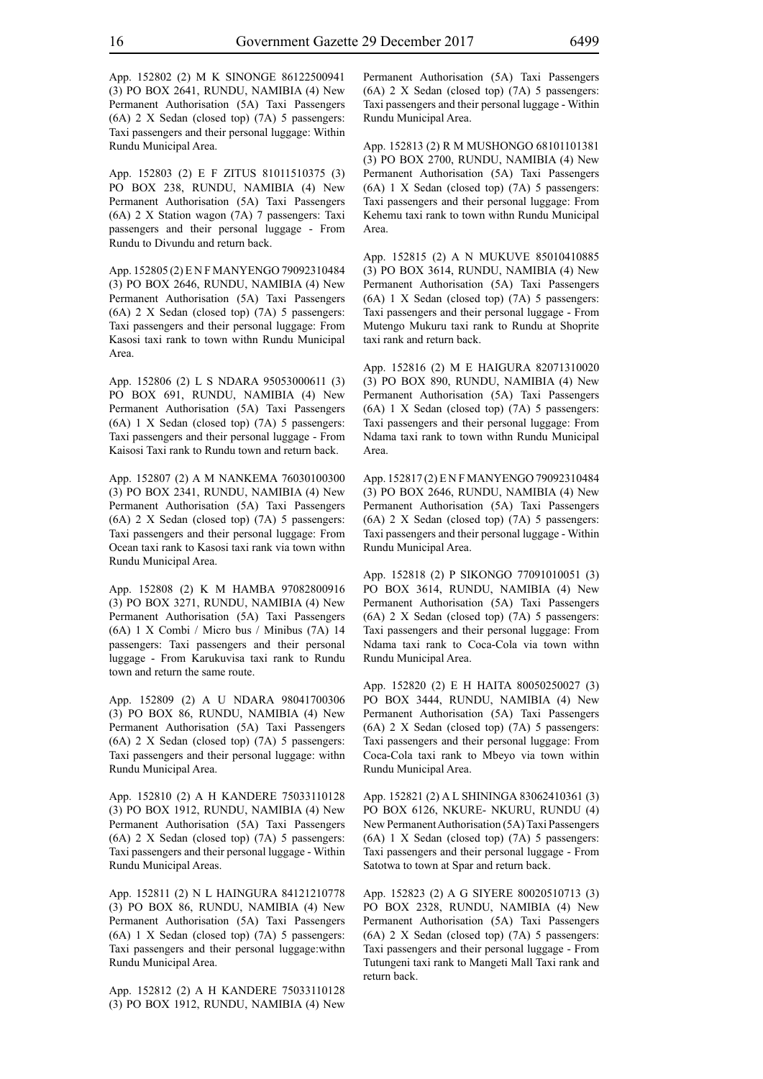App. 152802 (2) M K SINONGE 86122500941 (3) PO BOX 2641, RUNDU, NAMIBIA (4) New Permanent Authorisation (5A) Taxi Passengers (6A) 2 X Sedan (closed top) (7A) 5 passengers: Taxi passengers and their personal luggage: Within Rundu Municipal Area.

App. 152803 (2) E F ZITUS 81011510375 (3) PO BOX 238, RUNDU, NAMIBIA (4) New Permanent Authorisation (5A) Taxi Passengers (6A) 2 X Station wagon (7A) 7 passengers: Taxi passengers and their personal luggage - From Rundu to Divundu and return back.

App. 152805 (2) E N F MANYENGO 79092310484 (3) PO BOX 2646, RUNDU, NAMIBIA (4) New Permanent Authorisation (5A) Taxi Passengers (6A) 2 X Sedan (closed top) (7A) 5 passengers: Taxi passengers and their personal luggage: From Kasosi taxi rank to town withn Rundu Municipal Area.

App. 152806 (2) L S NDARA 95053000611 (3) PO BOX 691, RUNDU, NAMIBIA (4) New Permanent Authorisation (5A) Taxi Passengers (6A) 1 X Sedan (closed top) (7A) 5 passengers: Taxi passengers and their personal luggage - From Kaisosi Taxi rank to Rundu town and return back.

App. 152807 (2) A M NANKEMA 76030100300 (3) PO BOX 2341, RUNDU, NAMIBIA (4) New Permanent Authorisation (5A) Taxi Passengers (6A) 2 X Sedan (closed top) (7A) 5 passengers: Taxi passengers and their personal luggage: From Ocean taxi rank to Kasosi taxi rank via town withn Rundu Municipal Area.

App. 152808 (2) K M HAMBA 97082800916 (3) PO BOX 3271, RUNDU, NAMIBIA (4) New Permanent Authorisation (5A) Taxi Passengers (6A) 1 X Combi / Micro bus / Minibus (7A) 14 passengers: Taxi passengers and their personal luggage - From Karukuvisa taxi rank to Rundu town and return the same route.

App. 152809 (2) A U NDARA 98041700306 (3) PO BOX 86, RUNDU, NAMIBIA (4) New Permanent Authorisation (5A) Taxi Passengers (6A) 2 X Sedan (closed top) (7A) 5 passengers: Taxi passengers and their personal luggage: withn Rundu Municipal Area.

App. 152810 (2) A H KANDERE 75033110128 (3) PO BOX 1912, RUNDU, NAMIBIA (4) New Permanent Authorisation (5A) Taxi Passengers (6A) 2 X Sedan (closed top) (7A) 5 passengers: Taxi passengers and their personal luggage - Within Rundu Municipal Areas.

App. 152811 (2) N L HAINGURA 84121210778 (3) PO BOX 86, RUNDU, NAMIBIA (4) New Permanent Authorisation (5A) Taxi Passengers (6A) 1 X Sedan (closed top) (7A) 5 passengers: Taxi passengers and their personal luggage:withn Rundu Municipal Area.

App. 152812 (2) A H KANDERE 75033110128 (3) PO BOX 1912, RUNDU, NAMIBIA (4) New Permanent Authorisation (5A) Taxi Passengers (6A) 2 X Sedan (closed top) (7A) 5 passengers: Taxi passengers and their personal luggage - Within Rundu Municipal Area.

App. 152813 (2) R M MUSHONGO 68101101381 (3) PO BOX 2700, RUNDU, NAMIBIA (4) New Permanent Authorisation (5A) Taxi Passengers (6A) 1 X Sedan (closed top) (7A) 5 passengers: Taxi passengers and their personal luggage: From Kehemu taxi rank to town withn Rundu Municipal Area.

App. 152815 (2) A N MUKUVE 85010410885 (3) PO BOX 3614, RUNDU, NAMIBIA (4) New Permanent Authorisation (5A) Taxi Passengers (6A) 1 X Sedan (closed top) (7A) 5 passengers: Taxi passengers and their personal luggage - From Mutengo Mukuru taxi rank to Rundu at Shoprite taxi rank and return back.

App. 152816 (2) M E HAIGURA 82071310020 (3) PO BOX 890, RUNDU, NAMIBIA (4) New Permanent Authorisation (5A) Taxi Passengers (6A) 1 X Sedan (closed top) (7A) 5 passengers: Taxi passengers and their personal luggage: From Ndama taxi rank to town withn Rundu Municipal Area.

App. 152817 (2) E N F MANYENGO 79092310484 (3) PO BOX 2646, RUNDU, NAMIBIA (4) New Permanent Authorisation (5A) Taxi Passengers (6A) 2 X Sedan (closed top) (7A) 5 passengers: Taxi passengers and their personal luggage - Within Rundu Municipal Area.

App. 152818 (2) P SIKONGO 77091010051 (3) PO BOX 3614, RUNDU, NAMIBIA (4) New Permanent Authorisation (5A) Taxi Passengers (6A) 2 X Sedan (closed top) (7A) 5 passengers: Taxi passengers and their personal luggage: From Ndama taxi rank to Coca-Cola via town withn Rundu Municipal Area.

App. 152820 (2) E H HAITA 80050250027 (3) PO BOX 3444, RUNDU, NAMIBIA (4) New Permanent Authorisation (5A) Taxi Passengers (6A) 2 X Sedan (closed top) (7A) 5 passengers: Taxi passengers and their personal luggage: From Coca-Cola taxi rank to Mbeyo via town within Rundu Municipal Area.

App. 152821 (2) A L SHININGA 83062410361 (3) PO BOX 6126, NKURE- NKURU, RUNDU (4) New Permanent Authorisation (5A) Taxi Passengers (6A) 1 X Sedan (closed top) (7A) 5 passengers: Taxi passengers and their personal luggage - From Satotwa to town at Spar and return back.

App. 152823 (2) A G SIYERE 80020510713 (3) PO BOX 2328, RUNDU, NAMIBIA (4) New Permanent Authorisation (5A) Taxi Passengers (6A) 2 X Sedan (closed top) (7A) 5 passengers: Taxi passengers and their personal luggage - From Tutungeni taxi rank to Mangeti Mall Taxi rank and return back.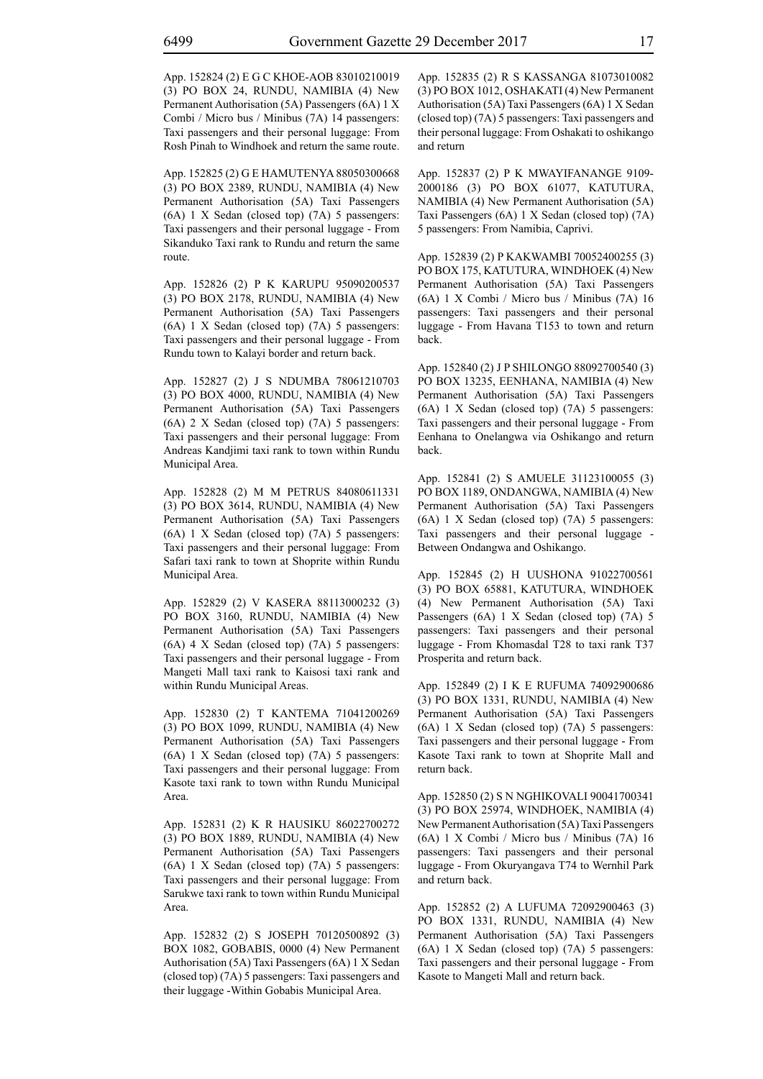App. 152824 (2) E G C KHOE-AOB 83010210019 (3) PO BOX 24, RUNDU, NAMIBIA (4) New Permanent Authorisation (5A) Passengers (6A) 1 X Combi / Micro bus / Minibus (7A) 14 passengers: Taxi passengers and their personal luggage: From Rosh Pinah to Windhoek and return the same route.

App. 152825 (2) G E HAMUTENYA 88050300668 (3) PO BOX 2389, RUNDU, NAMIBIA (4) New Permanent Authorisation (5A) Taxi Passengers (6A) 1 X Sedan (closed top) (7A) 5 passengers: Taxi passengers and their personal luggage - From Sikanduko Taxi rank to Rundu and return the same route.

App. 152826 (2) P K KARUPU 95090200537 (3) PO BOX 2178, RUNDU, NAMIBIA (4) New Permanent Authorisation (5A) Taxi Passengers (6A) 1 X Sedan (closed top) (7A) 5 passengers: Taxi passengers and their personal luggage - From Rundu town to Kalayi border and return back.

App. 152827 (2) J S NDUMBA 78061210703 (3) PO BOX 4000, RUNDU, NAMIBIA (4) New Permanent Authorisation (5A) Taxi Passengers (6A) 2 X Sedan (closed top) (7A) 5 passengers: Taxi passengers and their personal luggage: From Andreas Kandjimi taxi rank to town within Rundu Municipal Area.

App. 152828 (2) M M PETRUS 84080611331 (3) PO BOX 3614, RUNDU, NAMIBIA (4) New Permanent Authorisation (5A) Taxi Passengers (6A) 1 X Sedan (closed top) (7A) 5 passengers: Taxi passengers and their personal luggage: From Safari taxi rank to town at Shoprite within Rundu Municipal Area.

App. 152829 (2) V KASERA 88113000232 (3) PO BOX 3160, RUNDU, NAMIBIA (4) New Permanent Authorisation (5A) Taxi Passengers (6A) 4 X Sedan (closed top) (7A) 5 passengers: Taxi passengers and their personal luggage - From Mangeti Mall taxi rank to Kaisosi taxi rank and within Rundu Municipal Areas.

App. 152830 (2) T KANTEMA 71041200269 (3) PO BOX 1099, RUNDU, NAMIBIA (4) New Permanent Authorisation (5A) Taxi Passengers (6A) 1 X Sedan (closed top) (7A) 5 passengers: Taxi passengers and their personal luggage: From Kasote taxi rank to town withn Rundu Municipal Area.

App. 152831 (2) K R HAUSIKU 86022700272 (3) PO BOX 1889, RUNDU, NAMIBIA (4) New Permanent Authorisation (5A) Taxi Passengers (6A) 1 X Sedan (closed top) (7A) 5 passengers: Taxi passengers and their personal luggage: From Sarukwe taxi rank to town within Rundu Municipal Area.

App. 152832 (2) S JOSEPH 70120500892 (3) BOX 1082, GOBABIS, 0000 (4) New Permanent Authorisation (5A) Taxi Passengers (6A) 1 X Sedan (closed top) (7A) 5 passengers: Taxi passengers and their luggage -Within Gobabis Municipal Area.

App. 152835 (2) R S KASSANGA 81073010082 (3) PO BOX 1012, OSHAKATI (4) New Permanent Authorisation (5A) Taxi Passengers (6A) 1 X Sedan (closed top) (7A) 5 passengers: Taxi passengers and their personal luggage: From Oshakati to oshikango and return

App. 152837 (2) P K MWAYIFANANGE 9109- 2000186 (3) PO BOX 61077, KATUTURA, NAMIBIA (4) New Permanent Authorisation (5A) Taxi Passengers (6A) 1 X Sedan (closed top) (7A) 5 passengers: From Namibia, Caprivi.

App. 152839 (2) P KAKWAMBI 70052400255 (3) PO BOX 175, KATUTURA, WINDHOEK (4) New Permanent Authorisation (5A) Taxi Passengers (6A) 1 X Combi / Micro bus / Minibus (7A) 16 passengers: Taxi passengers and their personal luggage - From Havana T153 to town and return back.

App. 152840 (2) J P SHILONGO 88092700540 (3) PO BOX 13235, EENHANA, NAMIBIA (4) New Permanent Authorisation (5A) Taxi Passengers (6A) 1 X Sedan (closed top) (7A) 5 passengers: Taxi passengers and their personal luggage - From Eenhana to Onelangwa via Oshikango and return back.

App. 152841 (2) S AMUELE 31123100055 (3) PO BOX 1189, ONDANGWA, NAMIBIA (4) New Permanent Authorisation (5A) Taxi Passengers (6A) 1 X Sedan (closed top) (7A) 5 passengers: Taxi passengers and their personal luggage - Between Ondangwa and Oshikango.

App. 152845 (2) H UUSHONA 91022700561 (3) PO BOX 65881, KATUTURA, WINDHOEK (4) New Permanent Authorisation (5A) Taxi Passengers (6A) 1 X Sedan (closed top) (7A) 5 passengers: Taxi passengers and their personal luggage - From Khomasdal T28 to taxi rank T37 Prosperita and return back.

App. 152849 (2) I K E RUFUMA 74092900686 (3) PO BOX 1331, RUNDU, NAMIBIA (4) New Permanent Authorisation (5A) Taxi Passengers (6A) 1 X Sedan (closed top) (7A) 5 passengers: Taxi passengers and their personal luggage - From Kasote Taxi rank to town at Shoprite Mall and return back.

App. 152850 (2) S N NGHIKOVALI 90041700341 (3) PO BOX 25974, WINDHOEK, NAMIBIA (4) New Permanent Authorisation (5A) Taxi Passengers (6A) 1 X Combi / Micro bus / Minibus (7A) 16 passengers: Taxi passengers and their personal luggage - From Okuryangava T74 to Wernhil Park and return back.

App. 152852 (2) A LUFUMA 72092900463 (3) PO BOX 1331, RUNDU, NAMIBIA (4) New Permanent Authorisation (5A) Taxi Passengers (6A) 1 X Sedan (closed top) (7A) 5 passengers: Taxi passengers and their personal luggage - From Kasote to Mangeti Mall and return back.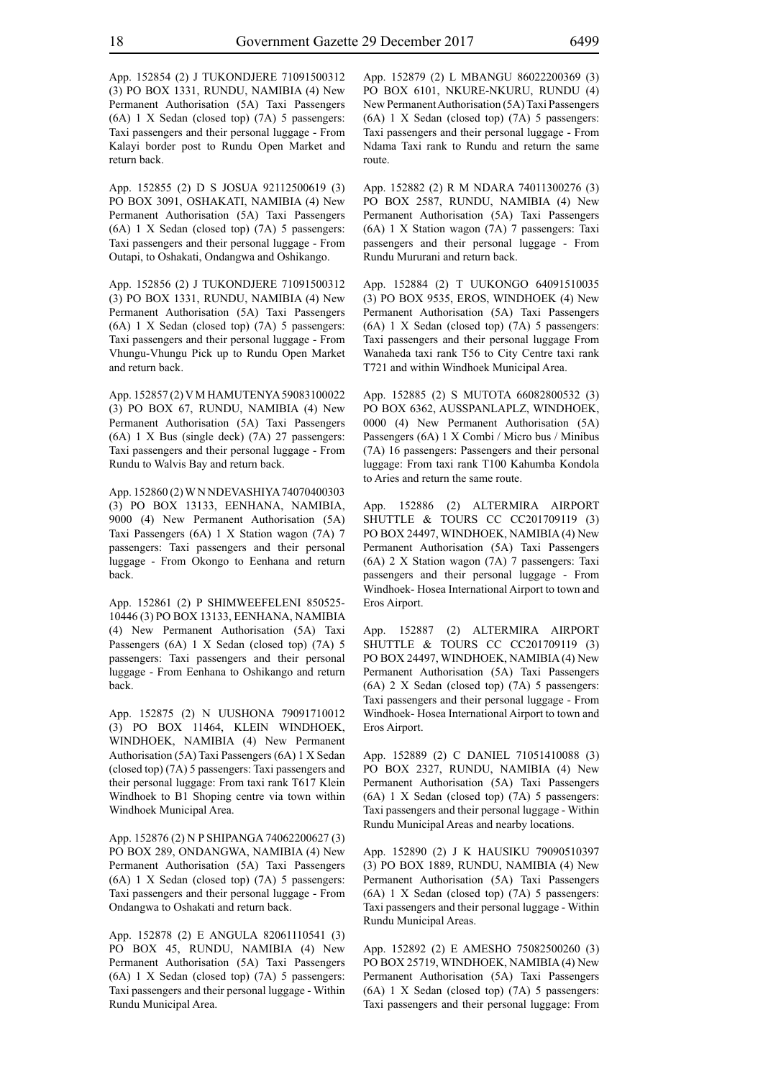App. 152854 (2) J TUKONDJERE 71091500312 (3) PO BOX 1331, RUNDU, NAMIBIA (4) New Permanent Authorisation (5A) Taxi Passengers (6A) 1 X Sedan (closed top) (7A) 5 passengers: Taxi passengers and their personal luggage - From Kalayi border post to Rundu Open Market and return back.

App. 152855 (2) D S JOSUA 92112500619 (3) PO BOX 3091, OSHAKATI, NAMIBIA (4) New Permanent Authorisation (5A) Taxi Passengers (6A) 1 X Sedan (closed top) (7A) 5 passengers: Taxi passengers and their personal luggage - From Outapi, to Oshakati, Ondangwa and Oshikango.

App. 152856 (2) J TUKONDJERE 71091500312 (3) PO BOX 1331, RUNDU, NAMIBIA (4) New Permanent Authorisation (5A) Taxi Passengers (6A) 1 X Sedan (closed top) (7A) 5 passengers: Taxi passengers and their personal luggage - From Vhungu-Vhungu Pick up to Rundu Open Market and return back.

App. 152857 (2) V M HAMUTENYA 59083100022 (3) PO BOX 67, RUNDU, NAMIBIA (4) New Permanent Authorisation (5A) Taxi Passengers (6A) 1 X Bus (single deck) (7A) 27 passengers: Taxi passengers and their personal luggage - From Rundu to Walvis Bay and return back.

App. 152860 (2) W N NDEVASHIYA 74070400303 (3) PO BOX 13133, EENHANA, NAMIBIA, 9000 (4) New Permanent Authorisation (5A) Taxi Passengers (6A) 1 X Station wagon (7A) 7 passengers: Taxi passengers and their personal luggage - From Okongo to Eenhana and return back.

App. 152861 (2) P SHIMWEEFELENI 850525- 10446 (3) PO BOX 13133, EENHANA, NAMIBIA (4) New Permanent Authorisation (5A) Taxi Passengers (6A) 1 X Sedan (closed top) (7A) 5 passengers: Taxi passengers and their personal luggage - From Eenhana to Oshikango and return back.

App. 152875 (2) N UUSHONA 79091710012 (3) PO BOX 11464, KLEIN WINDHOEK, WINDHOEK, NAMIBIA (4) New Permanent Authorisation (5A) Taxi Passengers (6A) 1 X Sedan (closed top) (7A) 5 passengers: Taxi passengers and their personal luggage: From taxi rank T617 Klein Windhoek to B1 Shoping centre via town within Windhoek Municipal Area.

App. 152876 (2) N P SHIPANGA 74062200627 (3) PO BOX 289, ONDANGWA, NAMIBIA (4) New Permanent Authorisation (5A) Taxi Passengers (6A) 1 X Sedan (closed top) (7A) 5 passengers: Taxi passengers and their personal luggage - From Ondangwa to Oshakati and return back.

App. 152878 (2) E ANGULA 82061110541 (3) PO BOX 45, RUNDU, NAMIBIA (4) New Permanent Authorisation (5A) Taxi Passengers (6A) 1 X Sedan (closed top) (7A) 5 passengers: Taxi passengers and their personal luggage - Within Rundu Municipal Area.

App. 152879 (2) L MBANGU 86022200369 (3) PO BOX 6101, NKURE-NKURU, RUNDU (4) New Permanent Authorisation (5A) Taxi Passengers (6A) 1 X Sedan (closed top) (7A) 5 passengers: Taxi passengers and their personal luggage - From Ndama Taxi rank to Rundu and return the same route.

App. 152882 (2) R M NDARA 74011300276 (3) PO BOX 2587, RUNDU, NAMIBIA (4) New Permanent Authorisation (5A) Taxi Passengers (6A) 1 X Station wagon (7A) 7 passengers: Taxi passengers and their personal luggage - From Rundu Mururani and return back.

App. 152884 (2) T UUKONGO 64091510035 (3) PO BOX 9535, EROS, WINDHOEK (4) New Permanent Authorisation (5A) Taxi Passengers (6A) 1 X Sedan (closed top) (7A) 5 passengers: Taxi passengers and their personal luggage From Wanaheda taxi rank T56 to City Centre taxi rank T721 and within Windhoek Municipal Area.

App. 152885 (2) S MUTOTA 66082800532 (3) PO BOX 6362, AUSSPANLAPLZ, WINDHOEK, 0000 (4) New Permanent Authorisation (5A) Passengers (6A) 1 X Combi / Micro bus / Minibus (7A) 16 passengers: Passengers and their personal luggage: From taxi rank T100 Kahumba Kondola to Aries and return the same route.

App. 152886 (2) ALTERMIRA AIRPORT SHUTTLE & TOURS CC CC201709119 (3) PO BOX 24497, WINDHOEK, NAMIBIA (4) New Permanent Authorisation (5A) Taxi Passengers (6A) 2 X Station wagon (7A) 7 passengers: Taxi passengers and their personal luggage - From Windhoek- Hosea International Airport to town and Eros Airport.

App. 152887 (2) ALTERMIRA AIRPORT SHUTTLE & TOURS CC CC201709119 (3) PO BOX 24497, WINDHOEK, NAMIBIA (4) New Permanent Authorisation (5A) Taxi Passengers (6A) 2 X Sedan (closed top) (7A) 5 passengers: Taxi passengers and their personal luggage - From Windhoek- Hosea International Airport to town and Eros Airport.

App. 152889 (2) C DANIEL 71051410088 (3) PO BOX 2327, RUNDU, NAMIBIA (4) New Permanent Authorisation (5A) Taxi Passengers (6A) 1 X Sedan (closed top) (7A) 5 passengers: Taxi passengers and their personal luggage - Within Rundu Municipal Areas and nearby locations.

App. 152890 (2) J K HAUSIKU 79090510397 (3) PO BOX 1889, RUNDU, NAMIBIA (4) New Permanent Authorisation (5A) Taxi Passengers (6A) 1 X Sedan (closed top) (7A) 5 passengers: Taxi passengers and their personal luggage - Within Rundu Municipal Areas.

App. 152892 (2) E AMESHO 75082500260 (3) PO BOX 25719, WINDHOEK, NAMIBIA (4) New Permanent Authorisation (5A) Taxi Passengers (6A) 1 X Sedan (closed top) (7A) 5 passengers: Taxi passengers and their personal luggage: From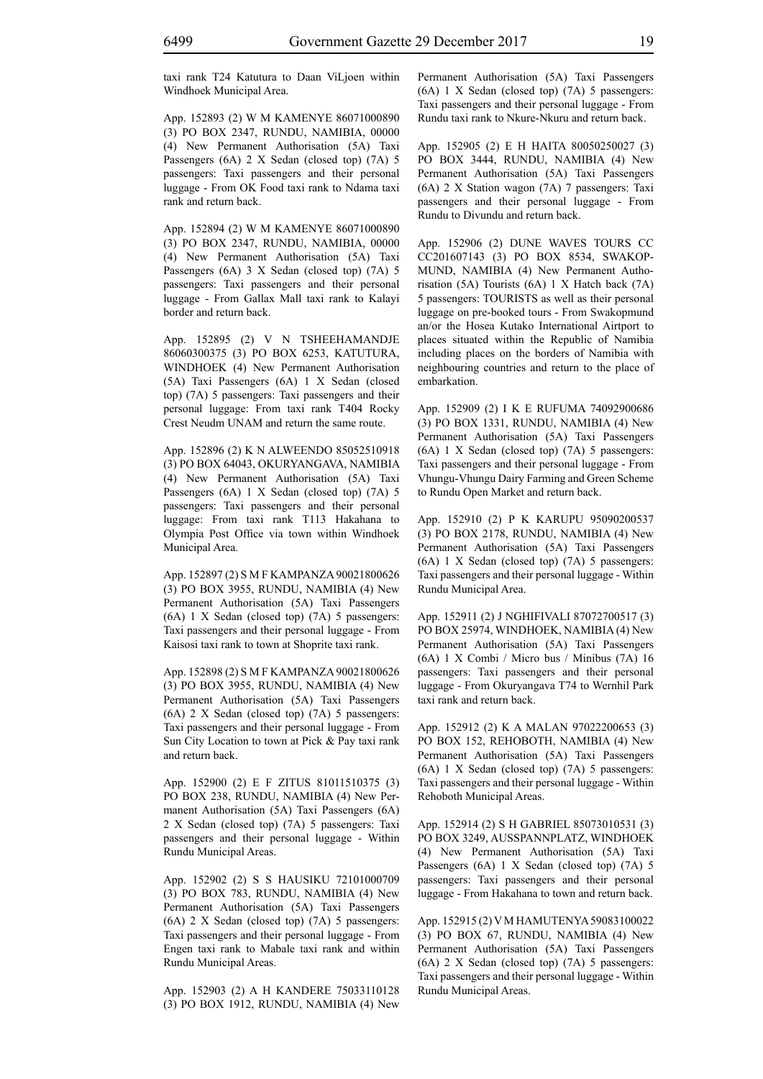taxi rank T24 Katutura to Daan ViLjoen within Windhoek Municipal Area.

App. 152893 (2) W M KAMENYE 86071000890 (3) PO BOX 2347, RUNDU, NAMIBIA, 00000 (4) New Permanent Authorisation (5A) Taxi Passengers (6A) 2 X Sedan (closed top) (7A) 5 passengers: Taxi passengers and their personal luggage - From OK Food taxi rank to Ndama taxi rank and return back.

App. 152894 (2) W M KAMENYE 86071000890 (3) PO BOX 2347, RUNDU, NAMIBIA, 00000 (4) New Permanent Authorisation (5A) Taxi Passengers (6A) 3 X Sedan (closed top) (7A) 5 passengers: Taxi passengers and their personal luggage - From Gallax Mall taxi rank to Kalayi border and return back.

App. 152895 (2) V N TSHEEHAMANDJE 86060300375 (3) PO BOX 6253, KATUTURA, WINDHOEK (4) New Permanent Authorisation (5A) Taxi Passengers (6A) 1 X Sedan (closed top) (7A) 5 passengers: Taxi passengers and their personal luggage: From taxi rank T404 Rocky Crest Neudm UNAM and return the same route.

App. 152896 (2) K N ALWEENDO 85052510918 (3) PO BOX 64043, OKURYANGAVA, NAMIBIA (4) New Permanent Authorisation (5A) Taxi Passengers (6A) 1 X Sedan (closed top) (7A) 5 passengers: Taxi passengers and their personal luggage: From taxi rank T113 Hakahana to Olympia Post Office via town within Windhoek Municipal Area.

App. 152897 (2) S M F KAMPANZA 90021800626 (3) PO BOX 3955, RUNDU, NAMIBIA (4) New Permanent Authorisation (5A) Taxi Passengers (6A) 1 X Sedan (closed top) (7A) 5 passengers: Taxi passengers and their personal luggage - From Kaisosi taxi rank to town at Shoprite taxi rank.

App. 152898 (2) S M F KAMPANZA 90021800626 (3) PO BOX 3955, RUNDU, NAMIBIA (4) New Permanent Authorisation (5A) Taxi Passengers (6A) 2 X Sedan (closed top) (7A) 5 passengers: Taxi passengers and their personal luggage - From Sun City Location to town at Pick & Pay taxi rank and return back.

App. 152900 (2) E F ZITUS 81011510375 (3) PO BOX 238, RUNDU, NAMIBIA (4) New Permanent Authorisation (5A) Taxi Passengers (6A) 2 X Sedan (closed top) (7A) 5 passengers: Taxi passengers and their personal luggage - Within Rundu Municipal Areas.

App. 152902 (2) S S HAUSIKU 72101000709 (3) PO BOX 783, RUNDU, NAMIBIA (4) New Permanent Authorisation (5A) Taxi Passengers (6A) 2 X Sedan (closed top) (7A) 5 passengers: Taxi passengers and their personal luggage - From Engen taxi rank to Mabale taxi rank and within Rundu Municipal Areas.

App. 152903 (2) A H KANDERE 75033110128 (3) PO BOX 1912, RUNDU, NAMIBIA (4) New Permanent Authorisation (5A) Taxi Passengers (6A) 1 X Sedan (closed top) (7A) 5 passengers: Taxi passengers and their personal luggage - From Rundu taxi rank to Nkure-Nkuru and return back.

App. 152905 (2) E H HAITA 80050250027 (3) PO BOX 3444, RUNDU, NAMIBIA (4) New Permanent Authorisation (5A) Taxi Passengers (6A) 2 X Station wagon (7A) 7 passengers: Taxi passengers and their personal luggage - From Rundu to Divundu and return back.

App. 152906 (2) DUNE WAVES TOURS CC CC201607143 (3) PO BOX 8534, SWAKOP-MUND, NAMIBIA (4) New Permanent Authorisation (5A) Tourists (6A) 1 X Hatch back (7A) 5 passengers: TOURISTS as well as their personal luggage on pre-booked tours - From Swakopmund an/or the Hosea Kutako International Airtport to places situated within the Republic of Namibia including places on the borders of Namibia with neighbouring countries and return to the place of embarkation.

App. 152909 (2) I K E RUFUMA 74092900686 (3) PO BOX 1331, RUNDU, NAMIBIA (4) New Permanent Authorisation (5A) Taxi Passengers (6A) 1 X Sedan (closed top) (7A) 5 passengers: Taxi passengers and their personal luggage - From Vhungu-Vhungu Dairy Farming and Green Scheme to Rundu Open Market and return back.

App. 152910 (2) P K KARUPU 95090200537 (3) PO BOX 2178, RUNDU, NAMIBIA (4) New Permanent Authorisation (5A) Taxi Passengers (6A) 1 X Sedan (closed top) (7A) 5 passengers: Taxi passengers and their personal luggage - Within Rundu Municipal Area.

App. 152911 (2) J NGHIFIVALI 87072700517 (3) PO BOX 25974, WINDHOEK, NAMIBIA (4) New Permanent Authorisation (5A) Taxi Passengers (6A) 1 X Combi / Micro bus / Minibus (7A) 16 passengers: Taxi passengers and their personal luggage - From Okuryangava T74 to Wernhil Park taxi rank and return back.

App. 152912 (2) K A MALAN 97022200653 (3) PO BOX 152, REHOBOTH, NAMIBIA (4) New Permanent Authorisation (5A) Taxi Passengers (6A) 1 X Sedan (closed top) (7A) 5 passengers: Taxi passengers and their personal luggage - Within Rehoboth Municipal Areas.

App. 152914 (2) S H GABRIEL 85073010531 (3) PO BOX 3249, AUSSPANNPLATZ, WINDHOEK (4) New Permanent Authorisation (5A) Taxi Passengers (6A) 1 X Sedan (closed top) (7A) 5 passengers: Taxi passengers and their personal luggage - From Hakahana to town and return back.

App. 152915 (2) V M HAMUTENYA 59083100022 (3) PO BOX 67, RUNDU, NAMIBIA (4) New Permanent Authorisation (5A) Taxi Passengers (6A) 2 X Sedan (closed top) (7A) 5 passengers: Taxi passengers and their personal luggage - Within Rundu Municipal Areas.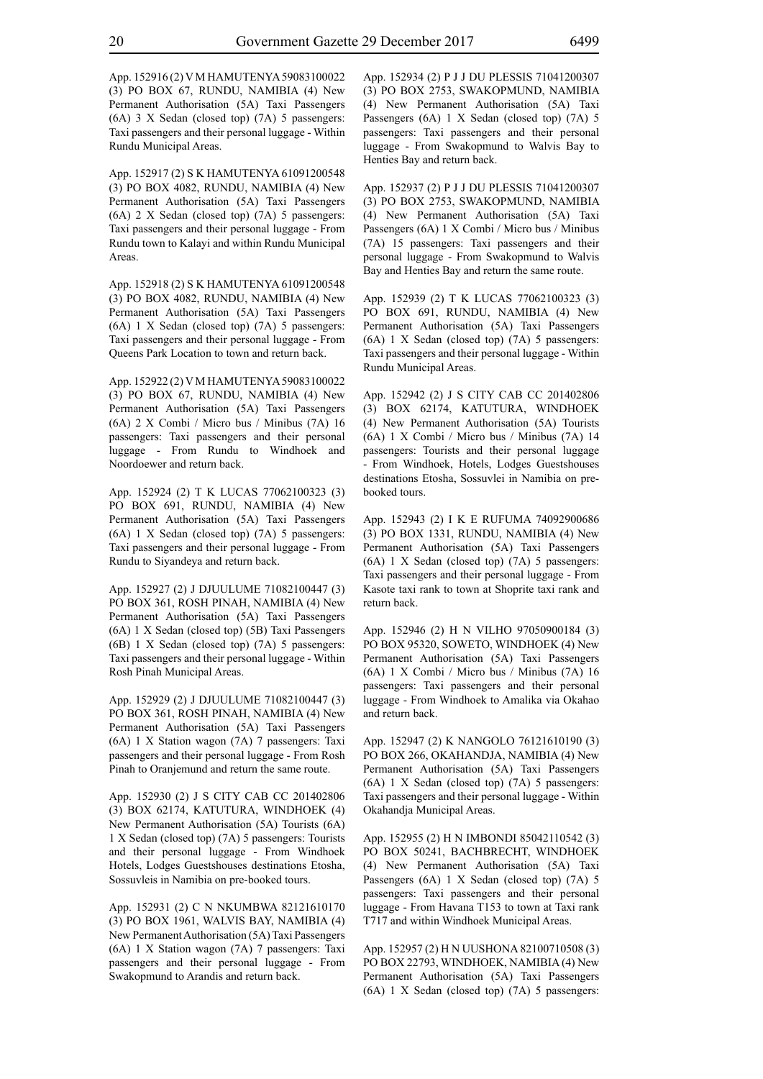App. 152916 (2) V M HAMUTENYA 59083100022 (3) PO BOX 67, RUNDU, NAMIBIA (4) New Permanent Authorisation (5A) Taxi Passengers (6A) 3 X Sedan (closed top) (7A) 5 passengers: Taxi passengers and their personal luggage - Within Rundu Municipal Areas.

App. 152917 (2) S K HAMUTENYA 61091200548 (3) PO BOX 4082, RUNDU, NAMIBIA (4) New Permanent Authorisation (5A) Taxi Passengers (6A) 2 X Sedan (closed top) (7A) 5 passengers: Taxi passengers and their personal luggage - From Rundu town to Kalayi and within Rundu Municipal Areas.

App. 152918 (2) S K HAMUTENYA 61091200548 (3) PO BOX 4082, RUNDU, NAMIBIA (4) New Permanent Authorisation (5A) Taxi Passengers (6A) 1 X Sedan (closed top) (7A) 5 passengers: Taxi passengers and their personal luggage - From Queens Park Location to town and return back.

App. 152922 (2) V M HAMUTENYA 59083100022 (3) PO BOX 67, RUNDU, NAMIBIA (4) New Permanent Authorisation (5A) Taxi Passengers (6A) 2 X Combi / Micro bus / Minibus (7A) 16 passengers: Taxi passengers and their personal luggage - From Rundu to Windhoek and Noordoewer and return back.

App. 152924 (2) T K LUCAS 77062100323 (3) PO BOX 691, RUNDU, NAMIBIA (4) New Permanent Authorisation (5A) Taxi Passengers (6A) 1 X Sedan (closed top) (7A) 5 passengers: Taxi passengers and their personal luggage - From Rundu to Siyandeya and return back.

App. 152927 (2) J DJUULUME 71082100447 (3) PO BOX 361, ROSH PINAH, NAMIBIA (4) New Permanent Authorisation (5A) Taxi Passengers (6A) 1 X Sedan (closed top) (5B) Taxi Passengers (6B) 1 X Sedan (closed top) (7A) 5 passengers: Taxi passengers and their personal luggage - Within Rosh Pinah Municipal Areas.

App. 152929 (2) J DJUULUME 71082100447 (3) PO BOX 361, ROSH PINAH, NAMIBIA (4) New Permanent Authorisation (5A) Taxi Passengers (6A) 1 X Station wagon (7A) 7 passengers: Taxi passengers and their personal luggage - From Rosh Pinah to Oranjemund and return the same route.

App. 152930 (2) J S CITY CAB CC 201402806 (3) BOX 62174, KATUTURA, WINDHOEK (4) New Permanent Authorisation (5A) Tourists (6A) 1 X Sedan (closed top) (7A) 5 passengers: Tourists and their personal luggage - From Windhoek Hotels, Lodges Guestshouses destinations Etosha, Sossuvleis in Namibia on pre-booked tours.

App. 152931 (2) C N NKUMBWA 82121610170 (3) PO BOX 1961, WALVIS BAY, NAMIBIA (4) New Permanent Authorisation (5A) Taxi Passengers (6A) 1 X Station wagon (7A) 7 passengers: Taxi passengers and their personal luggage - From Swakopmund to Arandis and return back.

App. 152934 (2) P J J DU PLESSIS 71041200307 (3) PO BOX 2753, SWAKOPMUND, NAMIBIA (4) New Permanent Authorisation (5A) Taxi Passengers (6A) 1 X Sedan (closed top) (7A) 5 passengers: Taxi passengers and their personal luggage - From Swakopmund to Walvis Bay to Henties Bay and return back.

App. 152937 (2) P J J DU PLESSIS 71041200307 (3) PO BOX 2753, SWAKOPMUND, NAMIBIA (4) New Permanent Authorisation (5A) Taxi Passengers (6A) 1 X Combi / Micro bus / Minibus (7A) 15 passengers: Taxi passengers and their personal luggage - From Swakopmund to Walvis Bay and Henties Bay and return the same route.

App. 152939 (2) T K LUCAS 77062100323 (3) PO BOX 691, RUNDU, NAMIBIA (4) New Permanent Authorisation (5A) Taxi Passengers (6A) 1 X Sedan (closed top) (7A) 5 passengers: Taxi passengers and their personal luggage - Within Rundu Municipal Areas.

App. 152942 (2) J S CITY CAB CC 201402806 (3) BOX 62174, KATUTURA, WINDHOEK (4) New Permanent Authorisation (5A) Tourists (6A) 1 X Combi / Micro bus / Minibus (7A) 14 passengers: Tourists and their personal luggage - From Windhoek, Hotels, Lodges Guestshouses destinations Etosha, Sossuvlei in Namibia on prebooked tours.

App. 152943 (2) I K E RUFUMA 74092900686 (3) PO BOX 1331, RUNDU, NAMIBIA (4) New Permanent Authorisation (5A) Taxi Passengers (6A) 1 X Sedan (closed top) (7A) 5 passengers: Taxi passengers and their personal luggage - From Kasote taxi rank to town at Shoprite taxi rank and return back.

App. 152946 (2) H N VILHO 97050900184 (3) PO BOX 95320, SOWETO, WINDHOEK (4) New Permanent Authorisation (5A) Taxi Passengers (6A) 1 X Combi / Micro bus / Minibus (7A) 16 passengers: Taxi passengers and their personal luggage - From Windhoek to Amalika via Okahao and return back.

App. 152947 (2) K NANGOLO 76121610190 (3) PO BOX 266, OKAHANDJA, NAMIBIA (4) New Permanent Authorisation (5A) Taxi Passengers (6A) 1 X Sedan (closed top) (7A) 5 passengers: Taxi passengers and their personal luggage - Within Okahandja Municipal Areas.

App. 152955 (2) H N IMBONDI 85042110542 (3) PO BOX 50241, BACHBRECHT, WINDHOEK (4) New Permanent Authorisation (5A) Taxi Passengers (6A) 1 X Sedan (closed top) (7A) 5 passengers: Taxi passengers and their personal luggage - From Havana T153 to town at Taxi rank T717 and within Windhoek Municipal Areas.

App. 152957 (2) H N UUSHONA 82100710508 (3) PO BOX 22793, WINDHOEK, NAMIBIA (4) New Permanent Authorisation (5A) Taxi Passengers (6A) 1 X Sedan (closed top) (7A) 5 passengers: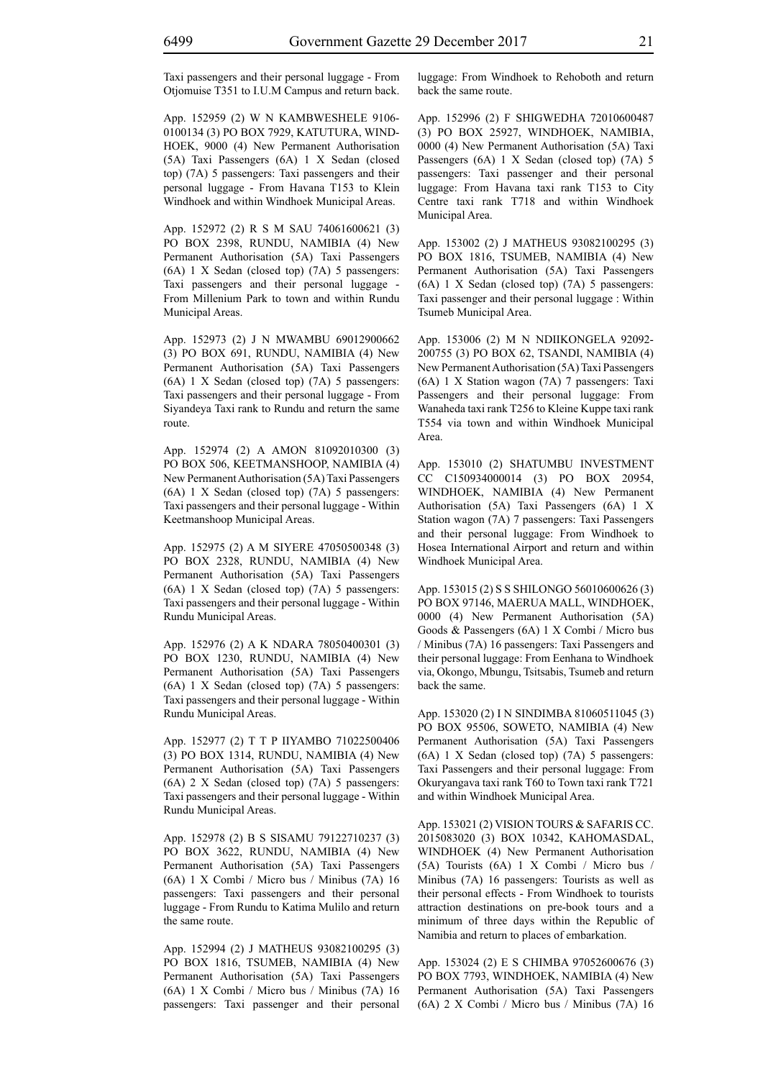Taxi passengers and their personal luggage - From Otjomuise T351 to I.U.M Campus and return back.

App. 152959 (2) W N KAMBWESHELE 9106- 0100134 (3) PO BOX 7929, KATUTURA, WIND-HOEK, 9000 (4) New Permanent Authorisation (5A) Taxi Passengers (6A) 1 X Sedan (closed top) (7A) 5 passengers: Taxi passengers and their personal luggage - From Havana T153 to Klein Windhoek and within Windhoek Municipal Areas.

App. 152972 (2) R S M SAU 74061600621 (3) PO BOX 2398, RUNDU, NAMIBIA (4) New Permanent Authorisation (5A) Taxi Passengers (6A) 1 X Sedan (closed top) (7A) 5 passengers: Taxi passengers and their personal luggage - From Millenium Park to town and within Rundu Municipal Areas.

App. 152973 (2) J N MWAMBU 69012900662 (3) PO BOX 691, RUNDU, NAMIBIA (4) New Permanent Authorisation (5A) Taxi Passengers (6A) 1 X Sedan (closed top) (7A) 5 passengers: Taxi passengers and their personal luggage - From Siyandeya Taxi rank to Rundu and return the same route.

App. 152974 (2) A AMON 81092010300 (3) PO BOX 506, KEETMANSHOOP, NAMIBIA (4) New Permanent Authorisation (5A) Taxi Passengers (6A) 1 X Sedan (closed top) (7A) 5 passengers: Taxi passengers and their personal luggage - Within Keetmanshoop Municipal Areas.

App. 152975 (2) A M SIYERE 47050500348 (3) PO BOX 2328, RUNDU, NAMIBIA (4) New Permanent Authorisation (5A) Taxi Passengers (6A) 1 X Sedan (closed top) (7A) 5 passengers: Taxi passengers and their personal luggage - Within Rundu Municipal Areas.

App. 152976 (2) A K NDARA 78050400301 (3) PO BOX 1230, RUNDU, NAMIBIA (4) New Permanent Authorisation (5A) Taxi Passengers (6A) 1 X Sedan (closed top) (7A) 5 passengers: Taxi passengers and their personal luggage - Within Rundu Municipal Areas.

App. 152977 (2) T T P IIYAMBO 71022500406 (3) PO BOX 1314, RUNDU, NAMIBIA (4) New Permanent Authorisation (5A) Taxi Passengers (6A) 2 X Sedan (closed top) (7A) 5 passengers: Taxi passengers and their personal luggage - Within Rundu Municipal Areas.

App. 152978 (2) B S SISAMU 79122710237 (3) PO BOX 3622, RUNDU, NAMIBIA (4) New Permanent Authorisation (5A) Taxi Passengers (6A) 1 X Combi / Micro bus / Minibus (7A) 16 passengers: Taxi passengers and their personal luggage - From Rundu to Katima Mulilo and return the same route.

App. 152994 (2) J MATHEUS 93082100295 (3) PO BOX 1816, TSUMEB, NAMIBIA (4) New Permanent Authorisation (5A) Taxi Passengers (6A) 1 X Combi / Micro bus / Minibus (7A) 16 passengers: Taxi passenger and their personal luggage: From Windhoek to Rehoboth and return back the same route.

App. 152996 (2) F SHIGWEDHA 72010600487 (3) PO BOX 25927, WINDHOEK, NAMIBIA, 0000 (4) New Permanent Authorisation (5A) Taxi Passengers (6A) 1 X Sedan (closed top) (7A) 5 passengers: Taxi passenger and their personal luggage: From Havana taxi rank T153 to City Centre taxi rank T718 and within Windhoek Municipal Area.

App. 153002 (2) J MATHEUS 93082100295 (3) PO BOX 1816, TSUMEB, NAMIBIA (4) New Permanent Authorisation (5A) Taxi Passengers (6A) 1 X Sedan (closed top) (7A) 5 passengers: Taxi passenger and their personal luggage : Within Tsumeb Municipal Area.

App. 153006 (2) M N NDIIKONGELA 92092- 200755 (3) PO BOX 62, TSANDI, NAMIBIA (4) New Permanent Authorisation (5A) Taxi Passengers (6A) 1 X Station wagon (7A) 7 passengers: Taxi Passengers and their personal luggage: From Wanaheda taxi rank T256 to Kleine Kuppe taxi rank T554 via town and within Windhoek Municipal Area.

App. 153010 (2) SHATUMBU INVESTMENT CC C150934000014 (3) PO BOX 20954, WINDHOEK, NAMIBIA (4) New Permanent Authorisation (5A) Taxi Passengers (6A) 1 X Station wagon (7A) 7 passengers: Taxi Passengers and their personal luggage: From Windhoek to Hosea International Airport and return and within Windhoek Municipal Area.

App. 153015 (2) S S SHILONGO 56010600626 (3) PO BOX 97146, MAERUA MALL, WINDHOEK, 0000 (4) New Permanent Authorisation (5A) Goods & Passengers (6A) 1 X Combi / Micro bus / Minibus (7A) 16 passengers: Taxi Passengers and their personal luggage: From Eenhana to Windhoek via, Okongo, Mbungu, Tsitsabis, Tsumeb and return back the same.

App. 153020 (2) I N SINDIMBA 81060511045 (3) PO BOX 95506, SOWETO, NAMIBIA (4) New Permanent Authorisation (5A) Taxi Passengers (6A) 1 X Sedan (closed top) (7A) 5 passengers: Taxi Passengers and their personal luggage: From Okuryangava taxi rank T60 to Town taxi rank T721 and within Windhoek Municipal Area.

App. 153021 (2) VISION TOURS & SAFARIS CC. 2015083020 (3) BOX 10342, KAHOMASDAL, WINDHOEK (4) New Permanent Authorisation (5A) Tourists (6A) 1 X Combi / Micro bus / Minibus (7A) 16 passengers: Tourists as well as their personal effects - From Windhoek to tourists attraction destinations on pre-book tours and a minimum of three days within the Republic of Namibia and return to places of embarkation.

App. 153024 (2) E S CHIMBA 97052600676 (3) PO BOX 7793, WINDHOEK, NAMIBIA (4) New Permanent Authorisation (5A) Taxi Passengers (6A) 2 X Combi / Micro bus / Minibus (7A) 16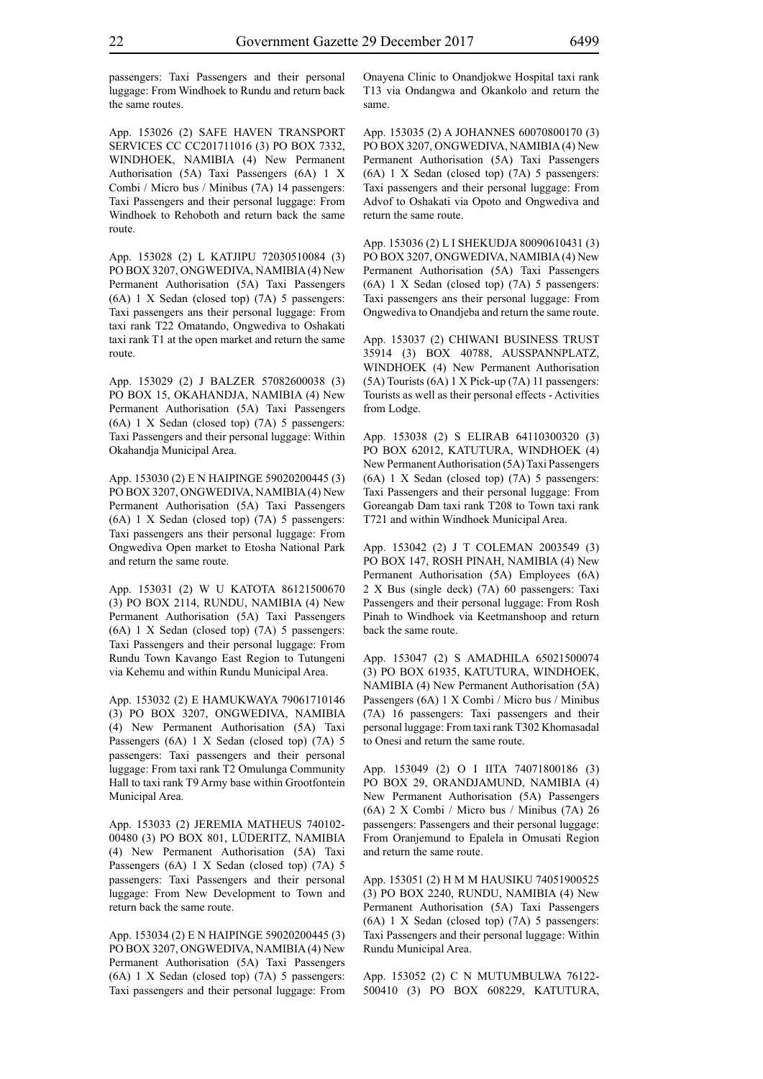passengers: Taxi Passengers and their personal luggage: From Windhoek to Rundu and return back the same routes.

App. 153026 (2) SAFE HAVEN TRANSPORT SERVICES CC CC201711016 (3) PO BOX 7332, WINDHOEK, NAMIBIA (4) New Permanent Authorisation (5A) Taxi Passengers (6A) 1 X Combi / Micro bus / Minibus (7A) 14 passengers: Taxi Passengers and their personal luggage: From Windhoek to Rehoboth and return back the same route.

App. 153028 (2) L KATJIPU 72030510084 (3) PO BOX 3207, ONGWEDIVA, NAMIBIA (4) New Permanent Authorisation (5A) Taxi Passengers (6A) 1 X Sedan (closed top) (7A) 5 passengers: Taxi passengers ans their personal luggage: From taxi rank T22 Omatando, Ongwediva to Oshakati taxi rank T1 at the open market and return the same route.

App. 153029 (2) J BALZER 57082600038 (3) PO BOX 15, OKAHANDJA, NAMIBIA (4) New Permanent Authorisation (5A) Taxi Passengers (6A) 1 X Sedan (closed top) (7A) 5 passengers: Taxi Passengers and their personal luggage: Within Okahandja Municipal Area.

App. 153030 (2) E N HAIPINGE 59020200445 (3) PO BOX 3207, ONGWEDIVA, NAMIBIA (4) New Permanent Authorisation (5A) Taxi Passengers (6A) 1 X Sedan (closed top) (7A) 5 passengers: Taxi passengers ans their personal luggage: From Ongwediva Open market to Etosha National Park and return the same route.

App. 153031 (2) W U KATOTA 86121500670 (3) PO BOX 2114, RUNDU, NAMIBIA (4) New Permanent Authorisation (5A) Taxi Passengers (6A) 1 X Sedan (closed top) (7A) 5 passengers: Taxi Passengers and their personal luggage: From Rundu Town Kavango East Region to Tutungeni via Kehemu and within Rundu Municipal Area.

App. 153032 (2) E HAMUKWAYA 79061710146 (3) PO BOX 3207, ONGWEDIVA, NAMIBIA (4) New Permanent Authorisation (5A) Taxi Passengers (6A) 1 X Sedan (closed top) (7A) 5 passengers: Taxi passengers and their personal luggage: From taxi rank T2 Omulunga Community Hall to taxi rank T9 Army base within Grootfontein Municipal Area.

App. 153033 (2) JEREMIA MATHEUS 740102- 00480 (3) PO BOX 801, LÜDERITZ, NAMIBIA (4) New Permanent Authorisation (5A) Taxi Passengers (6A) 1 X Sedan (closed top) (7A) 5 passengers: Taxi Passengers and their personal luggage: From New Development to Town and return back the same route.

App. 153034 (2) E N HAIPINGE 59020200445 (3) PO BOX 3207, ONGWEDIVA, NAMIBIA (4) New Permanent Authorisation (5A) Taxi Passengers (6A) 1 X Sedan (closed top) (7A) 5 passengers: Taxi passengers and their personal luggage: From Onayena Clinic to Onandjokwe Hospital taxi rank T13 via Ondangwa and Okankolo and return the same.

App. 153035 (2) A JOHANNES 60070800170 (3) PO BOX 3207, ONGWEDIVA, NAMIBIA (4) New Permanent Authorisation (5A) Taxi Passengers (6A) 1 X Sedan (closed top) (7A) 5 passengers: Taxi passengers and their personal luggage: From Advof to Oshakati via Opoto and Ongwediva and return the same route.

App. 153036 (2) L I SHEKUDJA 80090610431 (3) PO BOX 3207, ONGWEDIVA, NAMIBIA (4) New Permanent Authorisation (5A) Taxi Passengers (6A) 1 X Sedan (closed top) (7A) 5 passengers: Taxi passengers ans their personal luggage: From Ongwediva to Onandjeba and return the same route.

App. 153037 (2) CHIWANI BUSINESS TRUST 35914 (3) BOX 40788, AUSSPANNPLATZ, WINDHOEK (4) New Permanent Authorisation (5A) Tourists (6A) 1 X Pick-up (7A) 11 passengers: Tourists as well as their personal effects - Activities from Lodge.

App. 153038 (2) S ELIRAB 64110300320 (3) PO BOX 62012, KATUTURA, WINDHOEK (4) New Permanent Authorisation (5A) Taxi Passengers (6A) 1 X Sedan (closed top) (7A) 5 passengers: Taxi Passengers and their personal luggage: From Goreangab Dam taxi rank T208 to Town taxi rank T721 and within Windhoek Municipal Area.

App. 153042 (2) J T COLEMAN 2003549 (3) PO BOX 147, ROSH PINAH, NAMIBIA (4) New Permanent Authorisation (5A) Employees (6A) 2 X Bus (single deck) (7A) 60 passengers: Taxi Passengers and their personal luggage: From Rosh Pinah to Windhoek via Keetmanshoop and return back the same route.

App. 153047 (2) S AMADHILA 65021500074 (3) PO BOX 61935, KATUTURA, WINDHOEK, NAMIBIA (4) New Permanent Authorisation (5A) Passengers (6A) 1 X Combi / Micro bus / Minibus (7A) 16 passengers: Taxi passengers and their personal luggage: From taxi rank T302 Khomasadal to Onesi and return the same route.

App. 153049 (2) O I IITA 74071800186 (3) PO BOX 29, ORANDJAMUND, NAMIBIA (4) New Permanent Authorisation (5A) Passengers (6A) 2 X Combi / Micro bus / Minibus (7A) 26 passengers: Passengers and their personal luggage: From Oranjemund to Epalela in Omusati Region and return the same route.

App. 153051 (2) H M M HAUSIKU 74051900525 (3) PO BOX 2240, RUNDU, NAMIBIA (4) New Permanent Authorisation (5A) Taxi Passengers (6A) 1 X Sedan (closed top) (7A) 5 passengers: Taxi Passengers and their personal luggage: Within Rundu Municipal Area.

App. 153052 (2) C N MUTUMBULWA 76122- 500410 (3) PO BOX 608229, KATUTURA,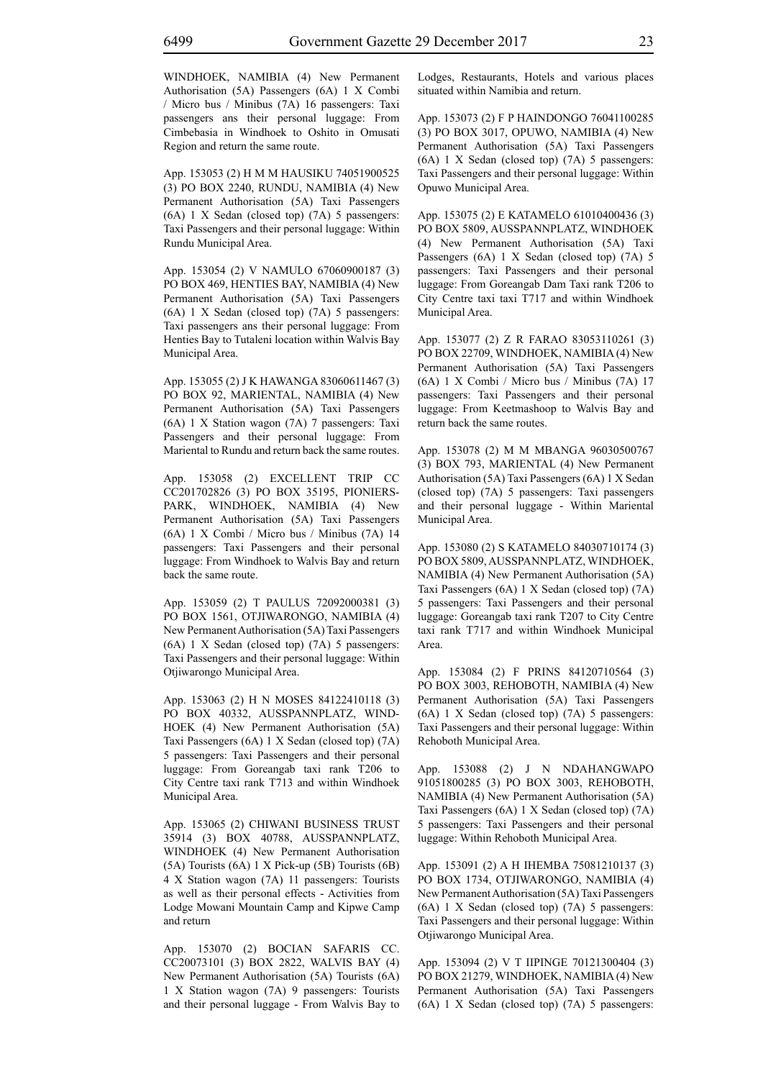WINDHOEK, NAMIBIA (4) New Permanent Authorisation (5A) Passengers (6A) 1 X Combi / Micro bus / Minibus (7A) 16 passengers: Taxi passengers ans their personal luggage: From Cimbebasia in Windhoek to Oshito in Omusati Region and return the same route.

App. 153053 (2) H M M HAUSIKU 74051900525 (3) PO BOX 2240, RUNDU, NAMIBIA (4) New Permanent Authorisation (5A) Taxi Passengers (6A) 1 X Sedan (closed top) (7A) 5 passengers: Taxi Passengers and their personal luggage: Within Rundu Municipal Area.

App. 153054 (2) V NAMULO 67060900187 (3) PO BOX 469, HENTIES BAY, NAMIBIA (4) New Permanent Authorisation (5A) Taxi Passengers (6A) 1 X Sedan (closed top) (7A) 5 passengers: Taxi passengers ans their personal luggage: From Henties Bay to Tutaleni location within Walvis Bay Municipal Area.

App. 153055 (2) J K HAWANGA 83060611467 (3) PO BOX 92, MARIENTAL, NAMIBIA (4) New Permanent Authorisation (5A) Taxi Passengers (6A) 1 X Station wagon (7A) 7 passengers: Taxi Passengers and their personal luggage: From Mariental to Rundu and return back the same routes.

App. 153058 (2) EXCELLENT TRIP CC CC201702826 (3) PO BOX 35195, PIONIERS-PARK, WINDHOEK, NAMIBIA (4) New Permanent Authorisation (5A) Taxi Passengers (6A) 1 X Combi / Micro bus / Minibus (7A) 14 passengers: Taxi Passengers and their personal luggage: From Windhoek to Walvis Bay and return back the same route.

App. 153059 (2) T PAULUS 72092000381 (3) PO BOX 1561, OTJIWARONGO, NAMIBIA (4) New Permanent Authorisation (5A) Taxi Passengers (6A) 1 X Sedan (closed top) (7A) 5 passengers: Taxi Passengers and their personal luggage: Within Otjiwarongo Municipal Area.

App. 153063 (2) H N MOSES 84122410118 (3) PO BOX 40332, AUSSPANNPLATZ, WIND-HOEK (4) New Permanent Authorisation (5A) Taxi Passengers (6A) 1 X Sedan (closed top) (7A) 5 passengers: Taxi Passengers and their personal luggage: From Goreangab taxi rank T206 to City Centre taxi rank T713 and within Windhoek Municipal Area.

App. 153065 (2) CHIWANI BUSINESS TRUST 35914 (3) BOX 40788, AUSSPANNPLATZ, WINDHOEK (4) New Permanent Authorisation (5A) Tourists (6A) 1 X Pick-up (5B) Tourists (6B) 4 X Station wagon (7A) 11 passengers: Tourists as well as their personal effects - Activities from Lodge Mowani Mountain Camp and Kipwe Camp and return

App. 153070 (2) BOCIAN SAFARIS CC. CC20073101 (3) BOX 2822, WALVIS BAY (4) New Permanent Authorisation (5A) Tourists (6A) 1 X Station wagon (7A) 9 passengers: Tourists and their personal luggage - From Walvis Bay to Lodges, Restaurants, Hotels and various places situated within Namibia and return.

App. 153073 (2) F P HAINDONGO 76041100285 (3) PO BOX 3017, OPUWO, NAMIBIA (4) New Permanent Authorisation (5A) Taxi Passengers (6A) 1 X Sedan (closed top) (7A) 5 passengers: Taxi Passengers and their personal luggage: Within Opuwo Municipal Area.

App. 153075 (2) E KATAMELO 61010400436 (3) PO BOX 5809, AUSSPANNPLATZ, WINDHOEK (4) New Permanent Authorisation (5A) Taxi Passengers (6A) 1 X Sedan (closed top) (7A) 5 passengers: Taxi Passengers and their personal luggage: From Goreangab Dam Taxi rank T206 to City Centre taxi taxi T717 and within Windhoek Municipal Area.

App. 153077 (2) Z R FARAO 83053110261 (3) PO BOX 22709, WINDHOEK, NAMIBIA (4) New Permanent Authorisation (5A) Taxi Passengers (6A) 1 X Combi / Micro bus / Minibus (7A) 17 passengers: Taxi Passengers and their personal luggage: From Keetmashoop to Walvis Bay and return back the same routes.

App. 153078 (2) M M MBANGA 96030500767 (3) BOX 793, MARIENTAL (4) New Permanent Authorisation (5A) Taxi Passengers (6A) 1 X Sedan (closed top) (7A) 5 passengers: Taxi passengers and their personal luggage - Within Mariental Municipal Area.

App. 153080 (2) S KATAMELO 84030710174 (3) PO BOX 5809, AUSSPANNPLATZ, WINDHOEK, NAMIBIA (4) New Permanent Authorisation (5A) Taxi Passengers (6A) 1 X Sedan (closed top) (7A) 5 passengers: Taxi Passengers and their personal luggage: Goreangab taxi rank T207 to City Centre taxi rank T717 and within Windhoek Municipal Area.

App. 153084 (2) F PRINS 84120710564 (3) PO BOX 3003, REHOBOTH, NAMIBIA (4) New Permanent Authorisation (5A) Taxi Passengers (6A) 1 X Sedan (closed top) (7A) 5 passengers: Taxi Passengers and their personal luggage: Within Rehoboth Municipal Area.

App. 153088 (2) J N NDAHANGWAPO 91051800285 (3) PO BOX 3003, REHOBOTH, NAMIBIA (4) New Permanent Authorisation (5A) Taxi Passengers (6A) 1 X Sedan (closed top) (7A) 5 passengers: Taxi Passengers and their personal luggage: Within Rehoboth Municipal Area.

App. 153091 (2) A H IHEMBA 75081210137 (3) PO BOX 1734, OTJIWARONGO, NAMIBIA (4) New Permanent Authorisation (5A) Taxi Passengers (6A) 1 X Sedan (closed top) (7A) 5 passengers: Taxi Passengers and their personal luggage: Within Otjiwarongo Municipal Area.

App. 153094 (2) V T IIPINGE 70121300404 (3) PO BOX 21279, WINDHOEK, NAMIBIA (4) New Permanent Authorisation (5A) Taxi Passengers (6A) 1 X Sedan (closed top) (7A) 5 passengers: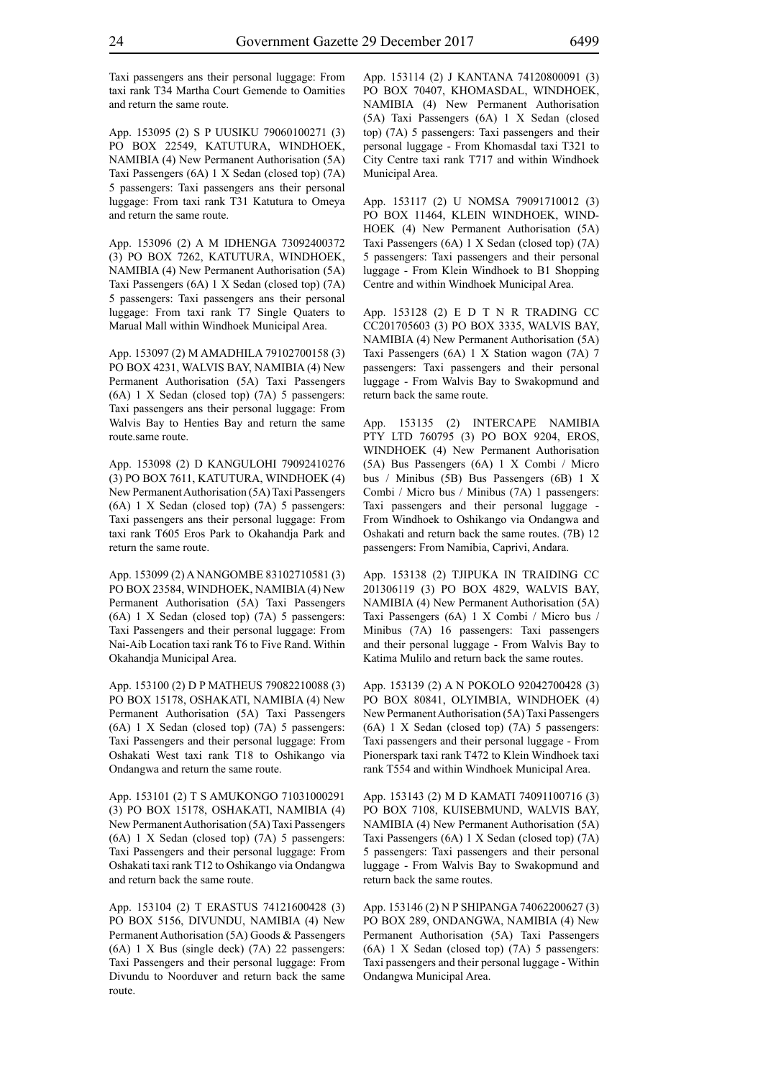Taxi passengers ans their personal luggage: From taxi rank T34 Martha Court Gemende to Oamities and return the same route.

App. 153095 (2) S P UUSIKU 79060100271 (3) PO BOX 22549, KATUTURA, WINDHOEK, NAMIBIA (4) New Permanent Authorisation (5A) Taxi Passengers (6A) 1 X Sedan (closed top) (7A) 5 passengers: Taxi passengers ans their personal luggage: From taxi rank T31 Katutura to Omeya and return the same route.

App. 153096 (2) A M IDHENGA 73092400372 (3) PO BOX 7262, KATUTURA, WINDHOEK, NAMIBIA (4) New Permanent Authorisation (5A) Taxi Passengers (6A) 1 X Sedan (closed top) (7A) 5 passengers: Taxi passengers ans their personal luggage: From taxi rank T7 Single Quaters to Marual Mall within Windhoek Municipal Area.

App. 153097 (2) M AMADHILA 79102700158 (3) PO BOX 4231, WALVIS BAY, NAMIBIA (4) New Permanent Authorisation (5A) Taxi Passengers (6A) 1 X Sedan (closed top) (7A) 5 passengers: Taxi passengers ans their personal luggage: From Walvis Bay to Henties Bay and return the same route.same route.

App. 153098 (2) D KANGULOHI 79092410276 (3) PO BOX 7611, KATUTURA, WINDHOEK (4) New Permanent Authorisation (5A) Taxi Passengers (6A) 1 X Sedan (closed top) (7A) 5 passengers: Taxi passengers ans their personal luggage: From taxi rank T605 Eros Park to Okahandja Park and return the same route.

App. 153099 (2) A NANGOMBE 83102710581 (3) PO BOX 23584, WINDHOEK, NAMIBIA (4) New Permanent Authorisation (5A) Taxi Passengers (6A) 1 X Sedan (closed top) (7A) 5 passengers: Taxi Passengers and their personal luggage: From Nai-Aib Location taxi rank T6 to Five Rand. Within Okahandja Municipal Area.

App. 153100 (2) D P MATHEUS 79082210088 (3) PO BOX 15178, OSHAKATI, NAMIBIA (4) New Permanent Authorisation (5A) Taxi Passengers (6A) 1 X Sedan (closed top) (7A) 5 passengers: Taxi Passengers and their personal luggage: From Oshakati West taxi rank T18 to Oshikango via Ondangwa and return the same route.

App. 153101 (2) T S AMUKONGO 71031000291 (3) PO BOX 15178, OSHAKATI, NAMIBIA (4) New Permanent Authorisation (5A) Taxi Passengers (6A) 1 X Sedan (closed top) (7A) 5 passengers: Taxi Passengers and their personal luggage: From Oshakati taxi rank T12 to Oshikango via Ondangwa and return back the same route.

App. 153104 (2) T ERASTUS 74121600428 (3) PO BOX 5156, DIVUNDU, NAMIBIA (4) New Permanent Authorisation (5A) Goods & Passengers (6A) 1 X Bus (single deck) (7A) 22 passengers: Taxi Passengers and their personal luggage: From Divundu to Noorduver and return back the same route.

App. 153114 (2) J KANTANA 74120800091 (3) PO BOX 70407, KHOMASDAL, WINDHOEK, NAMIBIA (4) New Permanent Authorisation (5A) Taxi Passengers (6A) 1 X Sedan (closed top) (7A) 5 passengers: Taxi passengers and their personal luggage - From Khomasdal taxi T321 to City Centre taxi rank T717 and within Windhoek Municipal Area.

App. 153117 (2) U NOMSA 79091710012 (3) PO BOX 11464, KLEIN WINDHOEK, WIND-HOEK (4) New Permanent Authorisation (5A) Taxi Passengers (6A) 1 X Sedan (closed top) (7A) 5 passengers: Taxi passengers and their personal luggage - From Klein Windhoek to B1 Shopping Centre and within Windhoek Municipal Area.

App. 153128 (2) E D T N R TRADING CC CC201705603 (3) PO BOX 3335, WALVIS BAY, NAMIBIA (4) New Permanent Authorisation (5A) Taxi Passengers (6A) 1 X Station wagon (7A) 7 passengers: Taxi passengers and their personal luggage - From Walvis Bay to Swakopmund and return back the same route.

App. 153135 (2) INTERCAPE NAMIBIA PTY LTD 760795 (3) PO BOX 9204, EROS, WINDHOEK (4) New Permanent Authorisation (5A) Bus Passengers (6A) 1 X Combi / Micro bus / Minibus (5B) Bus Passengers (6B) 1 X Combi / Micro bus / Minibus (7A) 1 passengers: Taxi passengers and their personal luggage - From Windhoek to Oshikango via Ondangwa and Oshakati and return back the same routes. (7B) 12 passengers: From Namibia, Caprivi, Andara.

App. 153138 (2) TJIPUKA IN TRAIDING CC 201306119 (3) PO BOX 4829, WALVIS BAY, NAMIBIA (4) New Permanent Authorisation (5A) Taxi Passengers (6A) 1 X Combi / Micro bus / Minibus (7A) 16 passengers: Taxi passengers and their personal luggage - From Walvis Bay to Katima Mulilo and return back the same routes.

App. 153139 (2) A N POKOLO 92042700428 (3) PO BOX 80841, OLYIMBIA, WINDHOEK (4) New Permanent Authorisation (5A) Taxi Passengers (6A) 1 X Sedan (closed top) (7A) 5 passengers: Taxi passengers and their personal luggage - From Pionerspark taxi rank T472 to Klein Windhoek taxi rank T554 and within Windhoek Municipal Area.

App. 153143 (2) M D KAMATI 74091100716 (3) PO BOX 7108, KUISEBMUND, WALVIS BAY, NAMIBIA (4) New Permanent Authorisation (5A) Taxi Passengers (6A) 1 X Sedan (closed top) (7A) 5 passengers: Taxi passengers and their personal luggage - From Walvis Bay to Swakopmund and return back the same routes.

App. 153146 (2) N P SHIPANGA 74062200627 (3) PO BOX 289, ONDANGWA, NAMIBIA (4) New Permanent Authorisation (5A) Taxi Passengers (6A) 1 X Sedan (closed top) (7A) 5 passengers: Taxi passengers and their personal luggage - Within Ondangwa Municipal Area.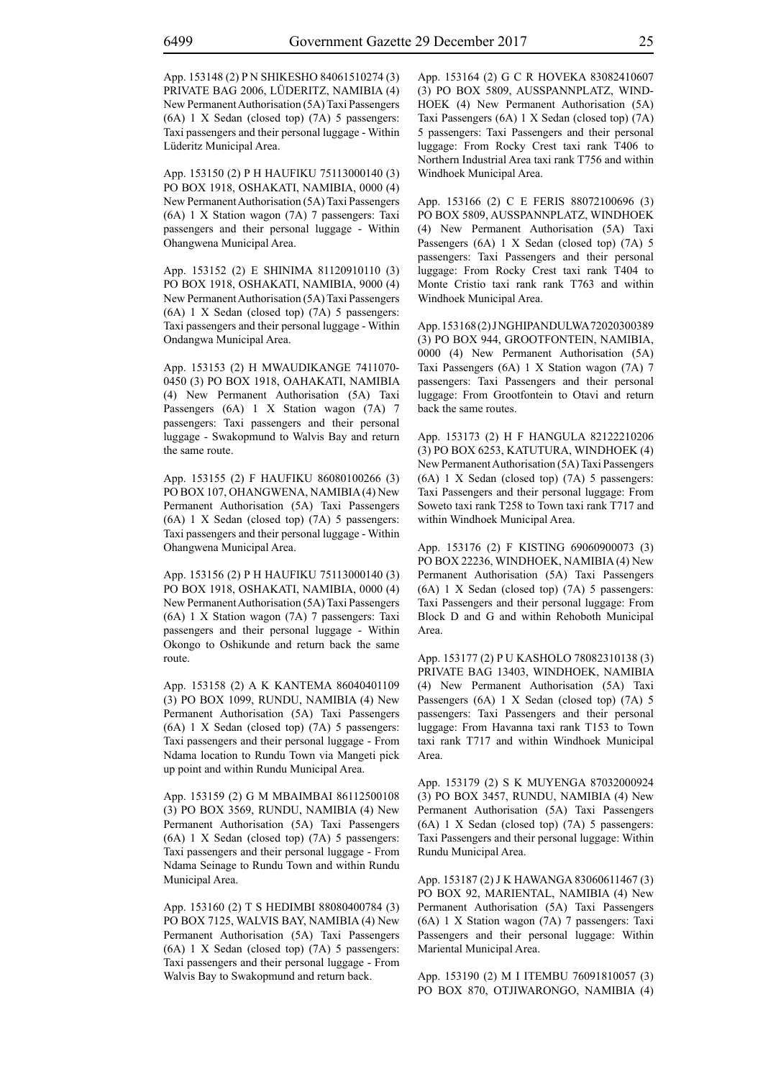App. 153148 (2) P N SHIKESHO 84061510274 (3) PRIVATE BAG 2006, LÜDERITZ, NAMIBIA (4) New Permanent Authorisation (5A) Taxi Passengers (6A) 1 X Sedan (closed top) (7A) 5 passengers: Taxi passengers and their personal luggage - Within Lüderitz Municipal Area.

App. 153150 (2) P H HAUFIKU 75113000140 (3) PO BOX 1918, OSHAKATI, NAMIBIA, 0000 (4) New Permanent Authorisation (5A) Taxi Passengers (6A) 1 X Station wagon (7A) 7 passengers: Taxi passengers and their personal luggage - Within Ohangwena Municipal Area.

App. 153152 (2) E SHINIMA 81120910110 (3) PO BOX 1918, OSHAKATI, NAMIBIA, 9000 (4) New Permanent Authorisation (5A) Taxi Passengers (6A) 1 X Sedan (closed top) (7A) 5 passengers: Taxi passengers and their personal luggage - Within Ondangwa Municipal Area.

App. 153153 (2) H MWAUDIKANGE 7411070- 0450 (3) PO BOX 1918, OAHAKATI, NAMIBIA (4) New Permanent Authorisation (5A) Taxi Passengers (6A) 1 X Station wagon (7A) 7 passengers: Taxi passengers and their personal luggage - Swakopmund to Walvis Bay and return the same route.

App. 153155 (2) F HAUFIKU 86080100266 (3) PO BOX 107, OHANGWENA, NAMIBIA (4) New Permanent Authorisation (5A) Taxi Passengers (6A) 1 X Sedan (closed top) (7A) 5 passengers: Taxi passengers and their personal luggage - Within Ohangwena Municipal Area.

App. 153156 (2) P H HAUFIKU 75113000140 (3) PO BOX 1918, OSHAKATI, NAMIBIA, 0000 (4) New Permanent Authorisation (5A) Taxi Passengers (6A) 1 X Station wagon (7A) 7 passengers: Taxi passengers and their personal luggage - Within Okongo to Oshikunde and return back the same route.

App. 153158 (2) A K KANTEMA 86040401109 (3) PO BOX 1099, RUNDU, NAMIBIA (4) New Permanent Authorisation (5A) Taxi Passengers (6A) 1 X Sedan (closed top) (7A) 5 passengers: Taxi passengers and their personal luggage - From Ndama location to Rundu Town via Mangeti pick up point and within Rundu Municipal Area.

App. 153159 (2) G M MBAIMBAI 86112500108 (3) PO BOX 3569, RUNDU, NAMIBIA (4) New Permanent Authorisation (5A) Taxi Passengers (6A) 1 X Sedan (closed top) (7A) 5 passengers: Taxi passengers and their personal luggage - From Ndama Seinage to Rundu Town and within Rundu Municipal Area.

App. 153160 (2) T S HEDIMBI 88080400784 (3) PO BOX 7125, WALVIS BAY, NAMIBIA (4) New Permanent Authorisation (5A) Taxi Passengers (6A) 1 X Sedan (closed top) (7A) 5 passengers: Taxi passengers and their personal luggage - From Walvis Bay to Swakopmund and return back.

App. 153164 (2) G C R HOVEKA 83082410607 (3) PO BOX 5809, AUSSPANNPLATZ, WIND-HOEK (4) New Permanent Authorisation (5A) Taxi Passengers (6A) 1 X Sedan (closed top) (7A) 5 passengers: Taxi Passengers and their personal luggage: From Rocky Crest taxi rank T406 to Northern Industrial Area taxi rank T756 and within Windhoek Municipal Area.

App. 153166 (2) C E FERIS 88072100696 (3) PO BOX 5809, AUSSPANNPLATZ, WINDHOEK (4) New Permanent Authorisation (5A) Taxi Passengers (6A) 1 X Sedan (closed top) (7A) 5 passengers: Taxi Passengers and their personal luggage: From Rocky Crest taxi rank T404 to Monte Cristio taxi rank rank T763 and within Windhoek Municipal Area.

App. 153168 (2) J NGHIPANDULWA 72020300389 (3) PO BOX 944, GROOTFONTEIN, NAMIBIA, 0000 (4) New Permanent Authorisation (5A) Taxi Passengers (6A) 1 X Station wagon (7A) 7 passengers: Taxi Passengers and their personal luggage: From Grootfontein to Otavi and return back the same routes.

App. 153173 (2) H F HANGULA 82122210206 (3) PO BOX 6253, KATUTURA, WINDHOEK (4) New Permanent Authorisation (5A) Taxi Passengers (6A) 1 X Sedan (closed top) (7A) 5 passengers: Taxi Passengers and their personal luggage: From Soweto taxi rank T258 to Town taxi rank T717 and within Windhoek Municipal Area.

App. 153176 (2) F KISTING 69060900073 (3) PO BOX 22236, WINDHOEK, NAMIBIA (4) New Permanent Authorisation (5A) Taxi Passengers (6A) 1 X Sedan (closed top) (7A) 5 passengers: Taxi Passengers and their personal luggage: From Block D and G and within Rehoboth Municipal Area.

App. 153177 (2) P U KASHOLO 78082310138 (3) PRIVATE BAG 13403, WINDHOEK, NAMIBIA (4) New Permanent Authorisation (5A) Taxi Passengers (6A) 1 X Sedan (closed top) (7A) 5 passengers: Taxi Passengers and their personal luggage: From Havanna taxi rank T153 to Town taxi rank T717 and within Windhoek Municipal Area.

App. 153179 (2) S K MUYENGA 87032000924 (3) PO BOX 3457, RUNDU, NAMIBIA (4) New Permanent Authorisation (5A) Taxi Passengers (6A) 1 X Sedan (closed top) (7A) 5 passengers: Taxi Passengers and their personal luggage: Within Rundu Municipal Area.

App. 153187 (2) J K HAWANGA 83060611467 (3) PO BOX 92, MARIENTAL, NAMIBIA (4) New Permanent Authorisation (5A) Taxi Passengers (6A) 1 X Station wagon (7A) 7 passengers: Taxi Passengers and their personal luggage: Within Mariental Municipal Area.

App. 153190 (2) M I ITEMBU 76091810057 (3) PO BOX 870, OTJIWARONGO, NAMIBIA (4)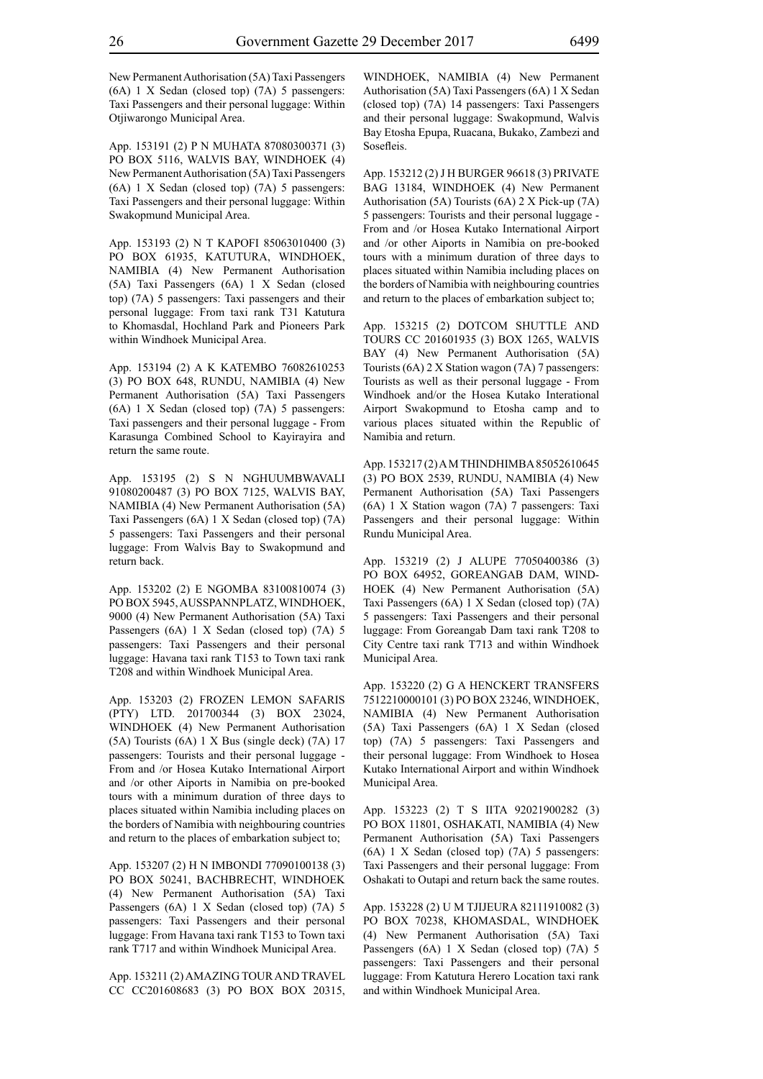New Permanent Authorisation (5A) Taxi Passengers (6A) 1 X Sedan (closed top) (7A) 5 passengers: Taxi Passengers and their personal luggage: Within Otjiwarongo Municipal Area.

App. 153191 (2) P N MUHATA 87080300371 (3) PO BOX 5116, WALVIS BAY, WINDHOEK (4) New Permanent Authorisation (5A) Taxi Passengers (6A) 1 X Sedan (closed top) (7A) 5 passengers: Taxi Passengers and their personal luggage: Within Swakopmund Municipal Area.

App. 153193 (2) N T KAPOFI 85063010400 (3) PO BOX 61935, KATUTURA, WINDHOEK, NAMIBIA (4) New Permanent Authorisation (5A) Taxi Passengers (6A) 1 X Sedan (closed top) (7A) 5 passengers: Taxi passengers and their personal luggage: From taxi rank T31 Katutura to Khomasdal, Hochland Park and Pioneers Park within Windhoek Municipal Area.

App. 153194 (2) A K KATEMBO 76082610253 (3) PO BOX 648, RUNDU, NAMIBIA (4) New Permanent Authorisation (5A) Taxi Passengers (6A) 1 X Sedan (closed top) (7A) 5 passengers: Taxi passengers and their personal luggage - From Karasunga Combined School to Kayirayira and return the same route.

App. 153195 (2) S N NGHUUMBWAVALI 91080200487 (3) PO BOX 7125, WALVIS BAY, NAMIBIA (4) New Permanent Authorisation (5A) Taxi Passengers (6A) 1 X Sedan (closed top) (7A) 5 passengers: Taxi Passengers and their personal luggage: From Walvis Bay to Swakopmund and return back.

App. 153202 (2) E NGOMBA 83100810074 (3) PO BOX 5945, AUSSPANNPLATZ, WINDHOEK, 9000 (4) New Permanent Authorisation (5A) Taxi Passengers (6A) 1 X Sedan (closed top) (7A) 5 passengers: Taxi Passengers and their personal luggage: Havana taxi rank T153 to Town taxi rank T208 and within Windhoek Municipal Area.

App. 153203 (2) FROZEN LEMON SAFARIS (PTY) LTD. 201700344 (3) BOX 23024, WINDHOEK (4) New Permanent Authorisation (5A) Tourists (6A) 1 X Bus (single deck) (7A) 17 passengers: Tourists and their personal luggage - From and /or Hosea Kutako International Airport and /or other Aiports in Namibia on pre-booked tours with a minimum duration of three days to places situated within Namibia including places on the borders of Namibia with neighbouring countries and return to the places of embarkation subject to;

App. 153207 (2) H N IMBONDI 77090100138 (3) PO BOX 50241, BACHBRECHT, WINDHOEK (4) New Permanent Authorisation (5A) Taxi Passengers (6A) 1 X Sedan (closed top) (7A) 5 passengers: Taxi Passengers and their personal luggage: From Havana taxi rank T153 to Town taxi rank T717 and within Windhoek Municipal Area.

App. 153211 (2) AMAZING TOUR AND TRAVEL CC CC201608683 (3) PO BOX BOX 20315, WINDHOEK, NAMIBIA (4) New Permanent Authorisation (5A) Taxi Passengers (6A) 1 X Sedan (closed top) (7A) 14 passengers: Taxi Passengers and their personal luggage: Swakopmund, Walvis Bay Etosha Epupa, Ruacana, Bukako, Zambezi and **Sosefleis**.

App. 153212 (2) J H BURGER 96618 (3) PRIVATE BAG 13184, WINDHOEK (4) New Permanent Authorisation (5A) Tourists (6A) 2 X Pick-up (7A) 5 passengers: Tourists and their personal luggage - From and /or Hosea Kutako International Airport and /or other Aiports in Namibia on pre-booked tours with a minimum duration of three days to places situated within Namibia including places on the borders of Namibia with neighbouring countries and return to the places of embarkation subject to;

App. 153215 (2) DOTCOM SHUTTLE AND TOURS CC 201601935 (3) BOX 1265, WALVIS BAY (4) New Permanent Authorisation (5A) Tourists (6A) 2 X Station wagon (7A) 7 passengers: Tourists as well as their personal luggage - From Windhoek and/or the Hosea Kutako Interational Airport Swakopmund to Etosha camp and to various places situated within the Republic of Namibia and return.

App. 153217 (2) A M THINDHIMBA 85052610645 (3) PO BOX 2539, RUNDU, NAMIBIA (4) New Permanent Authorisation (5A) Taxi Passengers (6A) 1 X Station wagon (7A) 7 passengers: Taxi Passengers and their personal luggage: Within Rundu Municipal Area.

App. 153219 (2) J ALUPE 77050400386 (3) PO BOX 64952, GOREANGAB DAM, WIND-HOEK (4) New Permanent Authorisation (5A) Taxi Passengers (6A) 1 X Sedan (closed top) (7A) 5 passengers: Taxi Passengers and their personal luggage: From Goreangab Dam taxi rank T208 to City Centre taxi rank T713 and within Windhoek Municipal Area.

App. 153220 (2) G A HENCKERT TRANSFERS 7512210000101 (3) PO BOX 23246, WINDHOEK, NAMIBIA (4) New Permanent Authorisation (5A) Taxi Passengers (6A) 1 X Sedan (closed top) (7A) 5 passengers: Taxi Passengers and their personal luggage: From Windhoek to Hosea Kutako International Airport and within Windhoek Municipal Area.

App. 153223 (2) T S IITA 92021900282 (3) PO BOX 11801, OSHAKATI, NAMIBIA (4) New Permanent Authorisation (5A) Taxi Passengers (6A) 1 X Sedan (closed top) (7A) 5 passengers: Taxi Passengers and their personal luggage: From Oshakati to Outapi and return back the same routes.

App. 153228 (2) U M TJIJEURA 82111910082 (3) PO BOX 70238, KHOMASDAL, WINDHOEK (4) New Permanent Authorisation (5A) Taxi Passengers (6A) 1 X Sedan (closed top) (7A) 5 passengers: Taxi Passengers and their personal luggage: From Katutura Herero Location taxi rank and within Windhoek Municipal Area.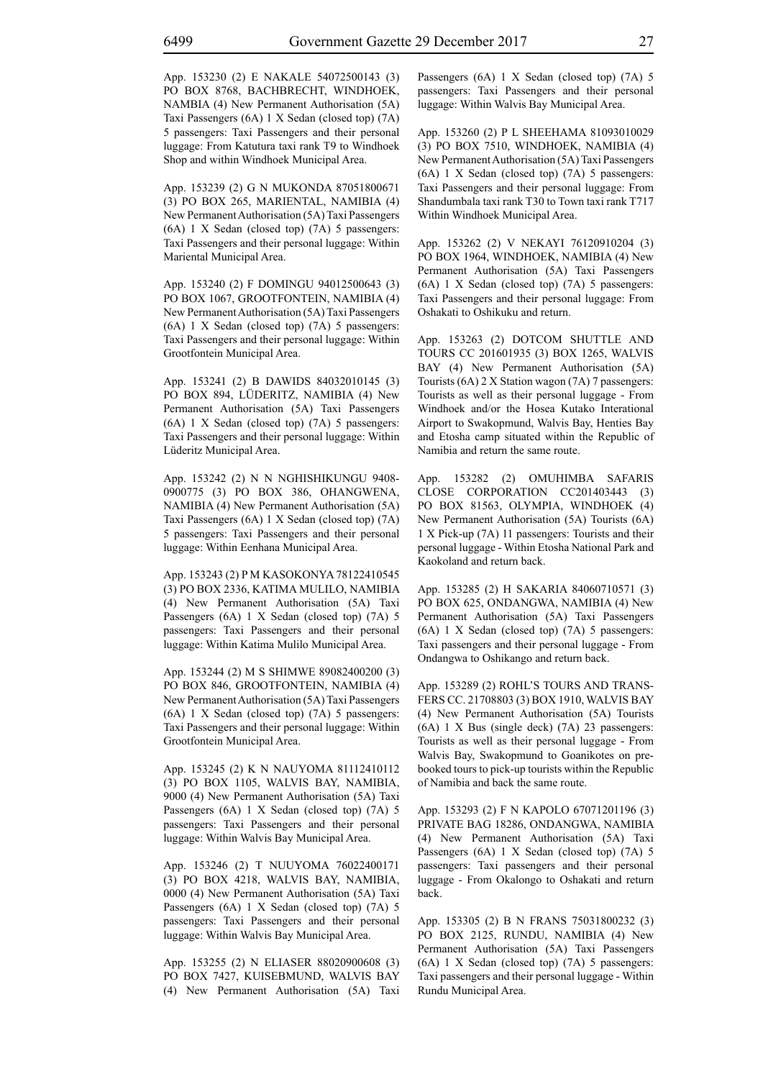App. 153230 (2) E NAKALE 54072500143 (3) PO BOX 8768, BACHBRECHT, WINDHOEK, NAMBIA (4) New Permanent Authorisation (5A) Taxi Passengers (6A) 1 X Sedan (closed top) (7A) 5 passengers: Taxi Passengers and their personal luggage: From Katutura taxi rank T9 to Windhoek Shop and within Windhoek Municipal Area.

App. 153239 (2) G N MUKONDA 87051800671 (3) PO BOX 265, MARIENTAL, NAMIBIA (4) New Permanent Authorisation (5A) Taxi Passengers (6A) 1 X Sedan (closed top) (7A) 5 passengers: Taxi Passengers and their personal luggage: Within Mariental Municipal Area.

App. 153240 (2) F DOMINGU 94012500643 (3) PO BOX 1067, GROOTFONTEIN, NAMIBIA (4) New Permanent Authorisation (5A) Taxi Passengers (6A) 1 X Sedan (closed top) (7A) 5 passengers: Taxi Passengers and their personal luggage: Within Grootfontein Municipal Area.

App. 153241 (2) B DAWIDS 84032010145 (3) PO BOX 894, LÜDERITZ, NAMIBIA (4) New Permanent Authorisation (5A) Taxi Passengers (6A) 1 X Sedan (closed top) (7A) 5 passengers: Taxi Passengers and their personal luggage: Within Lüderitz Municipal Area.

App. 153242 (2) N N NGHISHIKUNGU 9408- 0900775 (3) PO BOX 386, OHANGWENA, NAMIBIA (4) New Permanent Authorisation (5A) Taxi Passengers (6A) 1 X Sedan (closed top) (7A) 5 passengers: Taxi Passengers and their personal luggage: Within Eenhana Municipal Area.

App. 153243 (2) P M KASOKONYA 78122410545 (3) PO BOX 2336, KATIMA MULILO, NAMIBIA (4) New Permanent Authorisation (5A) Taxi Passengers (6A) 1 X Sedan (closed top) (7A) 5 passengers: Taxi Passengers and their personal luggage: Within Katima Mulilo Municipal Area.

App. 153244 (2) M S SHIMWE 89082400200 (3) PO BOX 846, GROOTFONTEIN, NAMIBIA (4) New Permanent Authorisation (5A) Taxi Passengers (6A) 1 X Sedan (closed top) (7A) 5 passengers: Taxi Passengers and their personal luggage: Within Grootfontein Municipal Area.

App. 153245 (2) K N NAUYOMA 81112410112 (3) PO BOX 1105, WALVIS BAY, NAMIBIA, 9000 (4) New Permanent Authorisation (5A) Taxi Passengers (6A) 1 X Sedan (closed top) (7A) 5 passengers: Taxi Passengers and their personal luggage: Within Walvis Bay Municipal Area.

App. 153246 (2) T NUUYOMA 76022400171 (3) PO BOX 4218, WALVIS BAY, NAMIBIA, 0000 (4) New Permanent Authorisation (5A) Taxi Passengers (6A) 1 X Sedan (closed top) (7A) 5 passengers: Taxi Passengers and their personal luggage: Within Walvis Bay Municipal Area.

App. 153255 (2) N ELIASER 88020900608 (3) PO BOX 7427, KUISEBMUND, WALVIS BAY (4) New Permanent Authorisation (5A) Taxi Passengers (6A) 1 X Sedan (closed top) (7A) 5 passengers: Taxi Passengers and their personal luggage: Within Walvis Bay Municipal Area.

App. 153260 (2) P L SHEEHAMA 81093010029 (3) PO BOX 7510, WINDHOEK, NAMIBIA (4) New Permanent Authorisation (5A) Taxi Passengers (6A) 1 X Sedan (closed top) (7A) 5 passengers: Taxi Passengers and their personal luggage: From Shandumbala taxi rank T30 to Town taxi rank T717 Within Windhoek Municipal Area.

App. 153262 (2) V NEKAYI 76120910204 (3) PO BOX 1964, WINDHOEK, NAMIBIA (4) New Permanent Authorisation (5A) Taxi Passengers (6A) 1 X Sedan (closed top) (7A) 5 passengers: Taxi Passengers and their personal luggage: From Oshakati to Oshikuku and return.

App. 153263 (2) DOTCOM SHUTTLE AND TOURS CC 201601935 (3) BOX 1265, WALVIS BAY (4) New Permanent Authorisation (5A) Tourists (6A) 2 X Station wagon (7A) 7 passengers: Tourists as well as their personal luggage - From Windhoek and/or the Hosea Kutako Interational Airport to Swakopmund, Walvis Bay, Henties Bay and Etosha camp situated within the Republic of Namibia and return the same route.

App. 153282 (2) OMUHIMBA SAFARIS CLOSE CORPORATION CC201403443 (3) PO BOX 81563, OLYMPIA, WINDHOEK (4) New Permanent Authorisation (5A) Tourists (6A) 1 X Pick-up (7A) 11 passengers: Tourists and their personal luggage - Within Etosha National Park and Kaokoland and return back.

App. 153285 (2) H SAKARIA 84060710571 (3) PO BOX 625, ONDANGWA, NAMIBIA (4) New Permanent Authorisation (5A) Taxi Passengers (6A) 1 X Sedan (closed top) (7A) 5 passengers: Taxi passengers and their personal luggage - From Ondangwa to Oshikango and return back.

App. 153289 (2) ROHL'S TOURS AND TRANS-FERS CC. 21708803 (3) BOX 1910, WALVIS BAY (4) New Permanent Authorisation (5A) Tourists (6A) 1 X Bus (single deck) (7A) 23 passengers: Tourists as well as their personal luggage - From Walvis Bay, Swakopmund to Goanikotes on prebooked tours to pick-up tourists within the Republic of Namibia and back the same route.

App. 153293 (2) F N KAPOLO 67071201196 (3) PRIVATE BAG 18286, ONDANGWA, NAMIBIA (4) New Permanent Authorisation (5A) Taxi Passengers (6A) 1 X Sedan (closed top) (7A) 5 passengers: Taxi passengers and their personal luggage - From Okalongo to Oshakati and return back.

App. 153305 (2) B N FRANS 75031800232 (3) PO BOX 2125, RUNDU, NAMIBIA (4) New Permanent Authorisation (5A) Taxi Passengers (6A) 1 X Sedan (closed top) (7A) 5 passengers: Taxi passengers and their personal luggage - Within Rundu Municipal Area.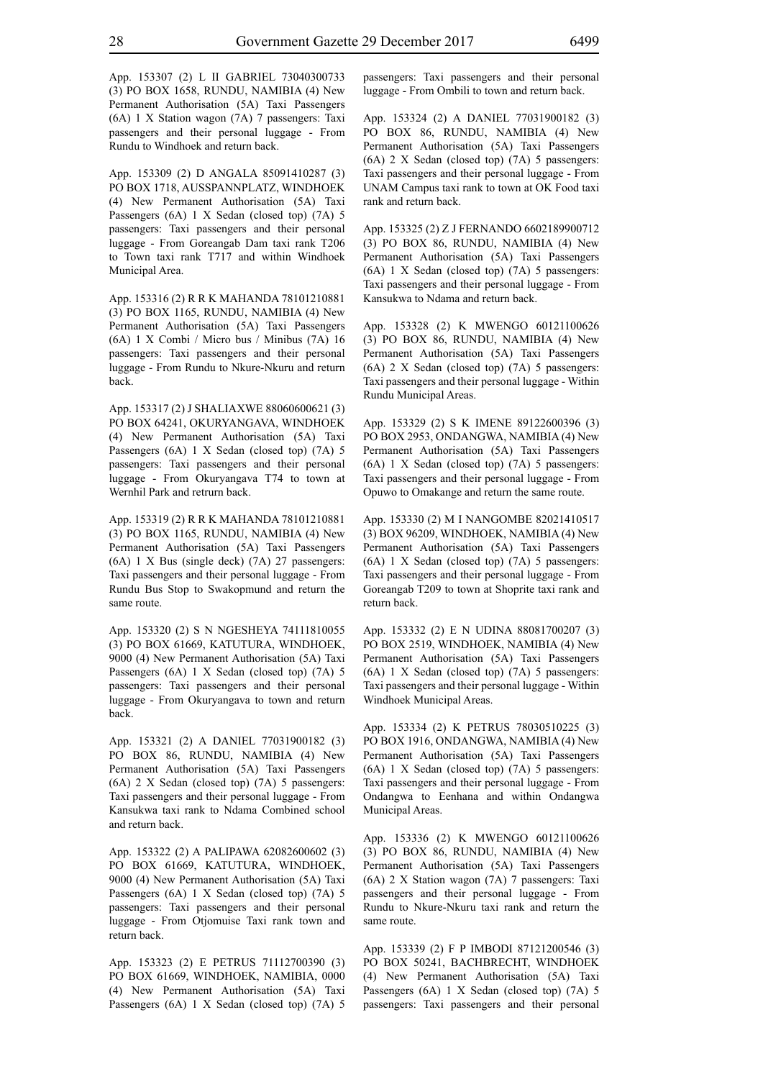App. 153307 (2) L II GABRIEL 73040300733 (3) PO BOX 1658, RUNDU, NAMIBIA (4) New Permanent Authorisation (5A) Taxi Passengers (6A) 1 X Station wagon (7A) 7 passengers: Taxi passengers and their personal luggage - From Rundu to Windhoek and return back.

App. 153309 (2) D ANGALA 85091410287 (3) PO BOX 1718, AUSSPANNPLATZ, WINDHOEK (4) New Permanent Authorisation (5A) Taxi Passengers (6A) 1 X Sedan (closed top) (7A) 5 passengers: Taxi passengers and their personal luggage - From Goreangab Dam taxi rank T206 to Town taxi rank T717 and within Windhoek Municipal Area.

App. 153316 (2) R R K MAHANDA 78101210881 (3) PO BOX 1165, RUNDU, NAMIBIA (4) New Permanent Authorisation (5A) Taxi Passengers (6A) 1 X Combi / Micro bus / Minibus (7A) 16 passengers: Taxi passengers and their personal luggage - From Rundu to Nkure-Nkuru and return back.

App. 153317 (2) J SHALIAXWE 88060600621 (3) PO BOX 64241, OKURYANGAVA, WINDHOEK (4) New Permanent Authorisation (5A) Taxi Passengers (6A) 1 X Sedan (closed top) (7A) 5 passengers: Taxi passengers and their personal luggage - From Okuryangava T74 to town at Wernhil Park and retrurn back.

App. 153319 (2) R R K MAHANDA 78101210881 (3) PO BOX 1165, RUNDU, NAMIBIA (4) New Permanent Authorisation (5A) Taxi Passengers (6A) 1 X Bus (single deck) (7A) 27 passengers: Taxi passengers and their personal luggage - From Rundu Bus Stop to Swakopmund and return the same route.

App. 153320 (2) S N NGESHEYA 74111810055 (3) PO BOX 61669, KATUTURA, WINDHOEK, 9000 (4) New Permanent Authorisation (5A) Taxi Passengers (6A) 1 X Sedan (closed top) (7A) 5 passengers: Taxi passengers and their personal luggage - From Okuryangava to town and return back.

App. 153321 (2) A DANIEL 77031900182 (3) PO BOX 86, RUNDU, NAMIBIA (4) New Permanent Authorisation (5A) Taxi Passengers (6A) 2 X Sedan (closed top) (7A) 5 passengers: Taxi passengers and their personal luggage - From Kansukwa taxi rank to Ndama Combined school and return back.

App. 153322 (2) A PALIPAWA 62082600602 (3) PO BOX 61669, KATUTURA, WINDHOEK, 9000 (4) New Permanent Authorisation (5A) Taxi Passengers (6A) 1 X Sedan (closed top) (7A) 5 passengers: Taxi passengers and their personal luggage - From Otjomuise Taxi rank town and return back.

App. 153323 (2) E PETRUS 71112700390 (3) PO BOX 61669, WINDHOEK, NAMIBIA, 0000 (4) New Permanent Authorisation (5A) Taxi Passengers (6A) 1 X Sedan (closed top) (7A) 5 passengers: Taxi passengers and their personal luggage - From Ombili to town and return back.

App. 153324 (2) A DANIEL 77031900182 (3) PO BOX 86, RUNDU, NAMIBIA (4) New Permanent Authorisation (5A) Taxi Passengers (6A) 2 X Sedan (closed top) (7A) 5 passengers: Taxi passengers and their personal luggage - From UNAM Campus taxi rank to town at OK Food taxi rank and return back.

App. 153325 (2) Z J FERNANDO 6602189900712 (3) PO BOX 86, RUNDU, NAMIBIA (4) New Permanent Authorisation (5A) Taxi Passengers (6A) 1 X Sedan (closed top) (7A) 5 passengers: Taxi passengers and their personal luggage - From Kansukwa to Ndama and return back.

App. 153328 (2) K MWENGO 60121100626 (3) PO BOX 86, RUNDU, NAMIBIA (4) New Permanent Authorisation (5A) Taxi Passengers (6A) 2 X Sedan (closed top) (7A) 5 passengers: Taxi passengers and their personal luggage - Within Rundu Municipal Areas.

App. 153329 (2) S K IMENE 89122600396 (3) PO BOX 2953, ONDANGWA, NAMIBIA (4) New Permanent Authorisation (5A) Taxi Passengers (6A) 1 X Sedan (closed top) (7A) 5 passengers: Taxi passengers and their personal luggage - From Opuwo to Omakange and return the same route.

App. 153330 (2) M I NANGOMBE 82021410517 (3) BOX 96209, WINDHOEK, NAMIBIA (4) New Permanent Authorisation (5A) Taxi Passengers (6A) 1 X Sedan (closed top) (7A) 5 passengers: Taxi passengers and their personal luggage - From Goreangab T209 to town at Shoprite taxi rank and return back.

App. 153332 (2) E N UDINA 88081700207 (3) PO BOX 2519, WINDHOEK, NAMIBIA (4) New Permanent Authorisation (5A) Taxi Passengers (6A) 1 X Sedan (closed top) (7A) 5 passengers: Taxi passengers and their personal luggage - Within Windhoek Municipal Areas.

App. 153334 (2) K PETRUS 78030510225 (3) PO BOX 1916, ONDANGWA, NAMIBIA (4) New Permanent Authorisation (5A) Taxi Passengers (6A) 1 X Sedan (closed top) (7A) 5 passengers: Taxi passengers and their personal luggage - From Ondangwa to Eenhana and within Ondangwa Municipal Areas.

App. 153336 (2) K MWENGO 60121100626 (3) PO BOX 86, RUNDU, NAMIBIA (4) New Permanent Authorisation (5A) Taxi Passengers (6A) 2 X Station wagon (7A) 7 passengers: Taxi passengers and their personal luggage - From Rundu to Nkure-Nkuru taxi rank and return the same route.

App. 153339 (2) F P IMBODI 87121200546 (3) PO BOX 50241, BACHBRECHT, WINDHOEK (4) New Permanent Authorisation (5A) Taxi Passengers (6A) 1 X Sedan (closed top) (7A) 5 passengers: Taxi passengers and their personal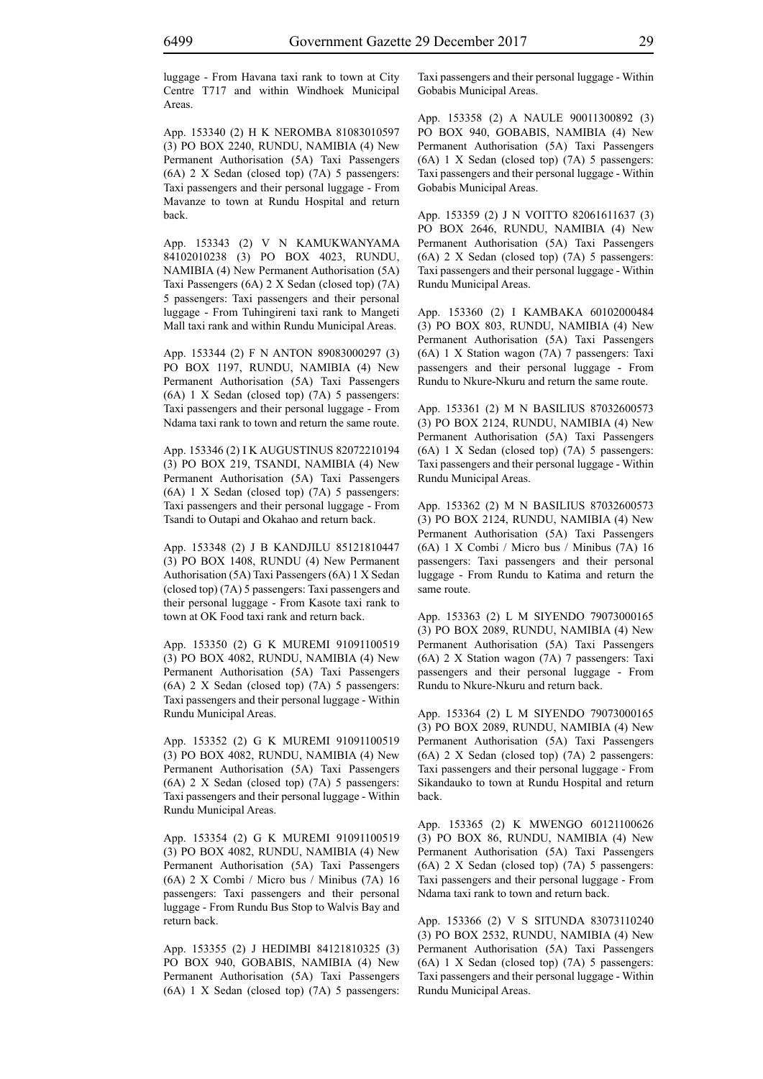luggage - From Havana taxi rank to town at City Centre T717 and within Windhoek Municipal Areas.

App. 153340 (2) H K NEROMBA 81083010597 (3) PO BOX 2240, RUNDU, NAMIBIA (4) New Permanent Authorisation (5A) Taxi Passengers (6A) 2 X Sedan (closed top) (7A) 5 passengers: Taxi passengers and their personal luggage - From Mavanze to town at Rundu Hospital and return back.

App. 153343 (2) V N KAMUKWANYAMA 84102010238 (3) PO BOX 4023, RUNDU, NAMIBIA (4) New Permanent Authorisation (5A) Taxi Passengers (6A) 2 X Sedan (closed top) (7A) 5 passengers: Taxi passengers and their personal luggage - From Tuhingireni taxi rank to Mangeti Mall taxi rank and within Rundu Municipal Areas.

App. 153344 (2) F N ANTON 89083000297 (3) PO BOX 1197, RUNDU, NAMIBIA (4) New Permanent Authorisation (5A) Taxi Passengers (6A) 1 X Sedan (closed top) (7A) 5 passengers: Taxi passengers and their personal luggage - From Ndama taxi rank to town and return the same route.

App. 153346 (2) I K AUGUSTINUS 82072210194 (3) PO BOX 219, TSANDI, NAMIBIA (4) New Permanent Authorisation (5A) Taxi Passengers (6A) 1 X Sedan (closed top) (7A) 5 passengers: Taxi passengers and their personal luggage - From Tsandi to Outapi and Okahao and return back.

App. 153348 (2) J B KANDJILU 85121810447 (3) PO BOX 1408, RUNDU (4) New Permanent Authorisation (5A) Taxi Passengers (6A) 1 X Sedan (closed top) (7A) 5 passengers: Taxi passengers and their personal luggage - From Kasote taxi rank to town at OK Food taxi rank and return back.

App. 153350 (2) G K MUREMI 91091100519 (3) PO BOX 4082, RUNDU, NAMIBIA (4) New Permanent Authorisation (5A) Taxi Passengers (6A) 2 X Sedan (closed top) (7A) 5 passengers: Taxi passengers and their personal luggage - Within Rundu Municipal Areas.

App. 153352 (2) G K MUREMI 91091100519 (3) PO BOX 4082, RUNDU, NAMIBIA (4) New Permanent Authorisation (5A) Taxi Passengers (6A) 2 X Sedan (closed top) (7A) 5 passengers: Taxi passengers and their personal luggage - Within Rundu Municipal Areas.

App. 153354 (2) G K MUREMI 91091100519 (3) PO BOX 4082, RUNDU, NAMIBIA (4) New Permanent Authorisation (5A) Taxi Passengers (6A) 2 X Combi / Micro bus / Minibus (7A) 16 passengers: Taxi passengers and their personal luggage - From Rundu Bus Stop to Walvis Bay and return back.

App. 153355 (2) J HEDIMBI 84121810325 (3) PO BOX 940, GOBABIS, NAMIBIA (4) New Permanent Authorisation (5A) Taxi Passengers (6A) 1 X Sedan (closed top) (7A) 5 passengers: Taxi passengers and their personal luggage - Within Gobabis Municipal Areas.

App. 153358 (2) A NAULE 90011300892 (3) PO BOX 940, GOBABIS, NAMIBIA (4) New Permanent Authorisation (5A) Taxi Passengers (6A) 1 X Sedan (closed top) (7A) 5 passengers: Taxi passengers and their personal luggage - Within Gobabis Municipal Areas.

App. 153359 (2) J N VOITTO 82061611637 (3) PO BOX 2646, RUNDU, NAMIBIA (4) New Permanent Authorisation (5A) Taxi Passengers (6A) 2 X Sedan (closed top) (7A) 5 passengers: Taxi passengers and their personal luggage - Within Rundu Municipal Areas.

App. 153360 (2) I KAMBAKA 60102000484 (3) PO BOX 803, RUNDU, NAMIBIA (4) New Permanent Authorisation (5A) Taxi Passengers (6A) 1 X Station wagon (7A) 7 passengers: Taxi passengers and their personal luggage - From Rundu to Nkure-Nkuru and return the same route.

App. 153361 (2) M N BASILIUS 87032600573 (3) PO BOX 2124, RUNDU, NAMIBIA (4) New Permanent Authorisation (5A) Taxi Passengers (6A) 1 X Sedan (closed top) (7A) 5 passengers: Taxi passengers and their personal luggage - Within Rundu Municipal Areas.

App. 153362 (2) M N BASILIUS 87032600573 (3) PO BOX 2124, RUNDU, NAMIBIA (4) New Permanent Authorisation (5A) Taxi Passengers (6A) 1 X Combi / Micro bus / Minibus (7A) 16 passengers: Taxi passengers and their personal luggage - From Rundu to Katima and return the same route.

App. 153363 (2) L M SIYENDO 79073000165 (3) PO BOX 2089, RUNDU, NAMIBIA (4) New Permanent Authorisation (5A) Taxi Passengers (6A) 2 X Station wagon (7A) 7 passengers: Taxi passengers and their personal luggage - From Rundu to Nkure-Nkuru and return back.

App. 153364 (2) L M SIYENDO 79073000165 (3) PO BOX 2089, RUNDU, NAMIBIA (4) New Permanent Authorisation (5A) Taxi Passengers (6A) 2 X Sedan (closed top) (7A) 2 passengers: Taxi passengers and their personal luggage - From Sikandauko to town at Rundu Hospital and return back.

App. 153365 (2) K MWENGO 60121100626 (3) PO BOX 86, RUNDU, NAMIBIA (4) New Permanent Authorisation (5A) Taxi Passengers (6A) 2 X Sedan (closed top) (7A) 5 passengers: Taxi passengers and their personal luggage - From Ndama taxi rank to town and return back.

App. 153366 (2) V S SITUNDA 83073110240 (3) PO BOX 2532, RUNDU, NAMIBIA (4) New Permanent Authorisation (5A) Taxi Passengers (6A) 1 X Sedan (closed top) (7A) 5 passengers: Taxi passengers and their personal luggage - Within Rundu Municipal Areas.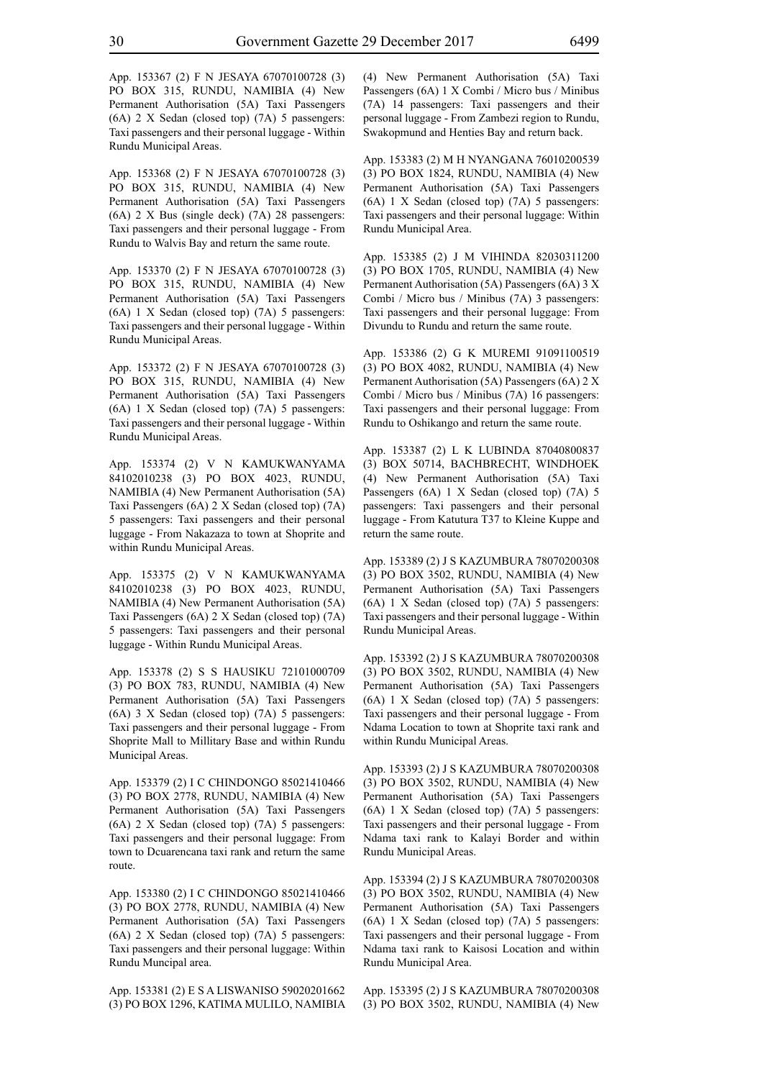App. 153367 (2) F N JESAYA 67070100728 (3) PO BOX 315, RUNDU, NAMIBIA (4) New Permanent Authorisation (5A) Taxi Passengers (6A) 2 X Sedan (closed top) (7A) 5 passengers: Taxi passengers and their personal luggage - Within Rundu Municipal Areas.

App. 153368 (2) F N JESAYA 67070100728 (3) PO BOX 315, RUNDU, NAMIBIA (4) New Permanent Authorisation (5A) Taxi Passengers (6A) 2 X Bus (single deck) (7A) 28 passengers: Taxi passengers and their personal luggage - From Rundu to Walvis Bay and return the same route.

App. 153370 (2) F N JESAYA 67070100728 (3) PO BOX 315, RUNDU, NAMIBIA (4) New Permanent Authorisation (5A) Taxi Passengers (6A) 1 X Sedan (closed top) (7A) 5 passengers: Taxi passengers and their personal luggage - Within Rundu Municipal Areas.

App. 153372 (2) F N JESAYA 67070100728 (3) PO BOX 315, RUNDU, NAMIBIA (4) New Permanent Authorisation (5A) Taxi Passengers (6A) 1 X Sedan (closed top) (7A) 5 passengers: Taxi passengers and their personal luggage - Within Rundu Municipal Areas.

App. 153374 (2) V N KAMUKWANYAMA 84102010238 (3) PO BOX 4023, RUNDU, NAMIBIA (4) New Permanent Authorisation (5A) Taxi Passengers (6A) 2 X Sedan (closed top) (7A) 5 passengers: Taxi passengers and their personal luggage - From Nakazaza to town at Shoprite and within Rundu Municipal Areas.

App. 153375 (2) V N KAMUKWANYAMA 84102010238 (3) PO BOX 4023, RUNDU, NAMIBIA (4) New Permanent Authorisation (5A) Taxi Passengers (6A) 2 X Sedan (closed top) (7A) 5 passengers: Taxi passengers and their personal luggage - Within Rundu Municipal Areas.

App. 153378 (2) S S HAUSIKU 72101000709 (3) PO BOX 783, RUNDU, NAMIBIA (4) New Permanent Authorisation (5A) Taxi Passengers (6A) 3 X Sedan (closed top) (7A) 5 passengers: Taxi passengers and their personal luggage - From Shoprite Mall to Millitary Base and within Rundu Municipal Areas.

App. 153379 (2) I C CHINDONGO 85021410466 (3) PO BOX 2778, RUNDU, NAMIBIA (4) New Permanent Authorisation (5A) Taxi Passengers (6A) 2 X Sedan (closed top) (7A) 5 passengers: Taxi passengers and their personal luggage: From town to Dcuarencana taxi rank and return the same route.

App. 153380 (2) I C CHINDONGO 85021410466 (3) PO BOX 2778, RUNDU, NAMIBIA (4) New Permanent Authorisation (5A) Taxi Passengers (6A) 2 X Sedan (closed top) (7A) 5 passengers: Taxi passengers and their personal luggage: Within Rundu Muncipal area.

App. 153381 (2) E S A LISWANISO 59020201662 (3) PO BOX 1296, KATIMA MULILO, NAMIBIA (4) New Permanent Authorisation (5A) Taxi Passengers (6A) 1 X Combi / Micro bus / Minibus (7A) 14 passengers: Taxi passengers and their personal luggage - From Zambezi region to Rundu, Swakopmund and Henties Bay and return back.

App. 153383 (2) M H NYANGANA 76010200539 (3) PO BOX 1824, RUNDU, NAMIBIA (4) New Permanent Authorisation (5A) Taxi Passengers (6A) 1 X Sedan (closed top) (7A) 5 passengers: Taxi passengers and their personal luggage: Within Rundu Municipal Area.

App. 153385 (2) J M VIHINDA 82030311200 (3) PO BOX 1705, RUNDU, NAMIBIA (4) New Permanent Authorisation (5A) Passengers (6A) 3 X Combi / Micro bus / Minibus (7A) 3 passengers: Taxi passengers and their personal luggage: From Divundu to Rundu and return the same route.

App. 153386 (2) G K MUREMI 91091100519 (3) PO BOX 4082, RUNDU, NAMIBIA (4) New Permanent Authorisation (5A) Passengers (6A) 2 X Combi / Micro bus / Minibus (7A) 16 passengers: Taxi passengers and their personal luggage: From Rundu to Oshikango and return the same route.

App. 153387 (2) L K LUBINDA 87040800837 (3) BOX 50714, BACHBRECHT, WINDHOEK (4) New Permanent Authorisation (5A) Taxi Passengers (6A) 1 X Sedan (closed top) (7A) 5 passengers: Taxi passengers and their personal luggage - From Katutura T37 to Kleine Kuppe and return the same route.

App. 153389 (2) J S KAZUMBURA 78070200308 (3) PO BOX 3502, RUNDU, NAMIBIA (4) New Permanent Authorisation (5A) Taxi Passengers (6A) 1 X Sedan (closed top) (7A) 5 passengers: Taxi passengers and their personal luggage - Within Rundu Municipal Areas.

App. 153392 (2) J S KAZUMBURA 78070200308 (3) PO BOX 3502, RUNDU, NAMIBIA (4) New Permanent Authorisation (5A) Taxi Passengers (6A) 1 X Sedan (closed top) (7A) 5 passengers: Taxi passengers and their personal luggage - From Ndama Location to town at Shoprite taxi rank and within Rundu Municipal Areas.

App. 153393 (2) J S KAZUMBURA 78070200308 (3) PO BOX 3502, RUNDU, NAMIBIA (4) New Permanent Authorisation (5A) Taxi Passengers (6A) 1 X Sedan (closed top) (7A) 5 passengers: Taxi passengers and their personal luggage - From Ndama taxi rank to Kalayi Border and within Rundu Municipal Areas.

App. 153394 (2) J S KAZUMBURA 78070200308 (3) PO BOX 3502, RUNDU, NAMIBIA (4) New Permanent Authorisation (5A) Taxi Passengers (6A) 1 X Sedan (closed top) (7A) 5 passengers: Taxi passengers and their personal luggage - From Ndama taxi rank to Kaisosi Location and within Rundu Municipal Area.

App. 153395 (2) J S KAZUMBURA 78070200308 (3) PO BOX 3502, RUNDU, NAMIBIA (4) New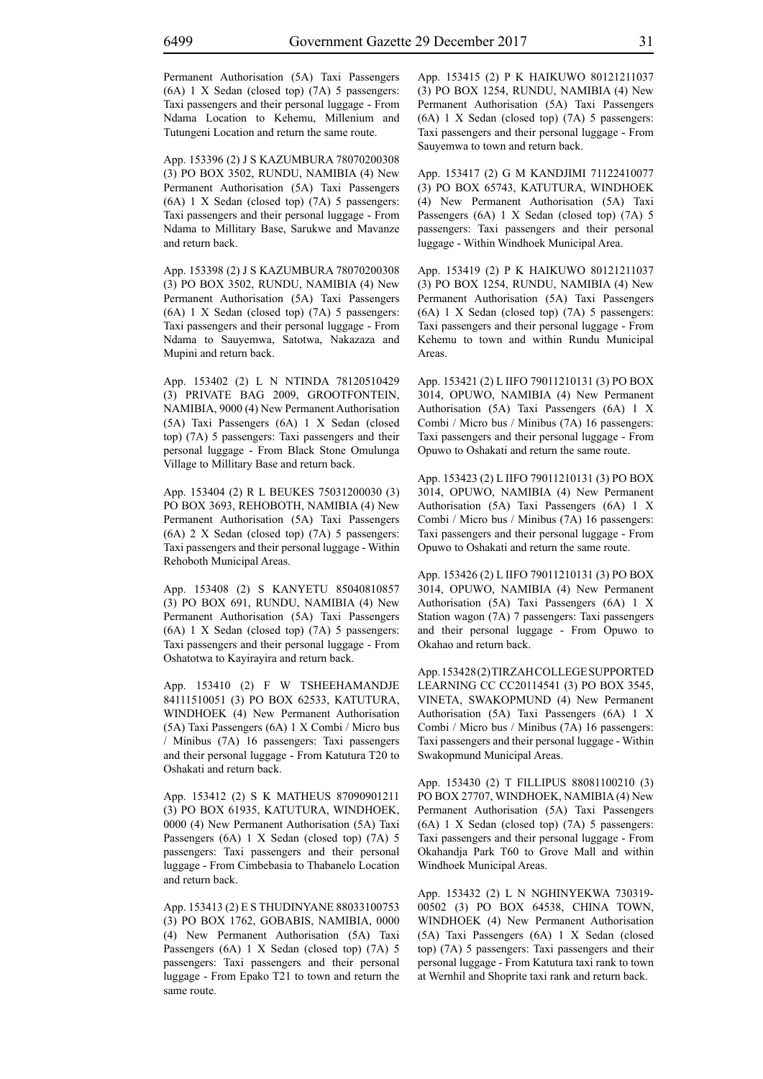Permanent Authorisation (5A) Taxi Passengers (6A) 1 X Sedan (closed top) (7A) 5 passengers: Taxi passengers and their personal luggage - From Ndama Location to Kehemu, Millenium and Tutungeni Location and return the same route.

App. 153396 (2) J S KAZUMBURA 78070200308 (3) PO BOX 3502, RUNDU, NAMIBIA (4) New Permanent Authorisation (5A) Taxi Passengers (6A) 1 X Sedan (closed top) (7A) 5 passengers: Taxi passengers and their personal luggage - From Ndama to Millitary Base, Sarukwe and Mavanze and return back.

App. 153398 (2) J S KAZUMBURA 78070200308 (3) PO BOX 3502, RUNDU, NAMIBIA (4) New Permanent Authorisation (5A) Taxi Passengers (6A) 1 X Sedan (closed top) (7A) 5 passengers: Taxi passengers and their personal luggage - From Ndama to Sauyemwa, Satotwa, Nakazaza and Mupini and return back.

App. 153402 (2) L N NTINDA 78120510429 (3) PRIVATE BAG 2009, GROOTFONTEIN, NAMIBIA, 9000 (4) New Permanent Authorisation (5A) Taxi Passengers (6A) 1 X Sedan (closed top) (7A) 5 passengers: Taxi passengers and their personal luggage - From Black Stone Omulunga Village to Millitary Base and return back.

App. 153404 (2) R L BEUKES 75031200030 (3) PO BOX 3693, REHOBOTH, NAMIBIA (4) New Permanent Authorisation (5A) Taxi Passengers (6A) 2 X Sedan (closed top) (7A) 5 passengers: Taxi passengers and their personal luggage - Within Rehoboth Municipal Areas.

App. 153408 (2) S KANYETU 85040810857 (3) PO BOX 691, RUNDU, NAMIBIA (4) New Permanent Authorisation (5A) Taxi Passengers (6A) 1 X Sedan (closed top) (7A) 5 passengers: Taxi passengers and their personal luggage - From Oshatotwa to Kayirayira and return back.

App. 153410 (2) F W TSHEEHAMANDJE 84111510051 (3) PO BOX 62533, KATUTURA, WINDHOEK (4) New Permanent Authorisation (5A) Taxi Passengers (6A) 1 X Combi / Micro bus / Minibus (7A) 16 passengers: Taxi passengers and their personal luggage - From Katutura T20 to Oshakati and return back.

App. 153412 (2) S K MATHEUS 87090901211 (3) PO BOX 61935, KATUTURA, WINDHOEK, 0000 (4) New Permanent Authorisation (5A) Taxi Passengers (6A) 1 X Sedan (closed top) (7A) 5 passengers: Taxi passengers and their personal luggage - From Cimbebasia to Thabanelo Location and return back.

App. 153413 (2) E S THUDINYANE 88033100753 (3) PO BOX 1762, GOBABIS, NAMIBIA, 0000 (4) New Permanent Authorisation (5A) Taxi Passengers (6A) 1 X Sedan (closed top) (7A) 5 passengers: Taxi passengers and their personal luggage - From Epako T21 to town and return the same route.

App. 153415 (2) P K HAIKUWO 80121211037 (3) PO BOX 1254, RUNDU, NAMIBIA (4) New Permanent Authorisation (5A) Taxi Passengers (6A) 1 X Sedan (closed top) (7A) 5 passengers: Taxi passengers and their personal luggage - From Sauyemwa to town and return back.

App. 153417 (2) G M KANDJIMI 71122410077 (3) PO BOX 65743, KATUTURA, WINDHOEK (4) New Permanent Authorisation (5A) Taxi Passengers (6A) 1 X Sedan (closed top) (7A) 5 passengers: Taxi passengers and their personal luggage - Within Windhoek Municipal Area.

App. 153419 (2) P K HAIKUWO 80121211037 (3) PO BOX 1254, RUNDU, NAMIBIA (4) New Permanent Authorisation (5A) Taxi Passengers (6A) 1 X Sedan (closed top) (7A) 5 passengers: Taxi passengers and their personal luggage - From Kehemu to town and within Rundu Municipal **Areas**.

App. 153421 (2) L IIFO 79011210131 (3) PO BOX 3014, OPUWO, NAMIBIA (4) New Permanent Authorisation (5A) Taxi Passengers (6A) 1 X Combi / Micro bus / Minibus (7A) 16 passengers: Taxi passengers and their personal luggage - From Opuwo to Oshakati and return the same route.

App. 153423 (2) L IIFO 79011210131 (3) PO BOX 3014, OPUWO, NAMIBIA (4) New Permanent Authorisation (5A) Taxi Passengers (6A) 1 X Combi / Micro bus / Minibus (7A) 16 passengers: Taxi passengers and their personal luggage - From Opuwo to Oshakati and return the same route.

App. 153426 (2) L IIFO 79011210131 (3) PO BOX 3014, OPUWO, NAMIBIA (4) New Permanent Authorisation (5A) Taxi Passengers (6A) 1 X Station wagon (7A) 7 passengers: Taxi passengers and their personal luggage - From Opuwo to Okahao and return back.

App. 153428 (2) TIRZAH COLLEGE SUPPORTED LEARNING CC CC20114541 (3) PO BOX 3545, VINETA, SWAKOPMUND (4) New Permanent Authorisation (5A) Taxi Passengers (6A) 1 X Combi / Micro bus / Minibus (7A) 16 passengers: Taxi passengers and their personal luggage - Within Swakopmund Municipal Areas.

App. 153430 (2) T FILLIPUS 88081100210 (3) PO BOX 27707, WINDHOEK, NAMIBIA (4) New Permanent Authorisation (5A) Taxi Passengers (6A) 1 X Sedan (closed top) (7A) 5 passengers: Taxi passengers and their personal luggage - From Okahandja Park T60 to Grove Mall and within Windhoek Municipal Areas.

App. 153432 (2) L N NGHINYEKWA 730319- 00502 (3) PO BOX 64538, CHINA TOWN, WINDHOEK (4) New Permanent Authorisation (5A) Taxi Passengers (6A) 1 X Sedan (closed top) (7A) 5 passengers: Taxi passengers and their personal luggage - From Katutura taxi rank to town at Wernhil and Shoprite taxi rank and return back.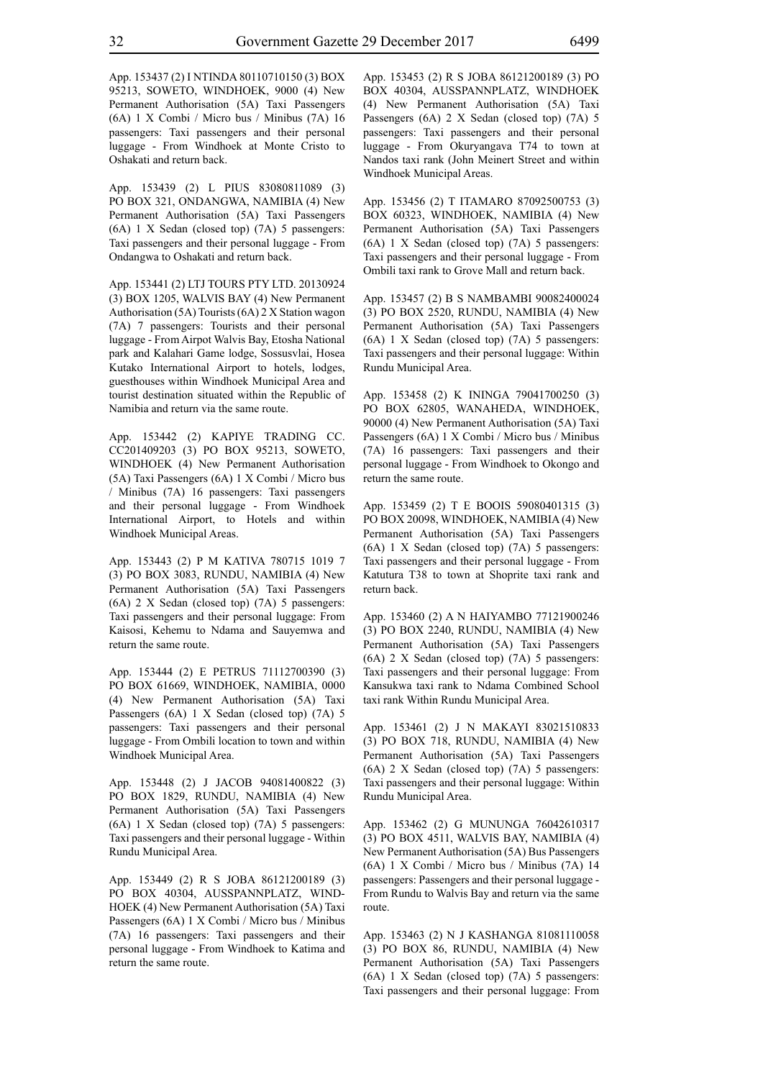App. 153437 (2) I NTINDA 80110710150 (3) BOX 95213, SOWETO, WINDHOEK, 9000 (4) New Permanent Authorisation (5A) Taxi Passengers (6A) 1 X Combi / Micro bus / Minibus (7A) 16 passengers: Taxi passengers and their personal luggage - From Windhoek at Monte Cristo to Oshakati and return back.

App. 153439 (2) L PIUS 83080811089 (3) PO BOX 321, ONDANGWA, NAMIBIA (4) New Permanent Authorisation (5A) Taxi Passengers (6A) 1 X Sedan (closed top) (7A) 5 passengers: Taxi passengers and their personal luggage - From Ondangwa to Oshakati and return back.

App. 153441 (2) LTJ TOURS PTY LTD. 20130924 (3) BOX 1205, WALVIS BAY (4) New Permanent Authorisation (5A) Tourists (6A) 2 X Station wagon (7A) 7 passengers: Tourists and their personal luggage - From Airpot Walvis Bay, Etosha National park and Kalahari Game lodge, Sossusvlai, Hosea Kutako International Airport to hotels, lodges, guesthouses within Windhoek Municipal Area and tourist destination situated within the Republic of Namibia and return via the same route.

App. 153442 (2) KAPIYE TRADING CC. CC201409203 (3) PO BOX 95213, SOWETO, WINDHOEK (4) New Permanent Authorisation (5A) Taxi Passengers (6A) 1 X Combi / Micro bus / Minibus (7A) 16 passengers: Taxi passengers and their personal luggage - From Windhoek International Airport, to Hotels and within Windhoek Municipal Areas.

App. 153443 (2) P M KATIVA 780715 1019 7 (3) PO BOX 3083, RUNDU, NAMIBIA (4) New Permanent Authorisation (5A) Taxi Passengers (6A) 2 X Sedan (closed top) (7A) 5 passengers: Taxi passengers and their personal luggage: From Kaisosi, Kehemu to Ndama and Sauyemwa and return the same route.

App. 153444 (2) E PETRUS 71112700390 (3) PO BOX 61669, WINDHOEK, NAMIBIA, 0000 (4) New Permanent Authorisation (5A) Taxi Passengers (6A) 1 X Sedan (closed top) (7A) 5 passengers: Taxi passengers and their personal luggage - From Ombili location to town and within Windhoek Municipal Area.

App. 153448 (2) J JACOB 94081400822 (3) PO BOX 1829, RUNDU, NAMIBIA (4) New Permanent Authorisation (5A) Taxi Passengers (6A) 1 X Sedan (closed top) (7A) 5 passengers: Taxi passengers and their personal luggage - Within Rundu Municipal Area.

App. 153449 (2) R S JOBA 86121200189 (3) PO BOX 40304, AUSSPANNPLATZ, WIND-HOEK (4) New Permanent Authorisation (5A) Taxi Passengers (6A) 1 X Combi / Micro bus / Minibus (7A) 16 passengers: Taxi passengers and their personal luggage - From Windhoek to Katima and return the same route.

App. 153453 (2) R S JOBA 86121200189 (3) PO BOX 40304, AUSSPANNPLATZ, WINDHOEK (4) New Permanent Authorisation (5A) Taxi Passengers (6A) 2 X Sedan (closed top) (7A) 5 passengers: Taxi passengers and their personal luggage - From Okuryangava T74 to town at Nandos taxi rank (John Meinert Street and within Windhoek Municipal Areas.

App. 153456 (2) T ITAMARO 87092500753 (3) BOX 60323, WINDHOEK, NAMIBIA (4) New Permanent Authorisation (5A) Taxi Passengers (6A) 1 X Sedan (closed top) (7A) 5 passengers: Taxi passengers and their personal luggage - From Ombili taxi rank to Grove Mall and return back.

App. 153457 (2) B S NAMBAMBI 90082400024 (3) PO BOX 2520, RUNDU, NAMIBIA (4) New Permanent Authorisation (5A) Taxi Passengers (6A) 1 X Sedan (closed top) (7A) 5 passengers: Taxi passengers and their personal luggage: Within Rundu Municipal Area.

App. 153458 (2) K ININGA 79041700250 (3) PO BOX 62805, WANAHEDA, WINDHOEK, 90000 (4) New Permanent Authorisation (5A) Taxi Passengers (6A) 1 X Combi / Micro bus / Minibus (7A) 16 passengers: Taxi passengers and their personal luggage - From Windhoek to Okongo and return the same route.

App. 153459 (2) T E BOOIS 59080401315 (3) PO BOX 20098, WINDHOEK, NAMIBIA (4) New Permanent Authorisation (5A) Taxi Passengers (6A) 1 X Sedan (closed top) (7A) 5 passengers: Taxi passengers and their personal luggage - From Katutura T38 to town at Shoprite taxi rank and return back.

App. 153460 (2) A N HAIYAMBO 77121900246 (3) PO BOX 2240, RUNDU, NAMIBIA (4) New Permanent Authorisation (5A) Taxi Passengers (6A) 2 X Sedan (closed top) (7A) 5 passengers: Taxi passengers and their personal luggage: From Kansukwa taxi rank to Ndama Combined School taxi rank Within Rundu Municipal Area.

App. 153461 (2) J N MAKAYI 83021510833 (3) PO BOX 718, RUNDU, NAMIBIA (4) New Permanent Authorisation (5A) Taxi Passengers (6A) 2 X Sedan (closed top) (7A) 5 passengers: Taxi passengers and their personal luggage: Within Rundu Municipal Area.

App. 153462 (2) G MUNUNGA 76042610317 (3) PO BOX 4511, WALVIS BAY, NAMIBIA (4) New Permanent Authorisation (5A) Bus Passengers (6A) 1 X Combi / Micro bus / Minibus (7A) 14 passengers: Passengers and their personal luggage - From Rundu to Walvis Bay and return via the same route.

App. 153463 (2) N J KASHANGA 81081110058 (3) PO BOX 86, RUNDU, NAMIBIA (4) New Permanent Authorisation (5A) Taxi Passengers (6A) 1 X Sedan (closed top) (7A) 5 passengers: Taxi passengers and their personal luggage: From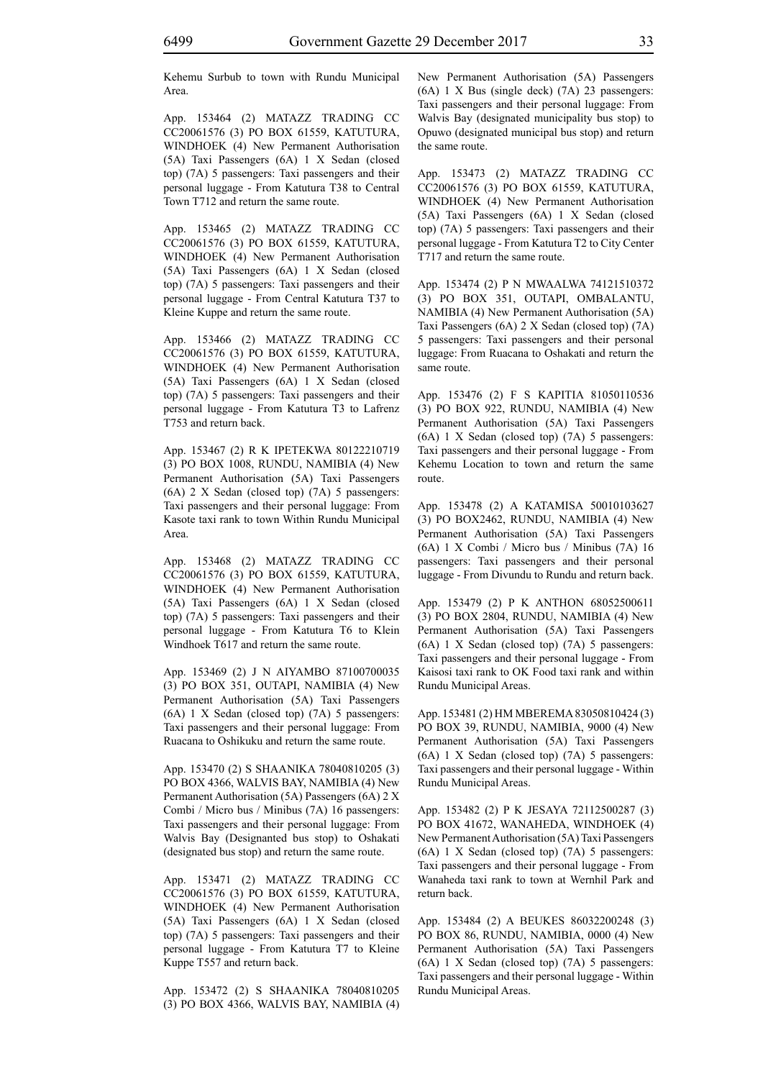Kehemu Surbub to town with Rundu Municipal Area.

App. 153464 (2) MATAZZ TRADING CC CC20061576 (3) PO BOX 61559, KATUTURA, WINDHOEK (4) New Permanent Authorisation (5A) Taxi Passengers (6A) 1 X Sedan (closed top) (7A) 5 passengers: Taxi passengers and their personal luggage - From Katutura T38 to Central Town T712 and return the same route.

App. 153465 (2) MATAZZ TRADING CC CC20061576 (3) PO BOX 61559, KATUTURA, WINDHOEK (4) New Permanent Authorisation (5A) Taxi Passengers (6A) 1 X Sedan (closed top) (7A) 5 passengers: Taxi passengers and their personal luggage - From Central Katutura T37 to Kleine Kuppe and return the same route.

App. 153466 (2) MATAZZ TRADING CC CC20061576 (3) PO BOX 61559, KATUTURA, WINDHOEK (4) New Permanent Authorisation (5A) Taxi Passengers (6A) 1 X Sedan (closed top) (7A) 5 passengers: Taxi passengers and their personal luggage - From Katutura T3 to Lafrenz T753 and return back.

App. 153467 (2) R K IPETEKWA 80122210719 (3) PO BOX 1008, RUNDU, NAMIBIA (4) New Permanent Authorisation (5A) Taxi Passengers (6A) 2 X Sedan (closed top) (7A) 5 passengers: Taxi passengers and their personal luggage: From Kasote taxi rank to town Within Rundu Municipal Area.

App. 153468 (2) MATAZZ TRADING CC CC20061576 (3) PO BOX 61559, KATUTURA, WINDHOEK (4) New Permanent Authorisation (5A) Taxi Passengers (6A) 1 X Sedan (closed top) (7A) 5 passengers: Taxi passengers and their personal luggage - From Katutura T6 to Klein Windhoek T617 and return the same route.

App. 153469 (2) J N AIYAMBO 87100700035 (3) PO BOX 351, OUTAPI, NAMIBIA (4) New Permanent Authorisation (5A) Taxi Passengers (6A) 1 X Sedan (closed top) (7A) 5 passengers: Taxi passengers and their personal luggage: From Ruacana to Oshikuku and return the same route.

App. 153470 (2) S SHAANIKA 78040810205 (3) PO BOX 4366, WALVIS BAY, NAMIBIA (4) New Permanent Authorisation (5A) Passengers (6A) 2 X Combi / Micro bus / Minibus (7A) 16 passengers: Taxi passengers and their personal luggage: From Walvis Bay (Designanted bus stop) to Oshakati (designated bus stop) and return the same route.

App. 153471 (2) MATAZZ TRADING CC CC20061576 (3) PO BOX 61559, KATUTURA, WINDHOEK (4) New Permanent Authorisation (5A) Taxi Passengers (6A) 1 X Sedan (closed top) (7A) 5 passengers: Taxi passengers and their personal luggage - From Katutura T7 to Kleine Kuppe T557 and return back.

App. 153472 (2) S SHAANIKA 78040810205 (3) PO BOX 4366, WALVIS BAY, NAMIBIA (4) New Permanent Authorisation (5A) Passengers (6A) 1 X Bus (single deck) (7A) 23 passengers: Taxi passengers and their personal luggage: From Walvis Bay (designated municipality bus stop) to Opuwo (designated municipal bus stop) and return the same route.

App. 153473 (2) MATAZZ TRADING CC CC20061576 (3) PO BOX 61559, KATUTURA, WINDHOEK (4) New Permanent Authorisation (5A) Taxi Passengers (6A) 1 X Sedan (closed top) (7A) 5 passengers: Taxi passengers and their personal luggage - From Katutura T2 to City Center T717 and return the same route.

App. 153474 (2) P N MWAALWA 74121510372 (3) PO BOX 351, OUTAPI, OMBALANTU, NAMIBIA (4) New Permanent Authorisation (5A) Taxi Passengers (6A) 2 X Sedan (closed top) (7A) 5 passengers: Taxi passengers and their personal luggage: From Ruacana to Oshakati and return the same route.

App. 153476 (2) F S KAPITIA 81050110536 (3) PO BOX 922, RUNDU, NAMIBIA (4) New Permanent Authorisation (5A) Taxi Passengers (6A) 1 X Sedan (closed top) (7A) 5 passengers: Taxi passengers and their personal luggage - From Kehemu Location to town and return the same route.

App. 153478 (2) A KATAMISA 50010103627 (3) PO BOX2462, RUNDU, NAMIBIA (4) New Permanent Authorisation (5A) Taxi Passengers (6A) 1 X Combi / Micro bus / Minibus (7A) 16 passengers: Taxi passengers and their personal luggage - From Divundu to Rundu and return back.

App. 153479 (2) P K ANTHON 68052500611 (3) PO BOX 2804, RUNDU, NAMIBIA (4) New Permanent Authorisation (5A) Taxi Passengers (6A) 1 X Sedan (closed top) (7A) 5 passengers: Taxi passengers and their personal luggage - From Kaisosi taxi rank to OK Food taxi rank and within Rundu Municipal Areas.

App. 153481 (2) HM MBEREMA 83050810424 (3) PO BOX 39, RUNDU, NAMIBIA, 9000 (4) New Permanent Authorisation (5A) Taxi Passengers (6A) 1 X Sedan (closed top) (7A) 5 passengers: Taxi passengers and their personal luggage - Within Rundu Municipal Areas.

App. 153482 (2) P K JESAYA 72112500287 (3) PO BOX 41672, WANAHEDA, WINDHOEK (4) New Permanent Authorisation (5A) Taxi Passengers (6A) 1 X Sedan (closed top) (7A) 5 passengers: Taxi passengers and their personal luggage - From Wanaheda taxi rank to town at Wernhil Park and return back.

App. 153484 (2) A BEUKES 86032200248 (3) PO BOX 86, RUNDU, NAMIBIA, 0000 (4) New Permanent Authorisation (5A) Taxi Passengers (6A) 1 X Sedan (closed top) (7A) 5 passengers: Taxi passengers and their personal luggage - Within Rundu Municipal Areas.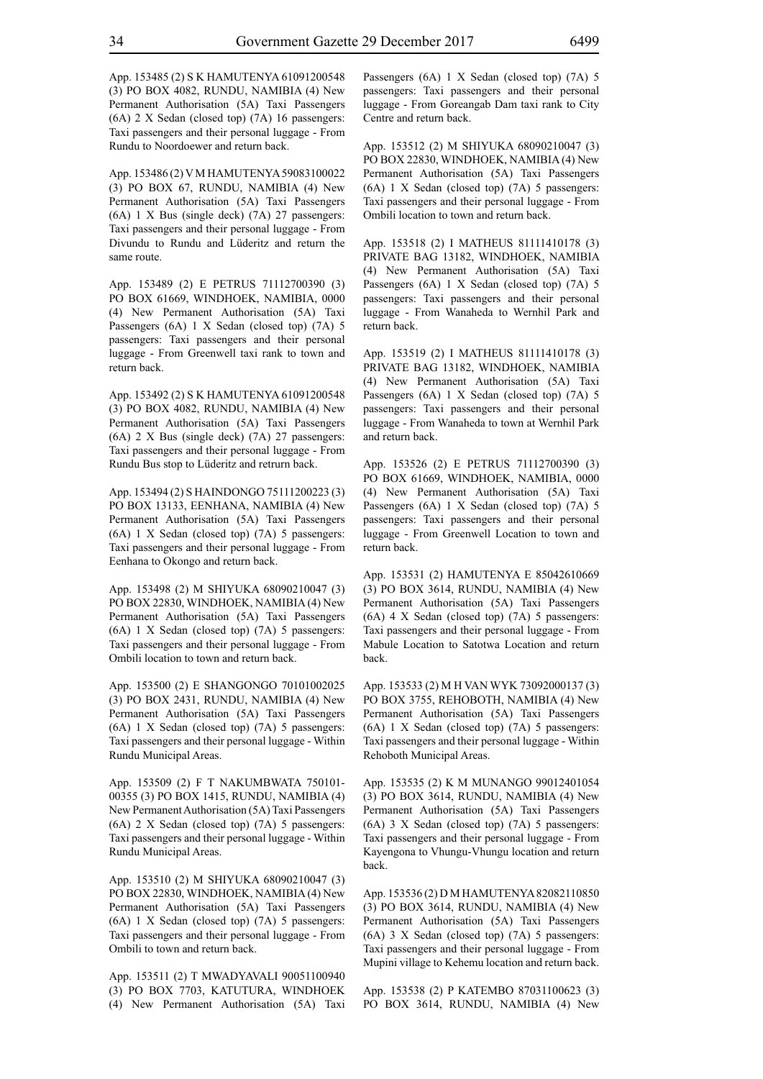App. 153485 (2) S K HAMUTENYA 61091200548 (3) PO BOX 4082, RUNDU, NAMIBIA (4) New Permanent Authorisation (5A) Taxi Passengers (6A) 2 X Sedan (closed top) (7A) 16 passengers: Taxi passengers and their personal luggage - From Rundu to Noordoewer and return back.

App. 153486 (2) V M HAMUTENYA 59083100022 (3) PO BOX 67, RUNDU, NAMIBIA (4) New Permanent Authorisation (5A) Taxi Passengers (6A) 1 X Bus (single deck) (7A) 27 passengers: Taxi passengers and their personal luggage - From Divundu to Rundu and Lüderitz and return the same route.

App. 153489 (2) E PETRUS 71112700390 (3) PO BOX 61669, WINDHOEK, NAMIBIA, 0000 (4) New Permanent Authorisation (5A) Taxi Passengers (6A) 1 X Sedan (closed top) (7A) 5 passengers: Taxi passengers and their personal luggage - From Greenwell taxi rank to town and return back.

App. 153492 (2) S K HAMUTENYA 61091200548 (3) PO BOX 4082, RUNDU, NAMIBIA (4) New Permanent Authorisation (5A) Taxi Passengers (6A) 2 X Bus (single deck) (7A) 27 passengers: Taxi passengers and their personal luggage - From Rundu Bus stop to Lüderitz and retrurn back.

App. 153494 (2) S HAINDONGO 75111200223 (3) PO BOX 13133, EENHANA, NAMIBIA (4) New Permanent Authorisation (5A) Taxi Passengers (6A) 1 X Sedan (closed top) (7A) 5 passengers: Taxi passengers and their personal luggage - From Eenhana to Okongo and return back.

App. 153498 (2) M SHIYUKA 68090210047 (3) PO BOX 22830, WINDHOEK, NAMIBIA (4) New Permanent Authorisation (5A) Taxi Passengers (6A) 1 X Sedan (closed top) (7A) 5 passengers: Taxi passengers and their personal luggage - From Ombili location to town and return back.

App. 153500 (2) E SHANGONGO 70101002025 (3) PO BOX 2431, RUNDU, NAMIBIA (4) New Permanent Authorisation (5A) Taxi Passengers (6A) 1 X Sedan (closed top) (7A) 5 passengers: Taxi passengers and their personal luggage - Within Rundu Municipal Areas.

App. 153509 (2) F T NAKUMBWATA 750101- 00355 (3) PO BOX 1415, RUNDU, NAMIBIA (4) New Permanent Authorisation (5A) Taxi Passengers (6A) 2 X Sedan (closed top) (7A) 5 passengers: Taxi passengers and their personal luggage - Within Rundu Municipal Areas.

App. 153510 (2) M SHIYUKA 68090210047 (3) PO BOX 22830, WINDHOEK, NAMIBIA (4) New Permanent Authorisation (5A) Taxi Passengers (6A) 1 X Sedan (closed top) (7A) 5 passengers: Taxi passengers and their personal luggage - From Ombili to town and return back.

App. 153511 (2) T MWADYAVALI 90051100940 (3) PO BOX 7703, KATUTURA, WINDHOEK (4) New Permanent Authorisation (5A) Taxi Passengers (6A) 1 X Sedan (closed top) (7A) 5 passengers: Taxi passengers and their personal luggage - From Goreangab Dam taxi rank to City Centre and return back.

App. 153512 (2) M SHIYUKA 68090210047 (3) PO BOX 22830, WINDHOEK, NAMIBIA (4) New Permanent Authorisation (5A) Taxi Passengers (6A) 1 X Sedan (closed top) (7A) 5 passengers: Taxi passengers and their personal luggage - From Ombili location to town and return back.

App. 153518 (2) I MATHEUS 81111410178 (3) PRIVATE BAG 13182, WINDHOEK, NAMIBIA (4) New Permanent Authorisation (5A) Taxi Passengers (6A) 1 X Sedan (closed top) (7A) 5 passengers: Taxi passengers and their personal luggage - From Wanaheda to Wernhil Park and return back.

App. 153519 (2) I MATHEUS 81111410178 (3) PRIVATE BAG 13182, WINDHOEK, NAMIBIA (4) New Permanent Authorisation (5A) Taxi Passengers (6A) 1 X Sedan (closed top) (7A) 5 passengers: Taxi passengers and their personal luggage - From Wanaheda to town at Wernhil Park and return back.

App. 153526 (2) E PETRUS 71112700390 (3) PO BOX 61669, WINDHOEK, NAMIBIA, 0000 (4) New Permanent Authorisation (5A) Taxi Passengers (6A) 1 X Sedan (closed top) (7A) 5 passengers: Taxi passengers and their personal luggage - From Greenwell Location to town and return back.

App. 153531 (2) HAMUTENYA E 85042610669 (3) PO BOX 3614, RUNDU, NAMIBIA (4) New Permanent Authorisation (5A) Taxi Passengers  $(6A)$  4 X Sedan (closed top)  $(7A)$  5 passengers: Taxi passengers and their personal luggage - From Mabule Location to Satotwa Location and return back.

App. 153533 (2) M H VAN WYK 73092000137 (3) PO BOX 3755, REHOBOTH, NAMIBIA (4) New Permanent Authorisation (5A) Taxi Passengers (6A) 1 X Sedan (closed top) (7A) 5 passengers: Taxi passengers and their personal luggage - Within Rehoboth Municipal Areas.

App. 153535 (2) K M MUNANGO 99012401054 (3) PO BOX 3614, RUNDU, NAMIBIA (4) New Permanent Authorisation (5A) Taxi Passengers (6A) 3 X Sedan (closed top) (7A) 5 passengers: Taxi passengers and their personal luggage - From Kayengona to Vhungu-Vhungu location and return back.

App. 153536 (2) D M HAMUTENYA 82082110850 (3) PO BOX 3614, RUNDU, NAMIBIA (4) New Permanent Authorisation (5A) Taxi Passengers (6A) 3 X Sedan (closed top) (7A) 5 passengers: Taxi passengers and their personal luggage - From Mupini village to Kehemu location and return back.

App. 153538 (2) P KATEMBO 87031100623 (3) PO BOX 3614, RUNDU, NAMIBIA (4) New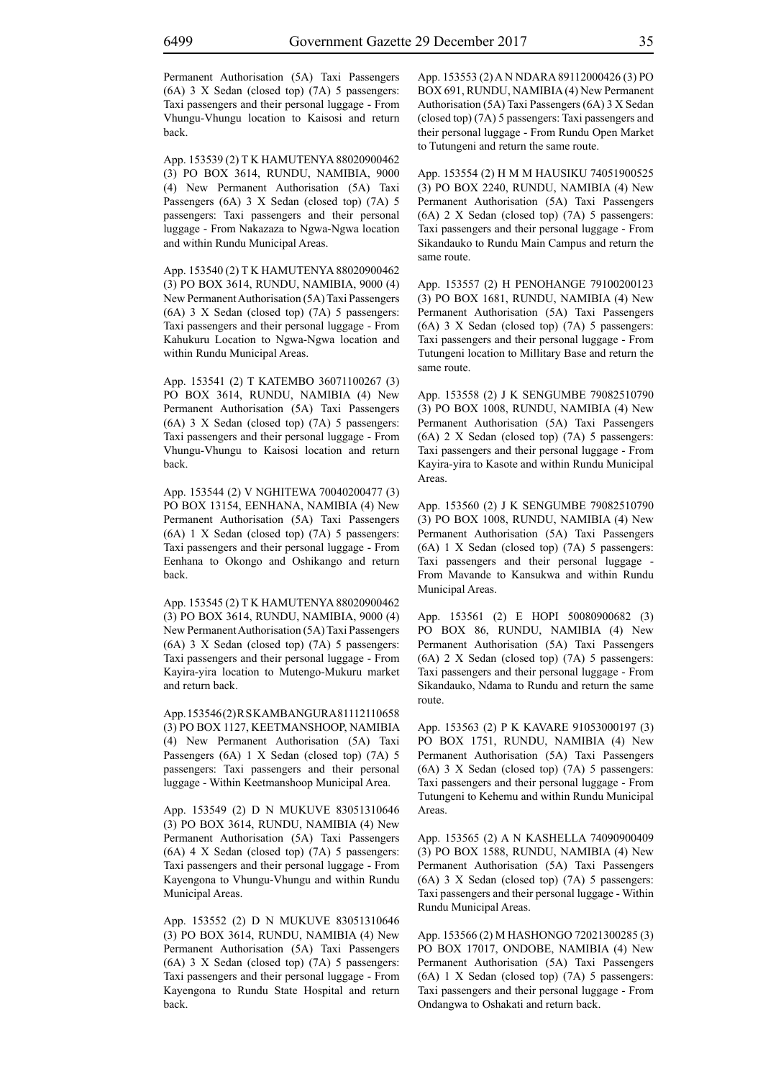Permanent Authorisation (5A) Taxi Passengers (6A) 3 X Sedan (closed top) (7A) 5 passengers: Taxi passengers and their personal luggage - From Vhungu-Vhungu location to Kaisosi and return back.

App. 153539 (2) T K HAMUTENYA 88020900462 (3) PO BOX 3614, RUNDU, NAMIBIA, 9000 (4) New Permanent Authorisation (5A) Taxi Passengers (6A) 3 X Sedan (closed top) (7A) 5 passengers: Taxi passengers and their personal luggage - From Nakazaza to Ngwa-Ngwa location and within Rundu Municipal Areas.

App. 153540 (2) T K HAMUTENYA 88020900462 (3) PO BOX 3614, RUNDU, NAMIBIA, 9000 (4) New Permanent Authorisation (5A) Taxi Passengers (6A) 3 X Sedan (closed top) (7A) 5 passengers: Taxi passengers and their personal luggage - From Kahukuru Location to Ngwa-Ngwa location and within Rundu Municipal Areas.

App. 153541 (2) T KATEMBO 36071100267 (3) PO BOX 3614, RUNDU, NAMIBIA (4) New Permanent Authorisation (5A) Taxi Passengers (6A) 3 X Sedan (closed top) (7A) 5 passengers: Taxi passengers and their personal luggage - From Vhungu-Vhungu to Kaisosi location and return back.

App. 153544 (2) V NGHITEWA 70040200477 (3) PO BOX 13154, EENHANA, NAMIBIA (4) New Permanent Authorisation (5A) Taxi Passengers (6A) 1 X Sedan (closed top) (7A) 5 passengers: Taxi passengers and their personal luggage - From Eenhana to Okongo and Oshikango and return back.

App. 153545 (2) T K HAMUTENYA 88020900462 (3) PO BOX 3614, RUNDU, NAMIBIA, 9000 (4) New Permanent Authorisation (5A) Taxi Passengers (6A) 3 X Sedan (closed top) (7A) 5 passengers: Taxi passengers and their personal luggage - From Kayira-yira location to Mutengo-Mukuru market and return back.

App. 153546 (2) R S KAMBANGURA 81112110658 (3) PO BOX 1127, KEETMANSHOOP, NAMIBIA (4) New Permanent Authorisation (5A) Taxi Passengers (6A) 1 X Sedan (closed top) (7A) 5 passengers: Taxi passengers and their personal luggage - Within Keetmanshoop Municipal Area.

App. 153549 (2) D N MUKUVE 83051310646 (3) PO BOX 3614, RUNDU, NAMIBIA (4) New Permanent Authorisation (5A) Taxi Passengers (6A) 4 X Sedan (closed top) (7A) 5 passengers: Taxi passengers and their personal luggage - From Kayengona to Vhungu-Vhungu and within Rundu Municipal Areas.

App. 153552 (2) D N MUKUVE 83051310646 (3) PO BOX 3614, RUNDU, NAMIBIA (4) New Permanent Authorisation (5A) Taxi Passengers (6A) 3 X Sedan (closed top) (7A) 5 passengers: Taxi passengers and their personal luggage - From Kayengona to Rundu State Hospital and return back.

App. 153553 (2) A N NDARA 89112000426 (3) PO BOX 691, RUNDU, NAMIBIA (4) New Permanent Authorisation (5A) Taxi Passengers (6A) 3 X Sedan (closed top) (7A) 5 passengers: Taxi passengers and their personal luggage - From Rundu Open Market to Tutungeni and return the same route.

App. 153554 (2) H M M HAUSIKU 74051900525 (3) PO BOX 2240, RUNDU, NAMIBIA (4) New Permanent Authorisation (5A) Taxi Passengers (6A) 2 X Sedan (closed top) (7A) 5 passengers: Taxi passengers and their personal luggage - From Sikandauko to Rundu Main Campus and return the same route.

App. 153557 (2) H PENOHANGE 79100200123 (3) PO BOX 1681, RUNDU, NAMIBIA (4) New Permanent Authorisation (5A) Taxi Passengers (6A) 3 X Sedan (closed top) (7A) 5 passengers: Taxi passengers and their personal luggage - From Tutungeni location to Millitary Base and return the same route.

App. 153558 (2) J K SENGUMBE 79082510790 (3) PO BOX 1008, RUNDU, NAMIBIA (4) New Permanent Authorisation (5A) Taxi Passengers (6A) 2 X Sedan (closed top) (7A) 5 passengers: Taxi passengers and their personal luggage - From Kayira-yira to Kasote and within Rundu Municipal Areas.

App. 153560 (2) J K SENGUMBE 79082510790 (3) PO BOX 1008, RUNDU, NAMIBIA (4) New Permanent Authorisation (5A) Taxi Passengers (6A) 1 X Sedan (closed top) (7A) 5 passengers: Taxi passengers and their personal luggage From Mavande to Kansukwa and within Rundu Municipal Areas.

App. 153561 (2) E HOPI 50080900682 (3) PO BOX 86, RUNDU, NAMIBIA (4) New Permanent Authorisation (5A) Taxi Passengers (6A) 2 X Sedan (closed top) (7A) 5 passengers: Taxi passengers and their personal luggage - From Sikandauko, Ndama to Rundu and return the same route.

App. 153563 (2) P K KAVARE 91053000197 (3) PO BOX 1751, RUNDU, NAMIBIA (4) New Permanent Authorisation (5A) Taxi Passengers (6A) 3 X Sedan (closed top) (7A) 5 passengers: Taxi passengers and their personal luggage - From Tutungeni to Kehemu and within Rundu Municipal Areas.

App. 153565 (2) A N KASHELLA 74090900409 (3) PO BOX 1588, RUNDU, NAMIBIA (4) New Permanent Authorisation (5A) Taxi Passengers (6A) 3 X Sedan (closed top) (7A) 5 passengers: Taxi passengers and their personal luggage - Within Rundu Municipal Areas.

App. 153566 (2) M HASHONGO 72021300285 (3) PO BOX 17017, ONDOBE, NAMIBIA (4) New Permanent Authorisation (5A) Taxi Passengers (6A) 1 X Sedan (closed top) (7A) 5 passengers: Taxi passengers and their personal luggage - From Ondangwa to Oshakati and return back.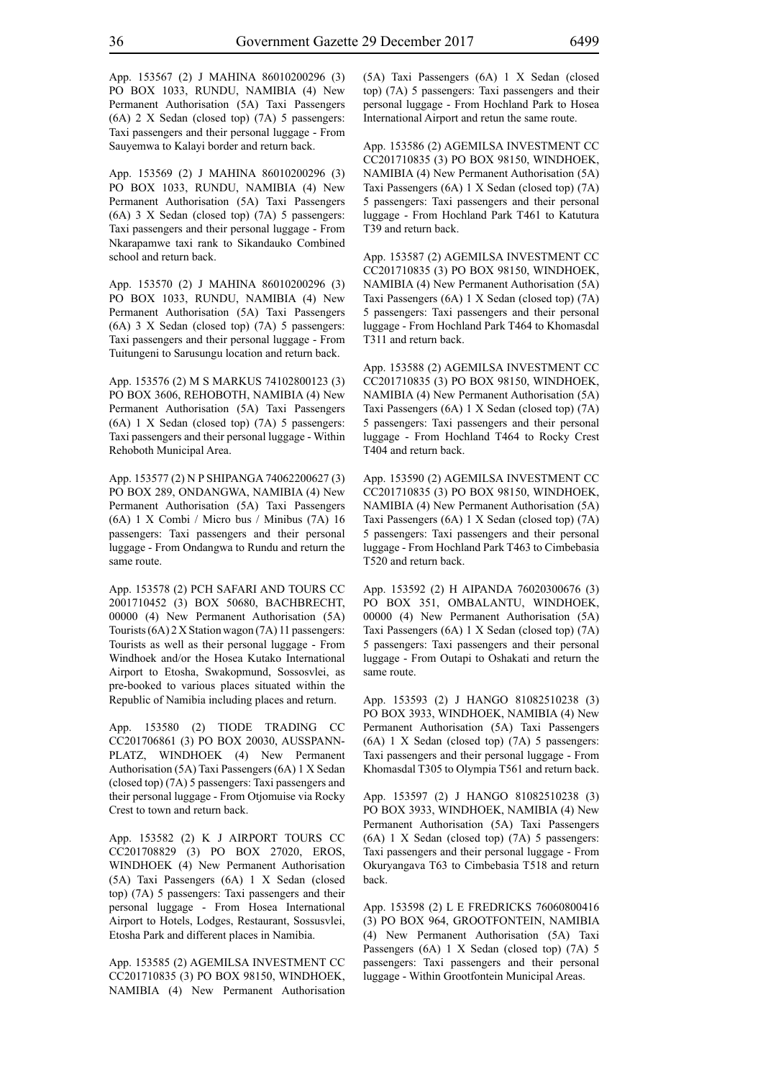App. 153567 (2) J MAHINA 86010200296 (3) PO BOX 1033, RUNDU, NAMIBIA (4) New Permanent Authorisation (5A) Taxi Passengers (6A) 2 X Sedan (closed top) (7A) 5 passengers: Taxi passengers and their personal luggage - From Sauyemwa to Kalayi border and return back.

App. 153569 (2) J MAHINA 86010200296 (3) PO BOX 1033, RUNDU, NAMIBIA (4) New Permanent Authorisation (5A) Taxi Passengers (6A) 3 X Sedan (closed top) (7A) 5 passengers: Taxi passengers and their personal luggage - From Nkarapamwe taxi rank to Sikandauko Combined school and return back.

App. 153570 (2) J MAHINA 86010200296 (3) PO BOX 1033, RUNDU, NAMIBIA (4) New Permanent Authorisation (5A) Taxi Passengers (6A) 3 X Sedan (closed top) (7A) 5 passengers: Taxi passengers and their personal luggage - From Tuitungeni to Sarusungu location and return back.

App. 153576 (2) M S MARKUS 74102800123 (3) PO BOX 3606, REHOBOTH, NAMIBIA (4) New Permanent Authorisation (5A) Taxi Passengers (6A) 1 X Sedan (closed top) (7A) 5 passengers: Taxi passengers and their personal luggage - Within Rehoboth Municipal Area.

App. 153577 (2) N P SHIPANGA 74062200627 (3) PO BOX 289, ONDANGWA, NAMIBIA (4) New Permanent Authorisation (5A) Taxi Passengers (6A) 1 X Combi / Micro bus / Minibus (7A) 16 passengers: Taxi passengers and their personal luggage - From Ondangwa to Rundu and return the same route.

App. 153578 (2) PCH SAFARI AND TOURS CC 2001710452 (3) BOX 50680, BACHBRECHT, 00000 (4) New Permanent Authorisation (5A) Tourists (6A) 2 X Station wagon (7A) 11 passengers: Tourists as well as their personal luggage - From Windhoek and/or the Hosea Kutako International Airport to Etosha, Swakopmund, Sossosvlei, as pre-booked to various places situated within the Republic of Namibia including places and return.

App. 153580 (2) TIODE TRADING CC CC201706861 (3) PO BOX 20030, AUSSPANN-PLATZ, WINDHOEK (4) New Permanent Authorisation (5A) Taxi Passengers (6A) 1 X Sedan (closed top) (7A) 5 passengers: Taxi passengers and their personal luggage - From Otjomuise via Rocky Crest to town and return back.

App. 153582 (2) K J AIRPORT TOURS CC CC201708829 (3) PO BOX 27020, EROS, WINDHOEK (4) New Permanent Authorisation (5A) Taxi Passengers (6A) 1 X Sedan (closed top) (7A) 5 passengers: Taxi passengers and their personal luggage - From Hosea International Airport to Hotels, Lodges, Restaurant, Sossusvlei, Etosha Park and different places in Namibia.

App. 153585 (2) AGEMILSA INVESTMENT CC CC201710835 (3) PO BOX 98150, WINDHOEK, NAMIBIA (4) New Permanent Authorisation (5A) Taxi Passengers (6A) 1 X Sedan (closed top) (7A) 5 passengers: Taxi passengers and their personal luggage - From Hochland Park to Hosea International Airport and retun the same route.

App. 153586 (2) AGEMILSA INVESTMENT CC CC201710835 (3) PO BOX 98150, WINDHOEK, NAMIBIA (4) New Permanent Authorisation (5A) Taxi Passengers (6A) 1 X Sedan (closed top) (7A) 5 passengers: Taxi passengers and their personal luggage - From Hochland Park T461 to Katutura T39 and return back.

App. 153587 (2) AGEMILSA INVESTMENT CC CC201710835 (3) PO BOX 98150, WINDHOEK, NAMIBIA (4) New Permanent Authorisation (5A) Taxi Passengers (6A) 1 X Sedan (closed top) (7A) 5 passengers: Taxi passengers and their personal luggage - From Hochland Park T464 to Khomasdal T311 and return back.

App. 153588 (2) AGEMILSA INVESTMENT CC CC201710835 (3) PO BOX 98150, WINDHOEK, NAMIBIA (4) New Permanent Authorisation (5A) Taxi Passengers (6A) 1 X Sedan (closed top) (7A) 5 passengers: Taxi passengers and their personal luggage - From Hochland T464 to Rocky Crest T404 and return back.

App. 153590 (2) AGEMILSA INVESTMENT CC CC201710835 (3) PO BOX 98150, WINDHOEK, NAMIBIA (4) New Permanent Authorisation (5A) Taxi Passengers (6A) 1 X Sedan (closed top) (7A) 5 passengers: Taxi passengers and their personal luggage - From Hochland Park T463 to Cimbebasia T520 and return back.

App. 153592 (2) H AIPANDA 76020300676 (3) PO BOX 351, OMBALANTU, WINDHOEK, 00000 (4) New Permanent Authorisation (5A) Taxi Passengers (6A) 1 X Sedan (closed top) (7A) 5 passengers: Taxi passengers and their personal luggage - From Outapi to Oshakati and return the same route.

App. 153593 (2) J HANGO 81082510238 (3) PO BOX 3933, WINDHOEK, NAMIBIA (4) New Permanent Authorisation (5A) Taxi Passengers (6A) 1 X Sedan (closed top) (7A) 5 passengers: Taxi passengers and their personal luggage - From Khomasdal T305 to Olympia T561 and return back.

App. 153597 (2) J HANGO 81082510238 (3) PO BOX 3933, WINDHOEK, NAMIBIA (4) New Permanent Authorisation (5A) Taxi Passengers (6A) 1 X Sedan (closed top) (7A) 5 passengers: Taxi passengers and their personal luggage - From Okuryangava T63 to Cimbebasia T518 and return back.

App. 153598 (2) L E FREDRICKS 76060800416 (3) PO BOX 964, GROOTFONTEIN, NAMIBIA (4) New Permanent Authorisation (5A) Taxi Passengers (6A) 1 X Sedan (closed top) (7A) 5 passengers: Taxi passengers and their personal luggage - Within Grootfontein Municipal Areas.